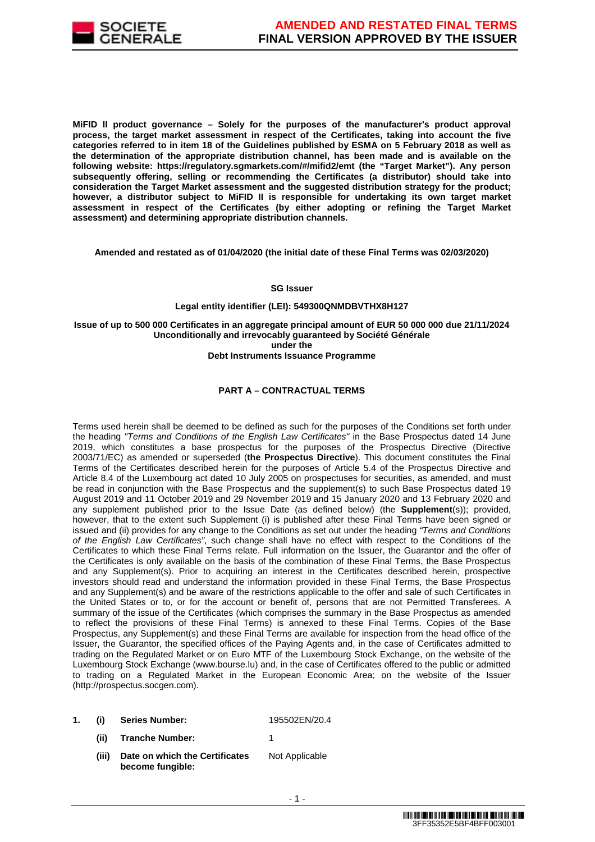

**MiFID II product governance – Solely for the purposes of the manufacturer's product approval process, the target market assessment in respect of the Certificates, taking into account the five categories referred to in item 18 of the Guidelines published by ESMA on 5 February 2018 as well as the determination of the appropriate distribution channel, has been made and is available on the following website: https://regulatory.sgmarkets.com/#/mifid2/emt (the "Target Market"). Any person subsequently offering, selling or recommending the Certificates (a distributor) should take into consideration the Target Market assessment and the suggested distribution strategy for the product; however, a distributor subject to MiFID II is responsible for undertaking its own target market assessment in respect of the Certificates (by either adopting or refining the Target Market assessment) and determining appropriate distribution channels.**

**Amended and restated as of 01/04/2020 (the initial date of these Final Terms was 02/03/2020)**

#### **SG Issuer**

#### **Legal entity identifier (LEI): 549300QNMDBVTHX8H127**

**Issue of up to 500 000 Certificates in an aggregate principal amount of EUR 50 000 000 due 21/11/2024 Unconditionally and irrevocably guaranteed by Société Générale under the Debt Instruments Issuance Programme**

#### **PART A – CONTRACTUAL TERMS**

Terms used herein shall be deemed to be defined as such for the purposes of the Conditions set forth under the heading "Terms and Conditions of the English Law Certificates" in the Base Prospectus dated 14 June 2019, which constitutes a base prospectus for the purposes of the Prospectus Directive (Directive 2003/71/EC) as amended or superseded (**the Prospectus Directive**). This document constitutes the Final Terms of the Certificates described herein for the purposes of Article 5.4 of the Prospectus Directive and Article 8.4 of the Luxembourg act dated 10 July 2005 on prospectuses for securities, as amended, and must be read in conjunction with the Base Prospectus and the supplement(s) to such Base Prospectus dated 19 August 2019 and 11 October 2019 and 29 November 2019 and 15 January 2020 and 13 February 2020 and any supplement published prior to the Issue Date (as defined below) (the **Supplement**(s)); provided, however, that to the extent such Supplement (i) is published after these Final Terms have been signed or issued and (ii) provides for any change to the Conditions as set out under the heading "Terms and Conditions of the English Law Certificates", such change shall have no effect with respect to the Conditions of the Certificates to which these Final Terms relate. Full information on the Issuer, the Guarantor and the offer of the Certificates is only available on the basis of the combination of these Final Terms, the Base Prospectus and any Supplement(s). Prior to acquiring an interest in the Certificates described herein, prospective investors should read and understand the information provided in these Final Terms, the Base Prospectus and any Supplement(s) and be aware of the restrictions applicable to the offer and sale of such Certificates in the United States or to, or for the account or benefit of, persons that are not Permitted Transferees. A summary of the issue of the Certificates (which comprises the summary in the Base Prospectus as amended to reflect the provisions of these Final Terms) is annexed to these Final Terms. Copies of the Base Prospectus, any Supplement(s) and these Final Terms are available for inspection from the head office of the Issuer, the Guarantor, the specified offices of the Paying Agents and, in the case of Certificates admitted to trading on the Regulated Market or on Euro MTF of the Luxembourg Stock Exchange, on the website of the Luxembourg Stock Exchange (www.bourse.lu) and, in the case of Certificates offered to the public or admitted to trading on a Regulated Market in the European Economic Area; on the website of the Issuer (http://prospectus.socgen.com).

- **1. (i) Series Number:** 195502EN/20.4
	- **(ii) Tranche Number:** 1
	- **(iii) Date on which the Certificates become fungible:** Not Applicable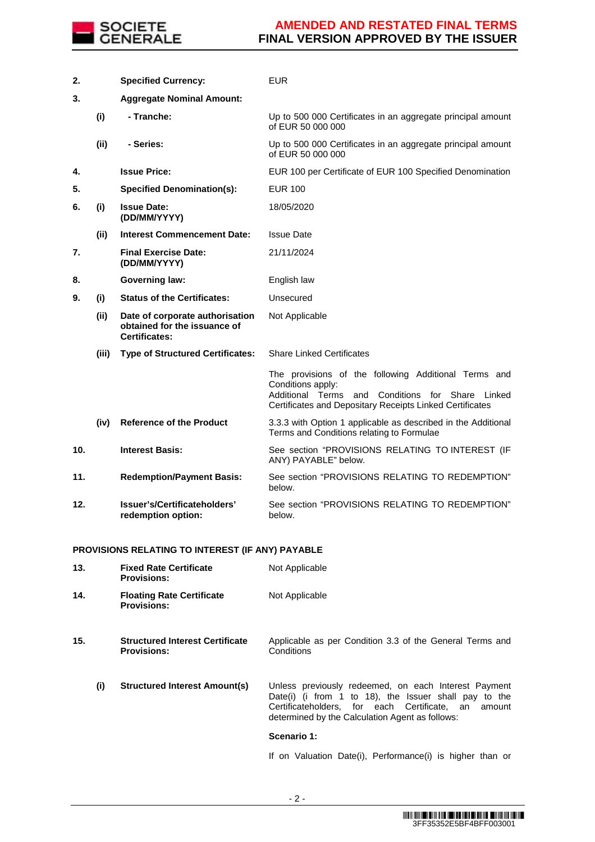

| 2.  |       | <b>Specified Currency:</b>                                                              | <b>EUR</b>                                                                                                                                                                                      |
|-----|-------|-----------------------------------------------------------------------------------------|-------------------------------------------------------------------------------------------------------------------------------------------------------------------------------------------------|
| 3.  |       | <b>Aggregate Nominal Amount:</b>                                                        |                                                                                                                                                                                                 |
|     | (i)   | - Tranche:                                                                              | Up to 500 000 Certificates in an aggregate principal amount<br>of EUR 50 000 000                                                                                                                |
|     | (ii)  | - Series:                                                                               | Up to 500 000 Certificates in an aggregate principal amount<br>of EUR 50 000 000                                                                                                                |
| 4.  |       | <b>Issue Price:</b>                                                                     | EUR 100 per Certificate of EUR 100 Specified Denomination                                                                                                                                       |
| 5.  |       | <b>Specified Denomination(s):</b>                                                       | <b>EUR 100</b>                                                                                                                                                                                  |
| 6.  | (i)   | <b>Issue Date:</b><br>(DD/MM/YYYY)                                                      | 18/05/2020                                                                                                                                                                                      |
|     | (ii)  | <b>Interest Commencement Date:</b>                                                      | <b>Issue Date</b>                                                                                                                                                                               |
| 7.  |       | <b>Final Exercise Date:</b><br>(DD/MM/YYYY)                                             | 21/11/2024                                                                                                                                                                                      |
| 8.  |       | <b>Governing law:</b>                                                                   | English law                                                                                                                                                                                     |
| 9.  | (i)   | <b>Status of the Certificates:</b>                                                      | Unsecured                                                                                                                                                                                       |
|     | (ii)  | Date of corporate authorisation<br>obtained for the issuance of<br><b>Certificates:</b> | Not Applicable                                                                                                                                                                                  |
|     | (iii) | <b>Type of Structured Certificates:</b>                                                 | <b>Share Linked Certificates</b>                                                                                                                                                                |
|     |       |                                                                                         | The provisions of the following Additional Terms and<br>Conditions apply:<br>Additional Terms<br>and Conditions for Share<br>Linked<br>Certificates and Depositary Receipts Linked Certificates |
|     | (iv)  | <b>Reference of the Product</b>                                                         | 3.3.3 with Option 1 applicable as described in the Additional<br>Terms and Conditions relating to Formulae                                                                                      |
| 10. |       | <b>Interest Basis:</b>                                                                  | See section "PROVISIONS RELATING TO INTEREST (IF<br>ANY) PAYABLE" below.                                                                                                                        |
| 11. |       | <b>Redemption/Payment Basis:</b>                                                        | See section "PROVISIONS RELATING TO REDEMPTION"<br>below.                                                                                                                                       |
| 12. |       | Issuer's/Certificateholders'<br>redemption option:                                      | See section "PROVISIONS RELATING TO REDEMPTION"<br>below.                                                                                                                                       |
|     |       |                                                                                         |                                                                                                                                                                                                 |

#### **PROVISIONS RELATING TO INTEREST (IF ANY) PAYABLE**

| 13. |     | <b>Fixed Rate Certificate</b><br><b>Provisions:</b>          | Not Applicable                                                                                                                                                                                                             |
|-----|-----|--------------------------------------------------------------|----------------------------------------------------------------------------------------------------------------------------------------------------------------------------------------------------------------------------|
| 14. |     | <b>Floating Rate Certificate</b><br><b>Provisions:</b>       | Not Applicable                                                                                                                                                                                                             |
| 15. |     | <b>Structured Interest Certificate</b><br><b>Provisions:</b> | Applicable as per Condition 3.3 of the General Terms and<br>Conditions                                                                                                                                                     |
|     | (i) | <b>Structured Interest Amount(s)</b>                         | Unless previously redeemed, on each Interest Payment<br>Date(i) (i from 1 to 18), the Issuer shall pay to the<br>Certificateholders. for each Certificate. an<br>amount<br>determined by the Calculation Agent as follows: |
|     |     |                                                              | Scenario 1:                                                                                                                                                                                                                |
|     |     |                                                              | If on Valuation Date(i), Performance(i) is higher than or                                                                                                                                                                  |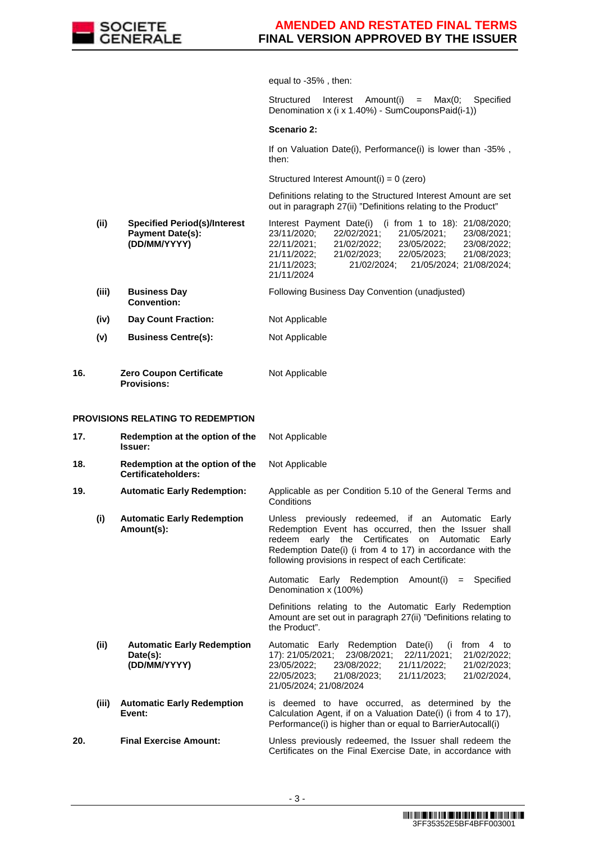

equal to -35% , then:

Structured Interest Amount(i) = Max(0; Specified Denomination x (i x 1.40%) - SumCouponsPaid(i-1))

**Scenario 2:**

If on Valuation Date(i), Performance(i) is lower than -35%, then:

Structured Interest Amount(i) = 0 (zero)

 Definitions relating to the Structured Interest Amount are set out in paragraph 27(ii) "Definitions relating to the Product"

- **(ii) Specified Period(s)/Interest Payment Date(s): (DD/MM/YYYY)** Interest Payment Date(i) (i from 1 to 18): 21/08/2020; 23/11/2020; 22/02/2021; 21/05/2021; 23/08/2021; 22/11/2021; 21/02/2022; 23/05/2022; 23/08/2022; 21/11/2022; 21/02/2023; 22/05/2023; 21/08/2023; 21/11/2023; 21/02/2024; 21/05/2024; 21/08/2024;
- **(iii) Business Day Convention:** Following Business Day Convention (unadjusted)

21/11/2024

- **(iv) Day Count Fraction:** Not Applicable
- **(v) Business Centre(s):** Not Applicable
- **16. Zero Coupon Certificate Provisions:** Not Applicable

#### **PROVISIONS RELATING TO REDEMPTION**

| 17. |       | Redemption at the option of the<br><b>Issuer:</b>             | Not Applicable                                                                                                                                                                                                                                                                         |
|-----|-------|---------------------------------------------------------------|----------------------------------------------------------------------------------------------------------------------------------------------------------------------------------------------------------------------------------------------------------------------------------------|
| 18. |       | Redemption at the option of the<br>Certificateholders:        | Not Applicable                                                                                                                                                                                                                                                                         |
| 19. |       | <b>Automatic Early Redemption:</b>                            | Applicable as per Condition 5.10 of the General Terms and<br>Conditions                                                                                                                                                                                                                |
|     | (i)   | <b>Automatic Early Redemption</b><br>Amount(s):               | Unless previously redeemed, if an Automatic Early<br>Redemption Event has occurred, then the Issuer shall<br>redeem early the Certificates on Automatic<br>Early<br>Redemption Date(i) (i from 4 to 17) in accordance with the<br>following provisions in respect of each Certificate: |
|     |       |                                                               | Automatic Early Redemption Amount(i)<br>$=$ Specified<br>Denomination x (100%)                                                                                                                                                                                                         |
|     |       |                                                               | Definitions relating to the Automatic Early Redemption<br>Amount are set out in paragraph 27(ii) "Definitions relating to<br>the Product".                                                                                                                                             |
|     | (ii)  | <b>Automatic Early Redemption</b><br>Date(s):<br>(DD/MM/YYYY) | Automatic Early Redemption Date(i)<br>from 4 to<br>(i<br>17): 21/05/2021;<br>23/08/2021;<br>22/11/2021;<br>21/02/2022;<br>23/05/2022;<br>23/08/2022;<br>21/11/2022;<br>21/02/2023;<br>22/05/2023:<br>21/08/2023:<br>21/11/2023;<br>21/02/2024,<br>21/05/2024; 21/08/2024               |
|     | (iii) | <b>Automatic Early Redemption</b><br>Event:                   | is deemed to have occurred, as determined by the<br>Calculation Agent, if on a Valuation Date(i) (i from 4 to 17),<br>Performance(i) is higher than or equal to BarrierAutocall(i)                                                                                                     |
| 20. |       | <b>Final Exercise Amount:</b>                                 | Unless previously redeemed, the Issuer shall redeem the<br>Certificates on the Final Exercise Date, in accordance with                                                                                                                                                                 |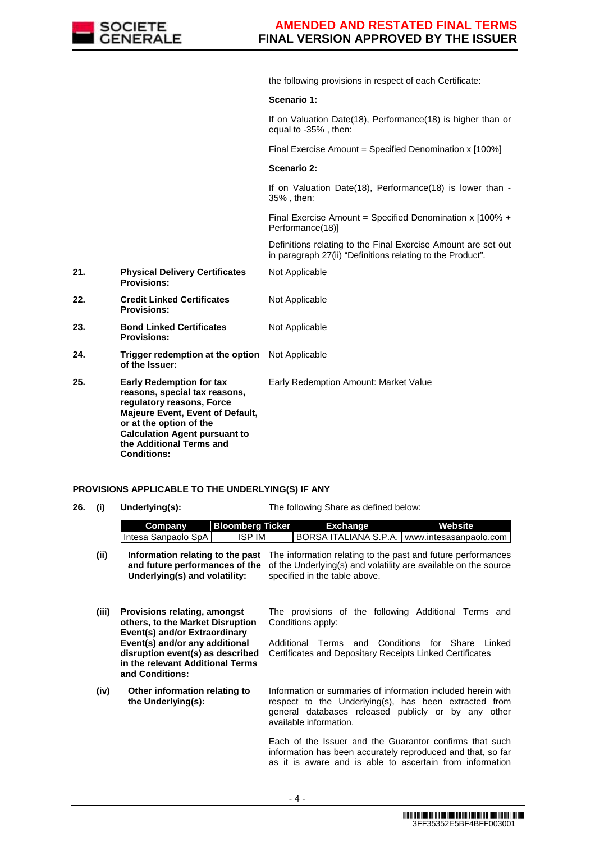

the following provisions in respect of each Certificate:

#### **Scenario 1:**

If on Valuation Date(18), Performance(18) is higher than or equal to -35% , then:

Final Exercise Amount = Specified Denomination x [100%]

#### **Scenario 2:**

Not Applicable

Not Applicable

If on Valuation Date(18), Performance(18) is lower than - 35% , then:

Final Exercise Amount = Specified Denomination x [100% + Performance(18)]

 Definitions relating to the Final Exercise Amount are set out in paragraph 27(ii) "Definitions relating to the Product".

- **21. Physical Delivery Certificates Provisions:**
- **22. Credit Linked Certificates Provisions:**
- **23. Bond Linked Certificates Provisions:** Not Applicable
- **24. Trigger redemption at the option of the Issuer:** Not Applicable
- **25. Early Redemption for tax reasons, special tax reasons, regulatory reasons, Force Majeure Event, Event of Default, or at the option of the Calculation Agent pursuant to the Additional Terms and Conditions:** Early Redemption Amount: Market Value

#### **PROVISIONS APPLICABLE TO THE UNDERLYING(S) IF ANY**

**26. (i) Underlying(s):** The following Share as defined below: **Company Bloomberg Ticker Exchange Website** Intesa Sanpaolo SpA | ISP IM | BORSA ITALIANA S.P.A. www.intesasanpaolo.com (ii) **Information relating to the past** The information relating to the past and future performances **and future performances of the Underlying(s) and volatility:** of the Underlying(s) and volatility are available on the source specified in the table above. **(iii) Provisions relating, amongst others, to the Market Disruption Event(s) and/or Extraordinary Event(s) and/or any additional disruption event(s) as described in the relevant Additional Terms and Conditions:** The provisions of the following Additional Terms and Conditions apply: Additional Terms and Conditions for Share Linked Certificates and Depositary Receipts Linked Certificates **(iv) Other information relating to the Underlying(s):** Information or summaries of information included herein with respect to the Underlying(s), has been extracted from general databases released publicly or by any other available information. Each of the Issuer and the Guarantor confirms that such information has been accurately reproduced and that, so far as it is aware and is able to ascertain from information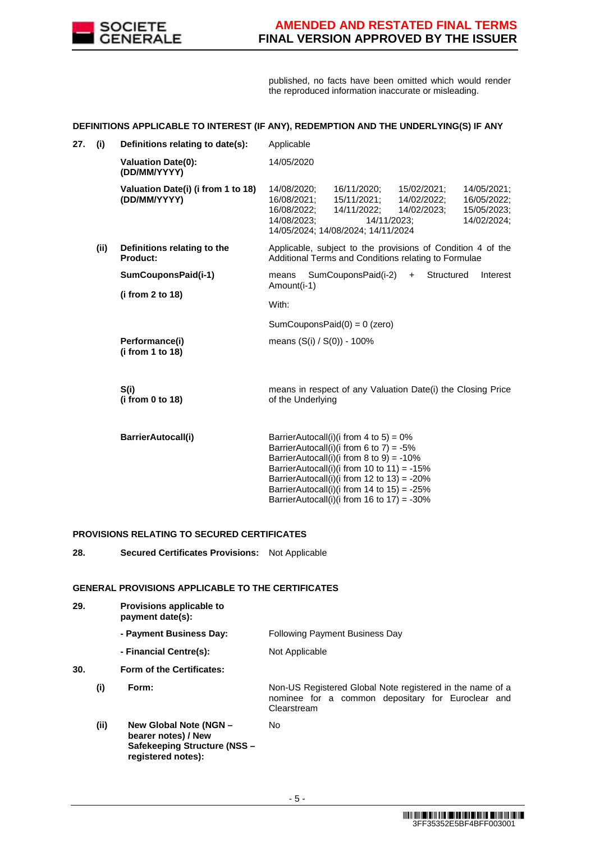

published, no facts have been omitted which would render the reproduced information inaccurate or misleading.

#### **DEFINITIONS APPLICABLE TO INTEREST (IF ANY), REDEMPTION AND THE UNDERLYING(S) IF ANY**

| 27. | (i)  | Definitions relating to date(s):                   | Applicable                                                                                                                                                                                                                                                                                                                           |  |  |  |  |
|-----|------|----------------------------------------------------|--------------------------------------------------------------------------------------------------------------------------------------------------------------------------------------------------------------------------------------------------------------------------------------------------------------------------------------|--|--|--|--|
|     |      | <b>Valuation Date(0):</b><br>(DD/MM/YYYY)          | 14/05/2020                                                                                                                                                                                                                                                                                                                           |  |  |  |  |
|     |      | Valuation Date(i) (i from 1 to 18)<br>(DD/MM/YYYY) | 14/08/2020;<br>16/11/2020;<br>15/02/2021;<br>14/05/2021;<br>15/11/2021:<br>16/08/2021;<br>14/02/2022;<br>16/05/2022;<br>16/08/2022;<br>14/11/2022;<br>14/02/2023;<br>15/05/2023;<br>14/11/2023;<br>14/02/2024;<br>14/08/2023;<br>14/05/2024; 14/08/2024; 14/11/2024                                                                  |  |  |  |  |
|     | (ii) | Definitions relating to the<br>Product:            | Applicable, subject to the provisions of Condition 4 of the<br>Additional Terms and Conditions relating to Formulae                                                                                                                                                                                                                  |  |  |  |  |
|     |      | SumCouponsPaid(i-1)                                | SumCouponsPaid(i-2)<br>Structured<br>Interest<br>means<br>$+$<br>Amount(i-1)                                                                                                                                                                                                                                                         |  |  |  |  |
|     |      | (i from 2 to 18)                                   | With:                                                                                                                                                                                                                                                                                                                                |  |  |  |  |
|     |      |                                                    | SumCouponsPaid $(0) = 0$ (zero)                                                                                                                                                                                                                                                                                                      |  |  |  |  |
|     |      | Performance(i)<br>(i from 1 to 18)                 | means (S(i) / S(0)) - 100%                                                                                                                                                                                                                                                                                                           |  |  |  |  |
|     |      | S(i)<br>(i from 0 to 18)                           | means in respect of any Valuation Date(i) the Closing Price<br>of the Underlying                                                                                                                                                                                                                                                     |  |  |  |  |
|     |      | <b>BarrierAutocall(i)</b>                          | BarrierAutocall(i)(i from 4 to 5) = $0\%$<br>BarrierAutocall(i)(i from 6 to 7) = $-5\%$<br>BarrierAutocall(i)(i from 8 to 9) = -10%<br>BarrierAutocall(i)(i from 10 to 11) = -15%<br>BarrierAutocall(i)(i from 12 to 13) = $-20\%$<br>BarrierAutocall(i)(i from 14 to 15) = $-25\%$<br>BarrierAutocall(i)(i from 16 to 17) = $-30\%$ |  |  |  |  |

#### **PROVISIONS RELATING TO SECURED CERTIFICATES**

**28. Secured Certificates Provisions:** Not Applicable

#### **GENERAL PROVISIONS APPLICABLE TO THE CERTIFICATES**

| 29. |      | Provisions applicable to<br>payment date(s):                                                               |                                                                                                                               |
|-----|------|------------------------------------------------------------------------------------------------------------|-------------------------------------------------------------------------------------------------------------------------------|
|     |      | - Payment Business Day:                                                                                    | <b>Following Payment Business Day</b>                                                                                         |
|     |      | - Financial Centre(s):                                                                                     | Not Applicable                                                                                                                |
| 30. |      | Form of the Certificates:                                                                                  |                                                                                                                               |
|     | (i)  | Form:                                                                                                      | Non-US Registered Global Note registered in the name of a<br>nominee for a common depositary for Euroclear and<br>Clearstream |
|     | (ii) | New Global Note (NGN -<br>bearer notes) / New<br><b>Safekeeping Structure (NSS -</b><br>registered notes): | No.                                                                                                                           |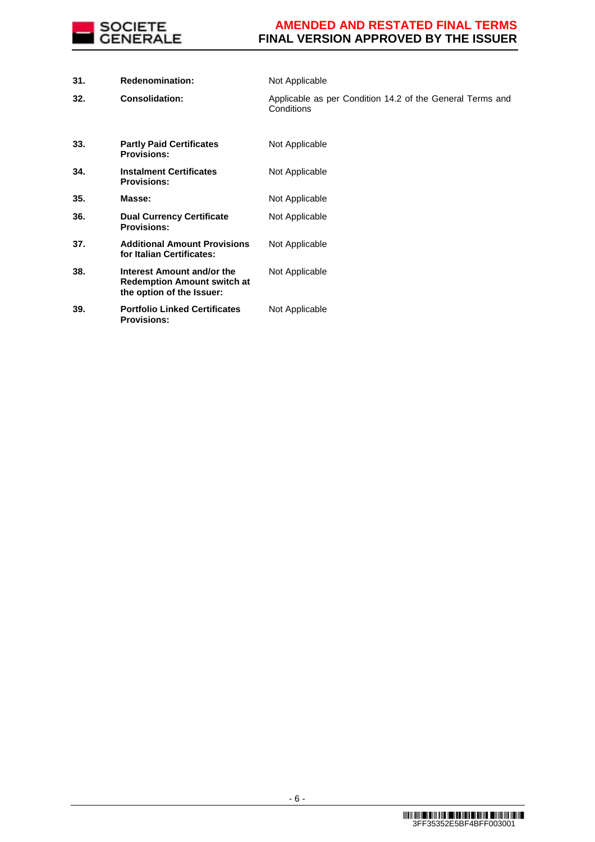

| 31. | <b>Redenomination:</b>                                                                        | Not Applicable                                                          |
|-----|-----------------------------------------------------------------------------------------------|-------------------------------------------------------------------------|
| 32. | <b>Consolidation:</b>                                                                         | Applicable as per Condition 14.2 of the General Terms and<br>Conditions |
| 33. | <b>Partly Paid Certificates</b><br><b>Provisions:</b>                                         | Not Applicable                                                          |
| 34. | <b>Instalment Certificates</b><br><b>Provisions:</b>                                          | Not Applicable                                                          |
| 35. | Masse:                                                                                        | Not Applicable                                                          |
| 36. | <b>Dual Currency Certificate</b><br><b>Provisions:</b>                                        | Not Applicable                                                          |
| 37. | <b>Additional Amount Provisions</b><br>for Italian Certificates:                              | Not Applicable                                                          |
| 38. | Interest Amount and/or the<br><b>Redemption Amount switch at</b><br>the option of the Issuer: | Not Applicable                                                          |
| 39. | <b>Portfolio Linked Certificates</b><br><b>Provisions:</b>                                    | Not Applicable                                                          |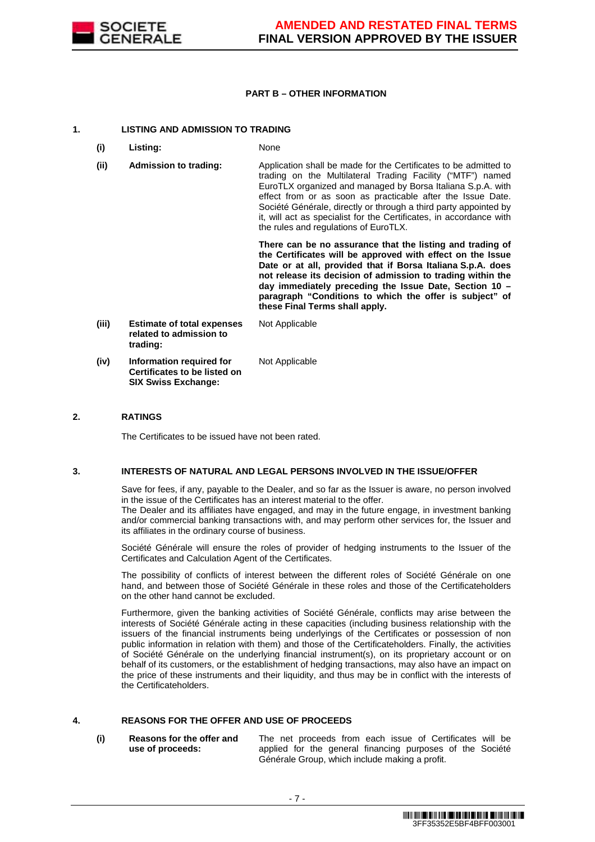

#### **PART B – OTHER INFORMATION**

#### **1. LISTING AND ADMISSION TO TRADING**

- **(i) Listing:** None
- **(ii) Admission to trading:** Application shall be made for the Certificates to be admitted to trading on the Multilateral Trading Facility ("MTF") named EuroTLX organized and managed by Borsa Italiana S.p.A. with effect from or as soon as practicable after the Issue Date. Société Générale, directly or through a third party appointed by it, will act as specialist for the Certificates, in accordance with the rules and regulations of EuroTLX.

 **There can be no assurance that the listing and trading of the Certificates will be approved with effect on the Issue Date or at all, provided that if Borsa Italiana S.p.A. does not release its decision of admission to trading within the day immediately preceding the Issue Date, Section 10 – paragraph "Conditions to which the offer is subject" of these Final Terms shall apply.**

**(iii) Estimate of total expenses related to admission to trading:** Not Applicable **(iv) Information required for Certificates to be listed on SIX Swiss Exchange:** Not Applicable

#### **2. RATINGS**

The Certificates to be issued have not been rated.

#### **3. INTERESTS OF NATURAL AND LEGAL PERSONS INVOLVED IN THE ISSUE/OFFER**

 Save for fees, if any, payable to the Dealer, and so far as the Issuer is aware, no person involved in the issue of the Certificates has an interest material to the offer.

The Dealer and its affiliates have engaged, and may in the future engage, in investment banking and/or commercial banking transactions with, and may perform other services for, the Issuer and its affiliates in the ordinary course of business.

 Société Générale will ensure the roles of provider of hedging instruments to the Issuer of the Certificates and Calculation Agent of the Certificates.

 The possibility of conflicts of interest between the different roles of Société Générale on one hand, and between those of Société Générale in these roles and those of the Certificateholders on the other hand cannot be excluded.

 Furthermore, given the banking activities of Société Générale, conflicts may arise between the interests of Société Générale acting in these capacities (including business relationship with the issuers of the financial instruments being underlyings of the Certificates or possession of non public information in relation with them) and those of the Certificateholders. Finally, the activities of Société Générale on the underlying financial instrument(s), on its proprietary account or on behalf of its customers, or the establishment of hedging transactions, may also have an impact on the price of these instruments and their liquidity, and thus may be in conflict with the interests of the Certificateholders.

#### **4. REASONS FOR THE OFFER AND USE OF PROCEEDS**

**(i) Reasons for the offer and use of proceeds:**

The net proceeds from each issue of Certificates will be applied for the general financing purposes of the Société Générale Group, which include making a profit.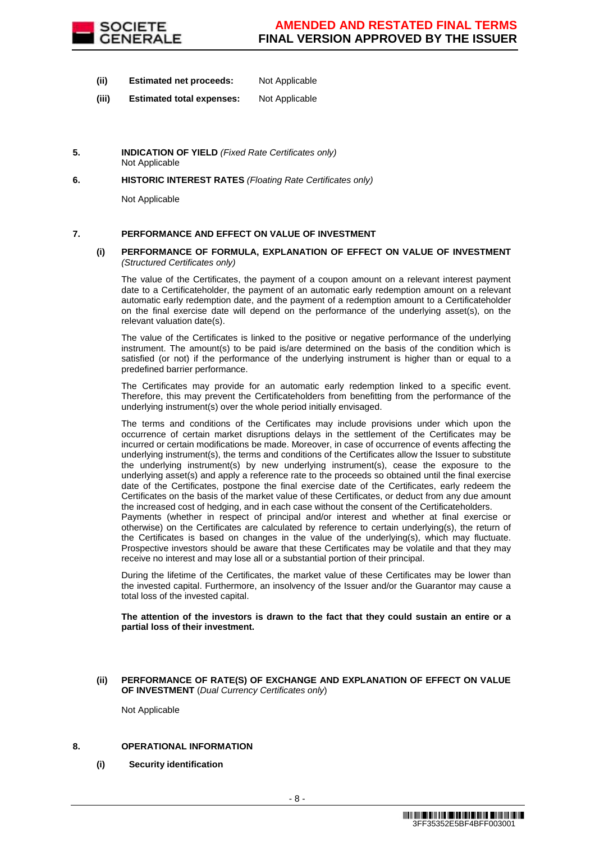

- **(ii) Estimated net proceeds:** Not Applicable
- **(iii) Estimated total expenses:** Not Applicable
- **5. INDICATION OF YIELD** (Fixed Rate Certificates only) Not Applicable
- **6. HISTORIC INTEREST RATES** (Floating Rate Certificates only)

Not Applicable

#### **7. PERFORMANCE AND EFFECT ON VALUE OF INVESTMENT**

#### **(i) PERFORMANCE OF FORMULA, EXPLANATION OF EFFECT ON VALUE OF INVESTMENT**  (Structured Certificates only)

 The value of the Certificates, the payment of a coupon amount on a relevant interest payment date to a Certificateholder, the payment of an automatic early redemption amount on a relevant automatic early redemption date, and the payment of a redemption amount to a Certificateholder on the final exercise date will depend on the performance of the underlying asset(s), on the relevant valuation date(s).

 The value of the Certificates is linked to the positive or negative performance of the underlying instrument. The amount(s) to be paid is/are determined on the basis of the condition which is satisfied (or not) if the performance of the underlying instrument is higher than or equal to a predefined barrier performance.

 The Certificates may provide for an automatic early redemption linked to a specific event. Therefore, this may prevent the Certificateholders from benefitting from the performance of the underlying instrument(s) over the whole period initially envisaged.

 The terms and conditions of the Certificates may include provisions under which upon the occurrence of certain market disruptions delays in the settlement of the Certificates may be incurred or certain modifications be made. Moreover, in case of occurrence of events affecting the underlying instrument(s), the terms and conditions of the Certificates allow the Issuer to substitute the underlying instrument(s) by new underlying instrument(s), cease the exposure to the underlying asset(s) and apply a reference rate to the proceeds so obtained until the final exercise date of the Certificates, postpone the final exercise date of the Certificates, early redeem the Certificates on the basis of the market value of these Certificates, or deduct from any due amount the increased cost of hedging, and in each case without the consent of the Certificateholders.

Payments (whether in respect of principal and/or interest and whether at final exercise or otherwise) on the Certificates are calculated by reference to certain underlying(s), the return of the Certificates is based on changes in the value of the underlying(s), which may fluctuate. Prospective investors should be aware that these Certificates may be volatile and that they may receive no interest and may lose all or a substantial portion of their principal.

 During the lifetime of the Certificates, the market value of these Certificates may be lower than the invested capital. Furthermore, an insolvency of the Issuer and/or the Guarantor may cause a total loss of the invested capital.

**The attention of the investors is drawn to the fact that they could sustain an entire or a partial loss of their investment.**

**(ii) PERFORMANCE OF RATE(S) OF EXCHANGE AND EXPLANATION OF EFFECT ON VALUE OF INVESTMENT** (Dual Currency Certificates only)

Not Applicable

#### **8. OPERATIONAL INFORMATION**

**(i) Security identification**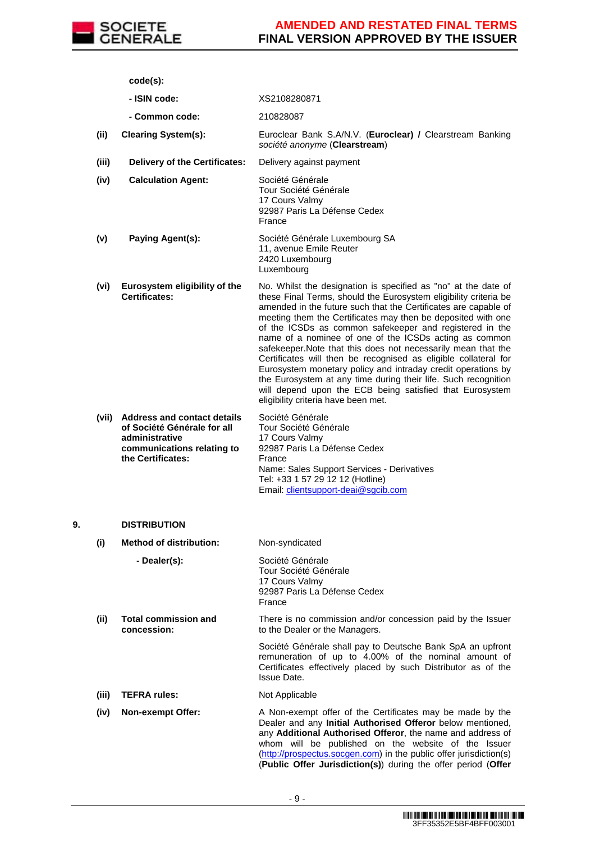

|    |       | $code(s)$ :                                                                                                                           |                                                                                                                                                                                                                                                                                                                                                                                                                                                                                                                                                                                                                                                                                                                                                                     |
|----|-------|---------------------------------------------------------------------------------------------------------------------------------------|---------------------------------------------------------------------------------------------------------------------------------------------------------------------------------------------------------------------------------------------------------------------------------------------------------------------------------------------------------------------------------------------------------------------------------------------------------------------------------------------------------------------------------------------------------------------------------------------------------------------------------------------------------------------------------------------------------------------------------------------------------------------|
|    |       | - ISIN code:                                                                                                                          | XS2108280871                                                                                                                                                                                                                                                                                                                                                                                                                                                                                                                                                                                                                                                                                                                                                        |
|    |       | - Common code:                                                                                                                        | 210828087                                                                                                                                                                                                                                                                                                                                                                                                                                                                                                                                                                                                                                                                                                                                                           |
|    | (ii)  | <b>Clearing System(s):</b>                                                                                                            | Euroclear Bank S.A/N.V. (Euroclear) / Clearstream Banking<br>société anonyme (Clearstream)                                                                                                                                                                                                                                                                                                                                                                                                                                                                                                                                                                                                                                                                          |
|    | (iii) | <b>Delivery of the Certificates:</b>                                                                                                  | Delivery against payment                                                                                                                                                                                                                                                                                                                                                                                                                                                                                                                                                                                                                                                                                                                                            |
|    | (iv)  | <b>Calculation Agent:</b>                                                                                                             | Société Générale<br>Tour Société Générale<br>17 Cours Valmy<br>92987 Paris La Défense Cedex<br>France                                                                                                                                                                                                                                                                                                                                                                                                                                                                                                                                                                                                                                                               |
|    | (v)   | Paying Agent(s):                                                                                                                      | Société Générale Luxembourg SA<br>11, avenue Emile Reuter<br>2420 Luxembourg<br>Luxembourg                                                                                                                                                                                                                                                                                                                                                                                                                                                                                                                                                                                                                                                                          |
|    | (vi)  | Eurosystem eligibility of the<br>Certificates:                                                                                        | No. Whilst the designation is specified as "no" at the date of<br>these Final Terms, should the Eurosystem eligibility criteria be<br>amended in the future such that the Certificates are capable of<br>meeting them the Certificates may then be deposited with one<br>of the ICSDs as common safekeeper and registered in the<br>name of a nominee of one of the ICSDs acting as common<br>safekeeper. Note that this does not necessarily mean that the<br>Certificates will then be recognised as eligible collateral for<br>Eurosystem monetary policy and intraday credit operations by<br>the Eurosystem at any time during their life. Such recognition<br>will depend upon the ECB being satisfied that Eurosystem<br>eligibility criteria have been met. |
|    |       | (vii) Address and contact details<br>of Société Générale for all<br>administrative<br>communications relating to<br>the Certificates: | Société Générale<br>Tour Société Générale<br>17 Cours Valmy<br>92987 Paris La Défense Cedex<br>France<br>Name: Sales Support Services - Derivatives<br>Tel: +33 1 57 29 12 12 (Hotline)<br>Email: clientsupport-deai@sgcib.com                                                                                                                                                                                                                                                                                                                                                                                                                                                                                                                                      |
| 9. |       | <b>DISTRIBUTION</b>                                                                                                                   |                                                                                                                                                                                                                                                                                                                                                                                                                                                                                                                                                                                                                                                                                                                                                                     |
|    | (i)   | <b>Method of distribution:</b>                                                                                                        | Non-syndicated                                                                                                                                                                                                                                                                                                                                                                                                                                                                                                                                                                                                                                                                                                                                                      |
|    |       | - Dealer(s):                                                                                                                          | Société Générale<br>Tour Société Générale<br>17 Cours Valmy<br>92987 Paris La Défense Cedex<br>France                                                                                                                                                                                                                                                                                                                                                                                                                                                                                                                                                                                                                                                               |
|    | (ii)  | <b>Total commission and</b><br>concession:                                                                                            | There is no commission and/or concession paid by the Issuer<br>to the Dealer or the Managers.                                                                                                                                                                                                                                                                                                                                                                                                                                                                                                                                                                                                                                                                       |
|    |       |                                                                                                                                       | Société Générale shall pay to Deutsche Bank SpA an upfront<br>remuneration of up to 4.00% of the nominal amount of<br>Certificates effectively placed by such Distributor as of the<br><b>Issue Date.</b>                                                                                                                                                                                                                                                                                                                                                                                                                                                                                                                                                           |
|    | (iii) | <b>TEFRA rules:</b>                                                                                                                   | Not Applicable                                                                                                                                                                                                                                                                                                                                                                                                                                                                                                                                                                                                                                                                                                                                                      |
|    | (iv)  | Non-exempt Offer:                                                                                                                     | A Non-exempt offer of the Certificates may be made by the<br>Dealer and any Initial Authorised Offeror below mentioned,<br>any Additional Authorised Offeror, the name and address of<br>whom will be published on the website of the Issuer<br>(http://prospectus.socgen.com) in the public offer jurisdiction(s)<br>(Public Offer Jurisdiction(s)) during the offer period (Offer                                                                                                                                                                                                                                                                                                                                                                                 |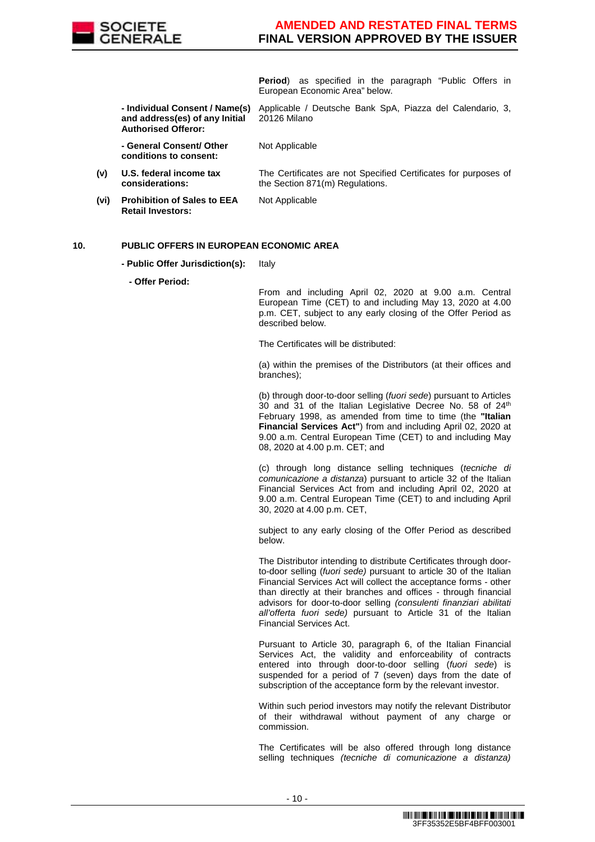

**Period**) as specified in the paragraph "Public Offers in European Economic Area" below.

The Certificates are not Specified Certificates for purposes of

 **- Individual Consent / Name(s) and address(es) of any Initial Authorised Offeror:** Applicable / Deutsche Bank SpA, Piazza del Calendario, 3, 20126 Milano

the Section 871(m) Regulations.

 **- General Consent/ Other conditions to consent:**

- **(v) U.S. federal income tax considerations:**
- **(vi) Prohibition of Sales to EEA Retail Investors:**

Not Applicable

Not Applicable

#### **10. PUBLIC OFFERS IN EUROPEAN ECONOMIC AREA**

**- Public Offer Jurisdiction(s):** Italy

**- Offer Period:**

From and including April 02, 2020 at 9.00 a.m. Central European Time (CET) to and including May 13, 2020 at 4.00 p.m. CET, subject to any early closing of the Offer Period as described below.

The Certificates will be distributed:

(a) within the premises of the Distributors (at their offices and branches);

(b) through door-to-door selling (fuori sede) pursuant to Articles 30 and 31 of the Italian Legislative Decree No. 58 of 24<sup>th</sup> February 1998, as amended from time to time (the **"Italian Financial Services Act"**) from and including April 02, 2020 at 9.00 a.m. Central European Time (CET) to and including May 08, 2020 at 4.00 p.m. CET; and

(c) through long distance selling techniques (tecniche di comunicazione a distanza) pursuant to article 32 of the Italian Financial Services Act from and including April 02, 2020 at 9.00 a.m. Central European Time (CET) to and including April 30, 2020 at 4.00 p.m. CET,

subject to any early closing of the Offer Period as described below.

The Distributor intending to distribute Certificates through doorto-door selling (fuori sede) pursuant to article 30 of the Italian Financial Services Act will collect the acceptance forms - other than directly at their branches and offices - through financial advisors for door-to-door selling (consulenti finanziari abilitati all'offerta fuori sede) pursuant to Article 31 of the Italian Financial Services Act.

Pursuant to Article 30, paragraph 6, of the Italian Financial Services Act, the validity and enforceability of contracts entered into through door-to-door selling (fuori sede) is suspended for a period of 7 (seven) days from the date of subscription of the acceptance form by the relevant investor.

Within such period investors may notify the relevant Distributor of their withdrawal without payment of any charge or commission.

The Certificates will be also offered through long distance selling techniques *(tecniche di comunicazione a distanza)*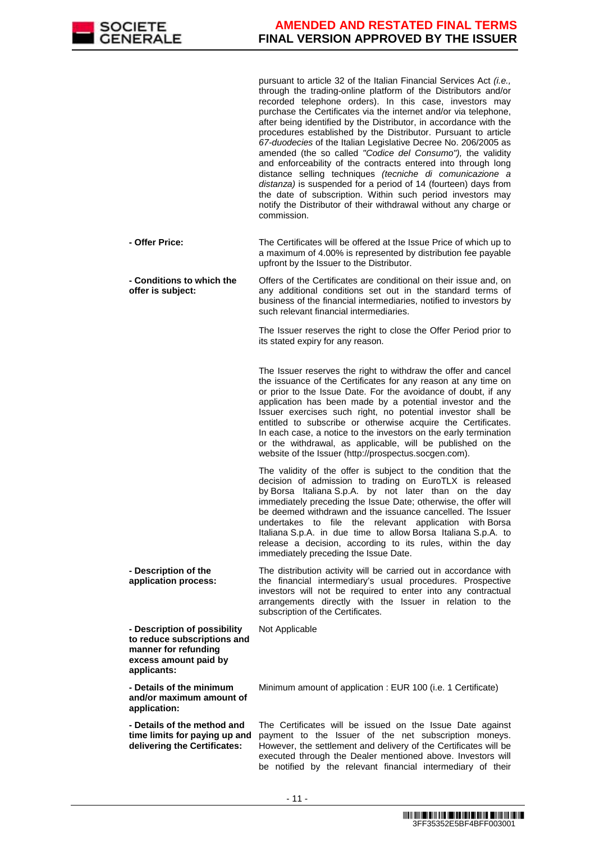

pursuant to article 32 of the Italian Financial Services Act (i.e., through the trading-online platform of the Distributors and/or recorded telephone orders). In this case, investors may purchase the Certificates via the internet and/or via telephone, after being identified by the Distributor, in accordance with the procedures established by the Distributor. Pursuant to article 67-duodecies of the Italian Legislative Decree No. 206/2005 as amended (the so called "Codice del Consumo"), the validity and enforceability of the contracts entered into through long distance selling techniques (tecniche di comunicazione a distanza) is suspended for a period of 14 (fourteen) days from the date of subscription. Within such period investors may notify the Distributor of their withdrawal without any charge or commission.

| - Offer Price: | The Certificates will be offered at the Issue Price of which up to |
|----------------|--------------------------------------------------------------------|
|                | a maximum of 4.00% is represented by distribution fee payable      |
|                | upfront by the Issuer to the Distributor.                          |

 **- Conditions to which the offer is subject:** Offers of the Certificates are conditional on their issue and, on any additional conditions set out in the standard terms of business of the financial intermediaries, notified to investors by such relevant financial intermediaries.

> The Issuer reserves the right to close the Offer Period prior to its stated expiry for any reason.

> The Issuer reserves the right to withdraw the offer and cancel the issuance of the Certificates for any reason at any time on or prior to the Issue Date. For the avoidance of doubt, if any application has been made by a potential investor and the Issuer exercises such right, no potential investor shall be entitled to subscribe or otherwise acquire the Certificates. In each case, a notice to the investors on the early termination or the withdrawal, as applicable, will be published on the website of the Issuer (http://prospectus.socgen.com).

> The validity of the offer is subject to the condition that the decision of admission to trading on EuroTLX is released by Borsa Italiana S.p.A. by not later than on the day immediately preceding the Issue Date; otherwise, the offer will be deemed withdrawn and the issuance cancelled. The Issuer undertakes to file the relevant application with Borsa Italiana S.p.A. in due time to allow Borsa Italiana S.p.A. to release a decision, according to its rules, within the day immediately preceding the Issue Date.

 **- Description of the application process:** The distribution activity will be carried out in accordance with the financial intermediary's usual procedures. Prospective investors will not be required to enter into any contractual arrangements directly with the Issuer in relation to the subscription of the Certificates.

Not Applicable

 **- Description of possibility to reduce subscriptions and manner for refunding excess amount paid by applicants:**

 **- Details of the minimum and/or maximum amount of application:**

 **- Details of the method and time limits for paying up and delivering the Certificates:**

Minimum amount of application : EUR 100 (i.e. 1 Certificate)

The Certificates will be issued on the Issue Date against payment to the Issuer of the net subscription moneys. However, the settlement and delivery of the Certificates will be executed through the Dealer mentioned above. Investors will be notified by the relevant financial intermediary of their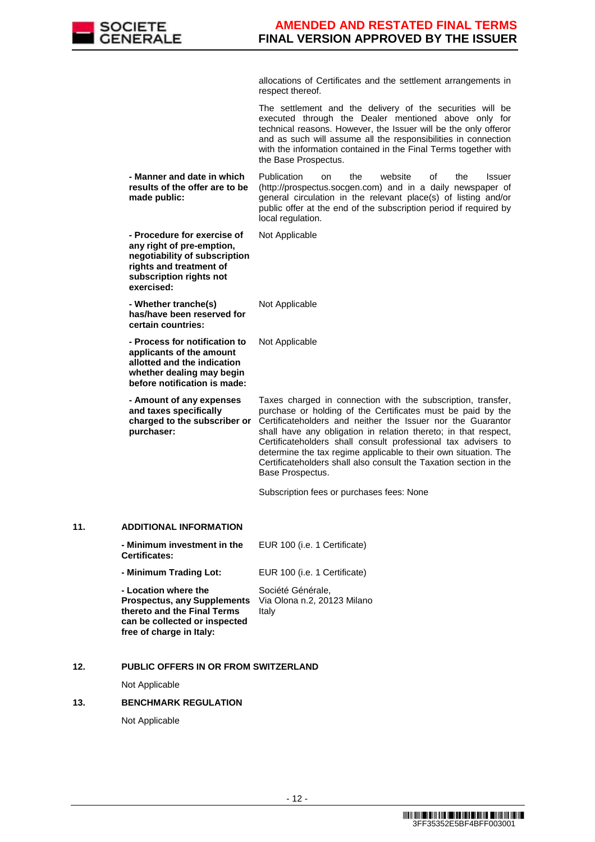

allocations of Certificates and the settlement arrangements in respect thereof.

|     |                                                                                                                                                               | The settlement and the delivery of the securities will be<br>executed through the Dealer mentioned above only for<br>technical reasons. However, the Issuer will be the only offeror<br>and as such will assume all the responsibilities in connection<br>with the information contained in the Final Terms together with<br>the Base Prospectus.                                                                                                                                          |
|-----|---------------------------------------------------------------------------------------------------------------------------------------------------------------|--------------------------------------------------------------------------------------------------------------------------------------------------------------------------------------------------------------------------------------------------------------------------------------------------------------------------------------------------------------------------------------------------------------------------------------------------------------------------------------------|
|     | - Manner and date in which<br>results of the offer are to be<br>made public:                                                                                  | Publication<br>website<br>the<br>οf<br>the<br><b>Issuer</b><br>on<br>(http://prospectus.socgen.com) and in a daily newspaper of<br>general circulation in the relevant place(s) of listing and/or<br>public offer at the end of the subscription period if required by<br>local regulation.                                                                                                                                                                                                |
|     | - Procedure for exercise of<br>any right of pre-emption,<br>negotiability of subscription<br>rights and treatment of<br>subscription rights not<br>exercised: | Not Applicable                                                                                                                                                                                                                                                                                                                                                                                                                                                                             |
|     | - Whether tranche(s)<br>has/have been reserved for<br>certain countries:                                                                                      | Not Applicable                                                                                                                                                                                                                                                                                                                                                                                                                                                                             |
|     | - Process for notification to<br>applicants of the amount<br>allotted and the indication<br>whether dealing may begin<br>before notification is made:         | Not Applicable                                                                                                                                                                                                                                                                                                                                                                                                                                                                             |
|     | - Amount of any expenses<br>and taxes specifically<br>charged to the subscriber or<br>purchaser:                                                              | Taxes charged in connection with the subscription, transfer,<br>purchase or holding of the Certificates must be paid by the<br>Certificateholders and neither the Issuer nor the Guarantor<br>shall have any obligation in relation thereto; in that respect,<br>Certificateholders shall consult professional tax advisers to<br>determine the tax regime applicable to their own situation. The<br>Certificateholders shall also consult the Taxation section in the<br>Base Prospectus. |
|     |                                                                                                                                                               | Subscription fees or purchases fees: None                                                                                                                                                                                                                                                                                                                                                                                                                                                  |
| 11. | <b>ADDITIONAL INFORMATION</b>                                                                                                                                 |                                                                                                                                                                                                                                                                                                                                                                                                                                                                                            |
|     | Minimum investment in the EUR 100 (i.e. 1 Certificate)<br><b>Certificates:</b>                                                                                |                                                                                                                                                                                                                                                                                                                                                                                                                                                                                            |
|     | - Minimum Trading Lot:                                                                                                                                        | EUR 100 (i.e. 1 Certificate)                                                                                                                                                                                                                                                                                                                                                                                                                                                               |
|     | - Location where the<br><b>Prospectus, any Supplements</b><br>thereto and the Final Terms<br>can be collected or inspected<br>free of charge in Italy:        | Société Générale,<br>Via Olona n.2, 20123 Milano<br>Italy                                                                                                                                                                                                                                                                                                                                                                                                                                  |
|     |                                                                                                                                                               |                                                                                                                                                                                                                                                                                                                                                                                                                                                                                            |

# **12. PUBLIC OFFERS IN OR FROM SWITZERLAND**

Not Applicable

#### **13. BENCHMARK REGULATION**

Not Applicable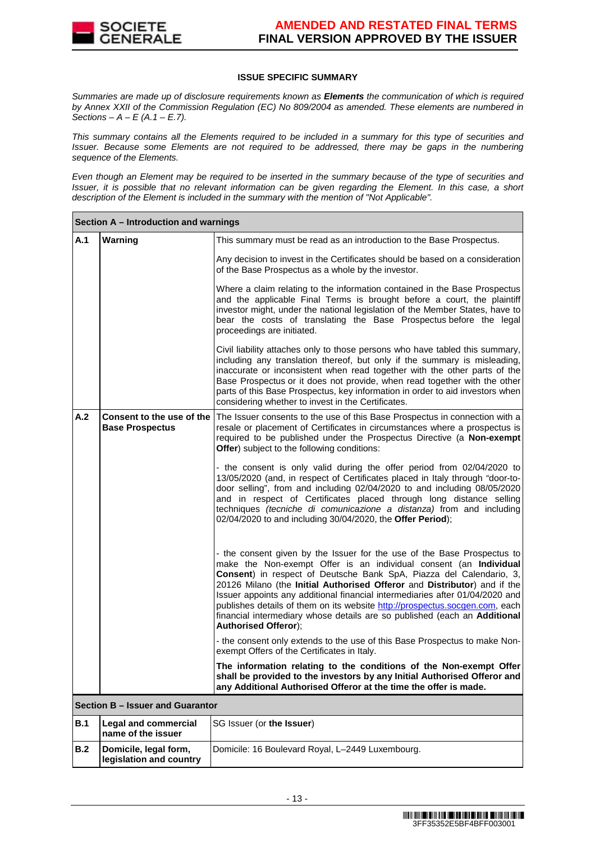

#### **ISSUE SPECIFIC SUMMARY**

Summaries are made up of disclosure requirements known as **Elements** the communication of which is required by Annex XXII of the Commission Regulation (EC) No 809/2004 as amended. These elements are numbered in Sections –  $A - E(A.1 - E.7)$ .

This summary contains all the Elements required to be included in a summary for this type of securities and Issuer. Because some Elements are not required to be addressed, there may be gaps in the numbering sequence of the Elements.

Even though an Element may be required to be inserted in the summary because of the type of securities and Issuer, it is possible that no relevant information can be given regarding the Element. In this case, a short description of the Element is included in the summary with the mention of "Not Applicable".

|            | Section A - Introduction and warnings               |                                                                                                                                                                                                                                                                                                                                                                                                                                                                                                                                                                            |
|------------|-----------------------------------------------------|----------------------------------------------------------------------------------------------------------------------------------------------------------------------------------------------------------------------------------------------------------------------------------------------------------------------------------------------------------------------------------------------------------------------------------------------------------------------------------------------------------------------------------------------------------------------------|
| A.1        | Warning                                             | This summary must be read as an introduction to the Base Prospectus.                                                                                                                                                                                                                                                                                                                                                                                                                                                                                                       |
|            |                                                     | Any decision to invest in the Certificates should be based on a consideration<br>of the Base Prospectus as a whole by the investor.                                                                                                                                                                                                                                                                                                                                                                                                                                        |
|            |                                                     | Where a claim relating to the information contained in the Base Prospectus<br>and the applicable Final Terms is brought before a court, the plaintiff<br>investor might, under the national legislation of the Member States, have to<br>bear the costs of translating the Base Prospectus before the legal<br>proceedings are initiated.                                                                                                                                                                                                                                  |
|            |                                                     | Civil liability attaches only to those persons who have tabled this summary,<br>including any translation thereof, but only if the summary is misleading,<br>inaccurate or inconsistent when read together with the other parts of the<br>Base Prospectus or it does not provide, when read together with the other<br>parts of this Base Prospectus, key information in order to aid investors when<br>considering whether to invest in the Certificates.                                                                                                                 |
| A.2        | Consent to the use of the<br><b>Base Prospectus</b> | The Issuer consents to the use of this Base Prospectus in connection with a<br>resale or placement of Certificates in circumstances where a prospectus is<br>required to be published under the Prospectus Directive (a Non-exempt<br>Offer) subject to the following conditions:                                                                                                                                                                                                                                                                                          |
|            |                                                     | - the consent is only valid during the offer period from 02/04/2020 to<br>13/05/2020 (and, in respect of Certificates placed in Italy through "door-to-<br>door selling", from and including 02/04/2020 to and including 08/05/2020<br>and in respect of Certificates placed through long distance selling<br>techniques (tecniche di comunicazione a distanza) from and including<br>02/04/2020 to and including 30/04/2020, the Offer Period);                                                                                                                           |
|            |                                                     | - the consent given by the Issuer for the use of the Base Prospectus to<br>make the Non-exempt Offer is an individual consent (an Individual<br>Consent) in respect of Deutsche Bank SpA, Piazza del Calendario, 3,<br>20126 Milano (the Initial Authorised Offeror and Distributor) and if the<br>Issuer appoints any additional financial intermediaries after 01/04/2020 and<br>publishes details of them on its website http://prospectus.socgen.com, each<br>financial intermediary whose details are so published (each an Additional<br><b>Authorised Offeror);</b> |
|            |                                                     | - the consent only extends to the use of this Base Prospectus to make Non-<br>exempt Offers of the Certificates in Italy.                                                                                                                                                                                                                                                                                                                                                                                                                                                  |
|            |                                                     | The information relating to the conditions of the Non-exempt Offer<br>shall be provided to the investors by any Initial Authorised Offeror and<br>any Additional Authorised Offeror at the time the offer is made.                                                                                                                                                                                                                                                                                                                                                         |
|            | Section B - Issuer and Guarantor                    |                                                                                                                                                                                                                                                                                                                                                                                                                                                                                                                                                                            |
| <b>B.1</b> | <b>Legal and commercial</b><br>name of the issuer   | SG Issuer (or the Issuer)                                                                                                                                                                                                                                                                                                                                                                                                                                                                                                                                                  |
| B.2        | Domicile, legal form,<br>legislation and country    | Domicile: 16 Boulevard Royal, L-2449 Luxembourg.                                                                                                                                                                                                                                                                                                                                                                                                                                                                                                                           |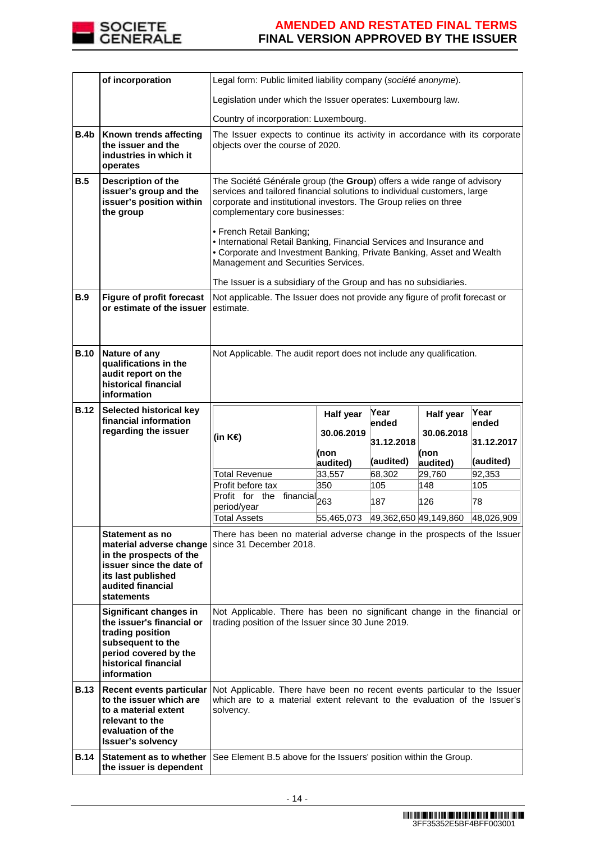

|             | of incorporation                                                                                                                                                                     | Legal form: Public limited liability company (société anonyme).                                                                                                                                                                                          |                                                                                                                  |                       |            |               |
|-------------|--------------------------------------------------------------------------------------------------------------------------------------------------------------------------------------|----------------------------------------------------------------------------------------------------------------------------------------------------------------------------------------------------------------------------------------------------------|------------------------------------------------------------------------------------------------------------------|-----------------------|------------|---------------|
|             |                                                                                                                                                                                      | Legislation under which the Issuer operates: Luxembourg law.                                                                                                                                                                                             |                                                                                                                  |                       |            |               |
|             |                                                                                                                                                                                      | Country of incorporation: Luxembourg.                                                                                                                                                                                                                    |                                                                                                                  |                       |            |               |
| B.4b        | Known trends affecting<br>the issuer and the<br>industries in which it<br>operates                                                                                                   |                                                                                                                                                                                                                                                          | The Issuer expects to continue its activity in accordance with its corporate<br>objects over the course of 2020. |                       |            |               |
| <b>B.5</b>  | Description of the<br>issuer's group and the<br>issuer's position within<br>the group                                                                                                | The Société Générale group (the Group) offers a wide range of advisory<br>services and tailored financial solutions to individual customers, large<br>corporate and institutional investors. The Group relies on three<br>complementary core businesses: |                                                                                                                  |                       |            |               |
|             |                                                                                                                                                                                      | • French Retail Banking;<br>. International Retail Banking, Financial Services and Insurance and<br>• Corporate and Investment Banking, Private Banking, Asset and Wealth<br>Management and Securities Services.                                         |                                                                                                                  |                       |            |               |
|             |                                                                                                                                                                                      | The Issuer is a subsidiary of the Group and has no subsidiaries.                                                                                                                                                                                         |                                                                                                                  |                       |            |               |
| B.9         | <b>Figure of profit forecast</b><br>or estimate of the issuer                                                                                                                        | Not applicable. The Issuer does not provide any figure of profit forecast or<br>estimate.                                                                                                                                                                |                                                                                                                  |                       |            |               |
| <b>B.10</b> | Nature of any<br>qualifications in the<br>audit report on the<br>historical financial<br>information                                                                                 | Not Applicable. The audit report does not include any qualification.                                                                                                                                                                                     |                                                                                                                  |                       |            |               |
| <b>B.12</b> | Selected historical key<br>financial information                                                                                                                                     |                                                                                                                                                                                                                                                          | Half year                                                                                                        | Year<br>lended        | Half year  | Year<br>ended |
|             | regarding the issuer                                                                                                                                                                 | (in K€)                                                                                                                                                                                                                                                  | 30.06.2019                                                                                                       | 31.12.2018            | 30.06.2018 | 31.12.2017    |
|             |                                                                                                                                                                                      |                                                                                                                                                                                                                                                          | (non                                                                                                             |                       | (non       |               |
|             |                                                                                                                                                                                      |                                                                                                                                                                                                                                                          |                                                                                                                  |                       |            |               |
|             |                                                                                                                                                                                      |                                                                                                                                                                                                                                                          | audited)                                                                                                         | (audited)             | audited)   | (audited)     |
|             |                                                                                                                                                                                      | <b>Total Revenue</b>                                                                                                                                                                                                                                     | 33,557                                                                                                           | 68,302                | 29,760     | 92,353        |
|             |                                                                                                                                                                                      | Profit before tax<br>Profit for the                                                                                                                                                                                                                      | 350                                                                                                              | 105<br>187            | 148<br>126 | 105<br>78     |
|             |                                                                                                                                                                                      | $\overline{\text{final}}$ 263<br>period/year<br><b>Total Assets</b>                                                                                                                                                                                      |                                                                                                                  |                       |            |               |
|             | Statement as no<br>material adverse change   since 31 December 2018.<br>in the prospects of the<br>issuer since the date of<br>its last published<br>audited financial<br>statements | There has been no material adverse change in the prospects of the Issuer                                                                                                                                                                                 | 55,465,073                                                                                                       | 49,362,650 49,149,860 |            | 48,026,909    |
|             | Significant changes in<br>the issuer's financial or<br>trading position<br>subsequent to the<br>period covered by the<br>historical financial<br>information                         | Not Applicable. There has been no significant change in the financial or<br>trading position of the Issuer since 30 June 2019.                                                                                                                           |                                                                                                                  |                       |            |               |
| <b>B.13</b> | Recent events particular<br>to the issuer which are<br>to a material extent<br>relevant to the<br>evaluation of the<br><b>Issuer's solvency</b>                                      | Not Applicable. There have been no recent events particular to the Issuer<br>which are to a material extent relevant to the evaluation of the Issuer's<br>solvency.                                                                                      |                                                                                                                  |                       |            |               |
| <b>B.14</b> | Statement as to whether<br>the issuer is dependent                                                                                                                                   | See Element B.5 above for the Issuers' position within the Group.                                                                                                                                                                                        |                                                                                                                  |                       |            |               |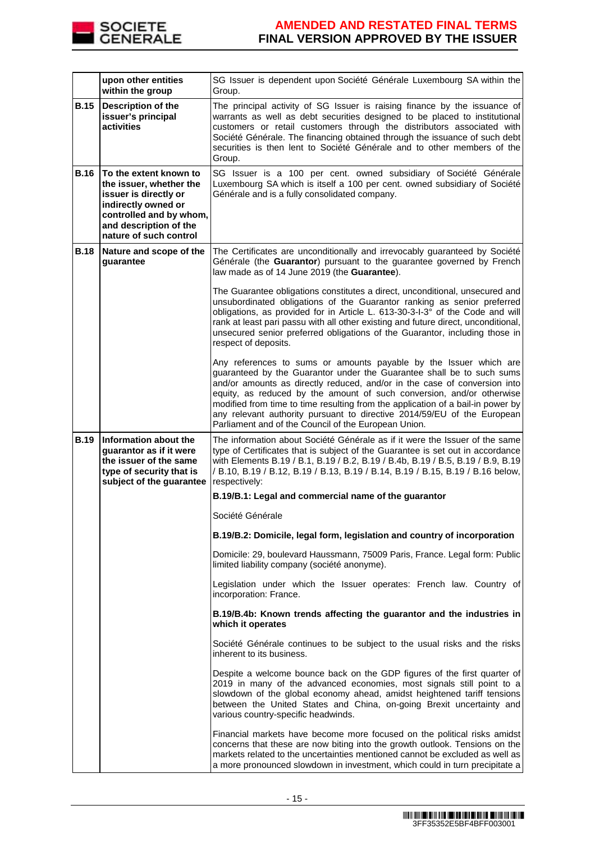

|             | upon other entities<br>within the group                                                                                                                                          | SG Issuer is dependent upon Société Générale Luxembourg SA within the<br>Group.                                                                                                                                                                                                                                                                                                                                                                                                                                        |
|-------------|----------------------------------------------------------------------------------------------------------------------------------------------------------------------------------|------------------------------------------------------------------------------------------------------------------------------------------------------------------------------------------------------------------------------------------------------------------------------------------------------------------------------------------------------------------------------------------------------------------------------------------------------------------------------------------------------------------------|
| <b>B.15</b> | <b>Description of the</b><br>issuer's principal<br>activities                                                                                                                    | The principal activity of SG Issuer is raising finance by the issuance of<br>warrants as well as debt securities designed to be placed to institutional<br>customers or retail customers through the distributors associated with<br>Société Générale. The financing obtained through the issuance of such debt<br>securities is then lent to Société Générale and to other members of the<br>Group.                                                                                                                   |
| <b>B.16</b> | To the extent known to<br>the issuer, whether the<br>issuer is directly or<br>indirectly owned or<br>controlled and by whom,<br>and description of the<br>nature of such control | SG Issuer is a 100 per cent. owned subsidiary of Société Générale<br>Luxembourg SA which is itself a 100 per cent. owned subsidiary of Société<br>Générale and is a fully consolidated company.                                                                                                                                                                                                                                                                                                                        |
| <b>B.18</b> | Nature and scope of the<br>guarantee                                                                                                                                             | The Certificates are unconditionally and irrevocably guaranteed by Société<br>Générale (the Guarantor) pursuant to the guarantee governed by French<br>law made as of 14 June 2019 (the Guarantee).                                                                                                                                                                                                                                                                                                                    |
|             |                                                                                                                                                                                  | The Guarantee obligations constitutes a direct, unconditional, unsecured and<br>unsubordinated obligations of the Guarantor ranking as senior preferred<br>obligations, as provided for in Article L. 613-30-3-I-3° of the Code and will<br>rank at least pari passu with all other existing and future direct, unconditional,<br>unsecured senior preferred obligations of the Guarantor, including those in<br>respect of deposits.                                                                                  |
|             |                                                                                                                                                                                  | Any references to sums or amounts payable by the Issuer which are<br>guaranteed by the Guarantor under the Guarantee shall be to such sums<br>and/or amounts as directly reduced, and/or in the case of conversion into<br>equity, as reduced by the amount of such conversion, and/or otherwise<br>modified from time to time resulting from the application of a bail-in power by<br>any relevant authority pursuant to directive 2014/59/EU of the European<br>Parliament and of the Council of the European Union. |
| <b>B.19</b> | Information about the<br>guarantor as if it were<br>the issuer of the same<br>type of security that is<br>subject of the guarantee                                               | The information about Société Générale as if it were the Issuer of the same<br>type of Certificates that is subject of the Guarantee is set out in accordance<br>with Elements B.19 / B.1, B.19 / B.2, B.19 / B.4b, B.19 / B.5, B.19 / B.9, B.19<br>/ B.10, B.19 / B.12, B.19 / B.13, B.19 / B.14, B.19 / B.15, B.19 / B.16 below,<br>respectively:                                                                                                                                                                    |
|             |                                                                                                                                                                                  | B.19/B.1: Legal and commercial name of the guarantor                                                                                                                                                                                                                                                                                                                                                                                                                                                                   |
|             |                                                                                                                                                                                  | Société Générale                                                                                                                                                                                                                                                                                                                                                                                                                                                                                                       |
|             |                                                                                                                                                                                  | B.19/B.2: Domicile, legal form, legislation and country of incorporation                                                                                                                                                                                                                                                                                                                                                                                                                                               |
|             |                                                                                                                                                                                  | Domicile: 29, boulevard Haussmann, 75009 Paris, France. Legal form: Public<br>limited liability company (société anonyme).                                                                                                                                                                                                                                                                                                                                                                                             |
|             |                                                                                                                                                                                  | Legislation under which the Issuer operates: French law. Country of<br>incorporation: France.                                                                                                                                                                                                                                                                                                                                                                                                                          |
|             |                                                                                                                                                                                  | B.19/B.4b: Known trends affecting the guarantor and the industries in<br>which it operates                                                                                                                                                                                                                                                                                                                                                                                                                             |
|             |                                                                                                                                                                                  | Société Générale continues to be subject to the usual risks and the risks<br>inherent to its business.                                                                                                                                                                                                                                                                                                                                                                                                                 |
|             |                                                                                                                                                                                  | Despite a welcome bounce back on the GDP figures of the first quarter of<br>2019 in many of the advanced economies, most signals still point to a<br>slowdown of the global economy ahead, amidst heightened tariff tensions<br>between the United States and China, on-going Brexit uncertainty and<br>various country-specific headwinds.                                                                                                                                                                            |
|             |                                                                                                                                                                                  | Financial markets have become more focused on the political risks amidst<br>concerns that these are now biting into the growth outlook. Tensions on the<br>markets related to the uncertainties mentioned cannot be excluded as well as<br>a more pronounced slowdown in investment, which could in turn precipitate a                                                                                                                                                                                                 |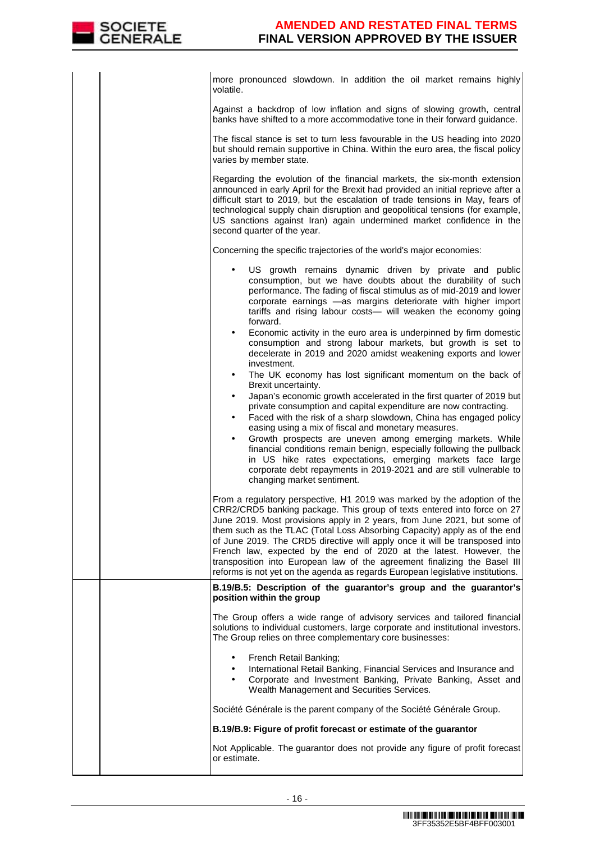| more pronounced slowdown. In addition the oil market remains highly<br>volatile.                                                                                                                                                                                                                                                                                                                                                                                                                                                                                                                                                  |
|-----------------------------------------------------------------------------------------------------------------------------------------------------------------------------------------------------------------------------------------------------------------------------------------------------------------------------------------------------------------------------------------------------------------------------------------------------------------------------------------------------------------------------------------------------------------------------------------------------------------------------------|
| Against a backdrop of low inflation and signs of slowing growth, central<br>banks have shifted to a more accommodative tone in their forward guidance.                                                                                                                                                                                                                                                                                                                                                                                                                                                                            |
| The fiscal stance is set to turn less favourable in the US heading into 2020<br>but should remain supportive in China. Within the euro area, the fiscal policy<br>varies by member state.                                                                                                                                                                                                                                                                                                                                                                                                                                         |
| Regarding the evolution of the financial markets, the six-month extension<br>announced in early April for the Brexit had provided an initial reprieve after a<br>difficult start to 2019, but the escalation of trade tensions in May, fears of<br>technological supply chain disruption and geopolitical tensions (for example,<br>US sanctions against Iran) again undermined market confidence in the<br>second quarter of the year.                                                                                                                                                                                           |
| Concerning the specific trajectories of the world's major economies:                                                                                                                                                                                                                                                                                                                                                                                                                                                                                                                                                              |
| US growth remains dynamic driven by private and public<br>consumption, but we have doubts about the durability of such<br>performance. The fading of fiscal stimulus as of mid-2019 and lower<br>corporate earnings -as margins deteriorate with higher import<br>tariffs and rising labour costs- will weaken the economy going<br>forward.<br>Economic activity in the euro area is underpinned by firm domestic<br>$\bullet$                                                                                                                                                                                                   |
| consumption and strong labour markets, but growth is set to<br>decelerate in 2019 and 2020 amidst weakening exports and lower<br>investment.<br>The UK economy has lost significant momentum on the back of<br>$\bullet$                                                                                                                                                                                                                                                                                                                                                                                                          |
| Brexit uncertainty.<br>Japan's economic growth accelerated in the first quarter of 2019 but<br>$\bullet$                                                                                                                                                                                                                                                                                                                                                                                                                                                                                                                          |
| private consumption and capital expenditure are now contracting.<br>Faced with the risk of a sharp slowdown, China has engaged policy<br>$\bullet$<br>easing using a mix of fiscal and monetary measures.                                                                                                                                                                                                                                                                                                                                                                                                                         |
| Growth prospects are uneven among emerging markets. While<br>$\bullet$<br>financial conditions remain benign, especially following the pullback<br>in US hike rates expectations, emerging markets face large<br>corporate debt repayments in 2019-2021 and are still vulnerable to<br>changing market sentiment.                                                                                                                                                                                                                                                                                                                 |
| From a regulatory perspective, H1 2019 was marked by the adoption of the<br>CRR2/CRD5 banking package. This group of texts entered into force on 27<br>June 2019. Most provisions apply in 2 years, from June 2021, but some of<br>them such as the TLAC (Total Loss Absorbing Capacity) apply as of the end<br>of June 2019. The CRD5 directive will apply once it will be transposed into<br>French law, expected by the end of 2020 at the latest. However, the<br>transposition into European law of the agreement finalizing the Basel III<br>reforms is not yet on the agenda as regards European legislative institutions. |
| B.19/B.5: Description of the guarantor's group and the guarantor's<br>position within the group                                                                                                                                                                                                                                                                                                                                                                                                                                                                                                                                   |
| The Group offers a wide range of advisory services and tailored financial<br>solutions to individual customers, large corporate and institutional investors.<br>The Group relies on three complementary core businesses:                                                                                                                                                                                                                                                                                                                                                                                                          |
| French Retail Banking;<br>International Retail Banking, Financial Services and Insurance and<br>Corporate and Investment Banking, Private Banking, Asset and<br>Wealth Management and Securities Services.                                                                                                                                                                                                                                                                                                                                                                                                                        |
| Société Générale is the parent company of the Société Générale Group.                                                                                                                                                                                                                                                                                                                                                                                                                                                                                                                                                             |
| B.19/B.9: Figure of profit forecast or estimate of the guarantor                                                                                                                                                                                                                                                                                                                                                                                                                                                                                                                                                                  |
| Not Applicable. The guarantor does not provide any figure of profit forecast<br>or estimate.                                                                                                                                                                                                                                                                                                                                                                                                                                                                                                                                      |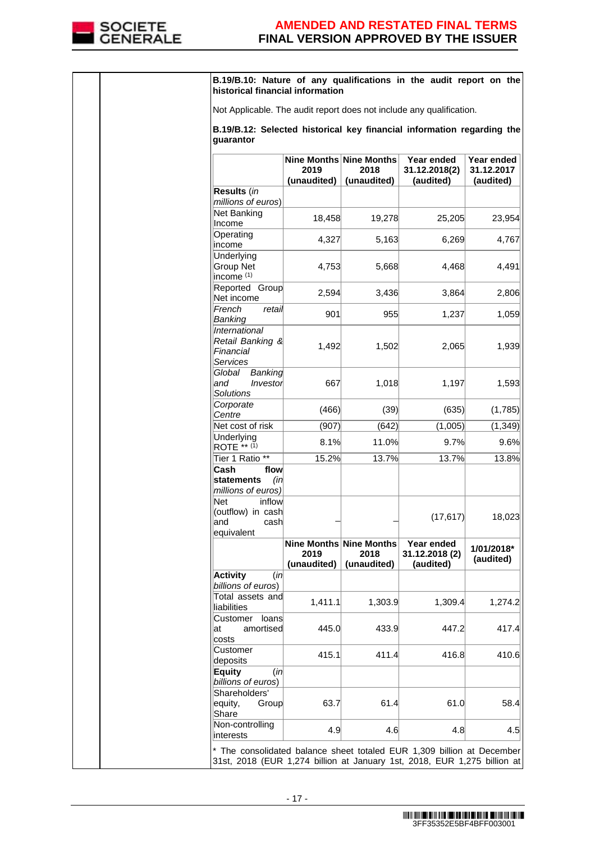

|  | B.19/B.10: Nature of any qualifications in the audit report on the<br>historical financial information                                             |                                                |                     |                                           |                                       |
|--|----------------------------------------------------------------------------------------------------------------------------------------------------|------------------------------------------------|---------------------|-------------------------------------------|---------------------------------------|
|  | Not Applicable. The audit report does not include any qualification.                                                                               |                                                |                     |                                           |                                       |
|  | B.19/B.12: Selected historical key financial information regarding the<br>quarantor                                                                |                                                |                     |                                           |                                       |
|  |                                                                                                                                                    | Nine Months Nine Months<br>2019<br>(unaudited) | 2018<br>(unaudited) | Year ended<br>31.12.2018(2)<br>(audited)  | Year ended<br>31.12.2017<br>(audited) |
|  | Results (in<br>millions of euros)                                                                                                                  |                                                |                     |                                           |                                       |
|  | Net Banking<br>Income                                                                                                                              | 18,458                                         | 19,278              | 25,205                                    | 23,954                                |
|  | Operating<br>income                                                                                                                                | 4,327                                          | 5,163               | 6,269                                     | 4,767                                 |
|  | Underlying<br><b>Group Net</b><br>income <sup>(1)</sup>                                                                                            | 4,753                                          | 5,668               | 4,468                                     | 4,491                                 |
|  | Reported Group<br>Net income                                                                                                                       | 2,594                                          | 3,436               | 3,864                                     | 2,806                                 |
|  | French<br>retail<br>Banking                                                                                                                        | 901                                            | 955                 | 1,237                                     | 1,059                                 |
|  | International<br>Retail Banking &<br>Financial<br>Services                                                                                         | 1,492                                          | 1,502               | 2,065                                     | 1,939                                 |
|  | Global<br>Banking<br>and<br>Investor<br><b>Solutions</b>                                                                                           | 667                                            | 1,018               | 1,197                                     | 1,593                                 |
|  | Corporate<br>Centre                                                                                                                                | (466)                                          | (39)                | (635)                                     | (1,785)                               |
|  | Net cost of risk                                                                                                                                   | (907)                                          | (642)               | (1,005)                                   | (1, 349)                              |
|  | Underlying<br>ROTE ** $(1)$                                                                                                                        | 8.1%                                           | 11.0%               | 9.7%                                      | 9.6%                                  |
|  | Tier 1 Ratio **<br>Cash<br>flow                                                                                                                    | 15.2%                                          | 13.7%               | 13.7%                                     | 13.8%                                 |
|  | statements<br>(in<br>millions of euros)<br>Net<br>inflow                                                                                           |                                                |                     |                                           |                                       |
|  | (outflow) in cash<br>and<br>cash<br>equivalent                                                                                                     |                                                |                     | (17, 617)                                 | 18,023                                |
|  |                                                                                                                                                    | Nine Months Nine Months<br>2019<br>(unaudited) | 2018<br>(unaudited) | Year ended<br>31.12.2018 (2)<br>(audited) | 1/01/2018*<br>(audited)               |
|  | <b>Activity</b><br>(in<br>billions of euros)                                                                                                       |                                                |                     |                                           |                                       |
|  | Total assets and<br>liabilities                                                                                                                    | 1,411.1                                        | 1,303.9             | 1,309.4                                   | 1,274.2                               |
|  | Customer<br>loans<br>amortised<br>lat<br>costs                                                                                                     | 445.0                                          | 433.9               | 447.2                                     | 417.4                                 |
|  | Customer<br>deposits                                                                                                                               | 415.1                                          | 411.4               | 416.8                                     | 410.6                                 |
|  | <b>Equity</b><br>(in<br>billions of euros)                                                                                                         |                                                |                     |                                           |                                       |
|  | Shareholders'<br>equity,<br>Group<br>Share                                                                                                         | 63.7                                           | 61.4                | 61.0                                      | 58.4                                  |
|  | Non-controlling<br>interests                                                                                                                       | 4.9                                            | 4.6                 | 4.8                                       | 4.5                                   |
|  | * The consolidated balance sheet totaled EUR 1,309 billion at December<br>31st, 2018 (EUR 1,274 billion at January 1st, 2018, EUR 1,275 billion at |                                                |                     |                                           |                                       |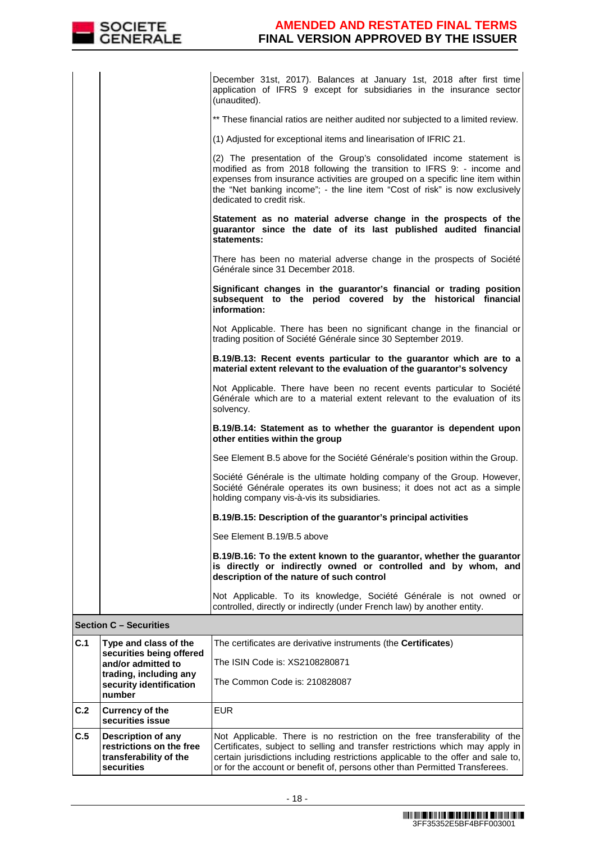

| C.1 | Type and class of the         | The certificates are derivative instruments (the Certificates)                                                                                                                                                                                                                                                                              |  |  |  |
|-----|-------------------------------|---------------------------------------------------------------------------------------------------------------------------------------------------------------------------------------------------------------------------------------------------------------------------------------------------------------------------------------------|--|--|--|
|     | <b>Section C - Securities</b> |                                                                                                                                                                                                                                                                                                                                             |  |  |  |
|     |                               | Not Applicable. To its knowledge, Société Générale is not owned or<br>controlled, directly or indirectly (under French law) by another entity.                                                                                                                                                                                              |  |  |  |
|     |                               | B.19/B.16: To the extent known to the guarantor, whether the guarantor<br>is directly or indirectly owned or controlled and by whom, and<br>description of the nature of such control                                                                                                                                                       |  |  |  |
|     |                               | See Element B.19/B.5 above                                                                                                                                                                                                                                                                                                                  |  |  |  |
|     |                               | B.19/B.15: Description of the guarantor's principal activities                                                                                                                                                                                                                                                                              |  |  |  |
|     |                               | Société Générale is the ultimate holding company of the Group. However,<br>Société Générale operates its own business; it does not act as a simple<br>holding company vis-à-vis its subsidiaries.                                                                                                                                           |  |  |  |
|     |                               | See Element B.5 above for the Société Générale's position within the Group.                                                                                                                                                                                                                                                                 |  |  |  |
|     |                               | B.19/B.14: Statement as to whether the guarantor is dependent upon<br>other entities within the group                                                                                                                                                                                                                                       |  |  |  |
|     |                               | Not Applicable. There have been no recent events particular to Société<br>Générale which are to a material extent relevant to the evaluation of its<br>solvency.                                                                                                                                                                            |  |  |  |
|     |                               | B.19/B.13: Recent events particular to the guarantor which are to a<br>material extent relevant to the evaluation of the guarantor's solvency                                                                                                                                                                                               |  |  |  |
|     |                               | Not Applicable. There has been no significant change in the financial or<br>trading position of Société Générale since 30 September 2019.                                                                                                                                                                                                   |  |  |  |
|     |                               | Significant changes in the guarantor's financial or trading position<br>subsequent to the period covered by the historical financial<br>information:                                                                                                                                                                                        |  |  |  |
|     |                               | There has been no material adverse change in the prospects of Société<br>Générale since 31 December 2018.                                                                                                                                                                                                                                   |  |  |  |
|     |                               | Statement as no material adverse change in the prospects of the<br>guarantor since the date of its last published audited financial<br>statements:                                                                                                                                                                                          |  |  |  |
|     |                               | (2) The presentation of the Group's consolidated income statement is<br>modified as from 2018 following the transition to IFRS 9: - income and<br>expenses from insurance activities are grouped on a specific line item within<br>the "Net banking income"; - the line item "Cost of risk" is now exclusively<br>dedicated to credit risk. |  |  |  |
|     |                               | (1) Adjusted for exceptional items and linearisation of IFRIC 21.                                                                                                                                                                                                                                                                           |  |  |  |
|     |                               | ** These financial ratios are neither audited nor subjected to a limited review.                                                                                                                                                                                                                                                            |  |  |  |
|     |                               | December 31st, 2017). Balances at January 1st, 2018 after first time<br>application of IFRS 9 except for subsidiaries in the insurance sector<br>(unaudited).                                                                                                                                                                               |  |  |  |

| $\overline{c.1}$ | Type and class of the<br>securities being offered<br>and/or admitted to<br>trading, including any<br>security identification<br>number | The certificates are derivative instruments (the <b>Certificates</b> )<br>The ISIN Code is: XS2108280871<br>The Common Code is: 210828087                                                                                                                                                                                       |
|------------------|----------------------------------------------------------------------------------------------------------------------------------------|---------------------------------------------------------------------------------------------------------------------------------------------------------------------------------------------------------------------------------------------------------------------------------------------------------------------------------|
| C.2              | <b>Currency of the</b><br>securities issue                                                                                             | <b>EUR</b>                                                                                                                                                                                                                                                                                                                      |
| C.5              | Description of any<br>restrictions on the free<br>transferability of the<br>securities                                                 | Not Applicable. There is no restriction on the free transferability of the<br>Certificates, subject to selling and transfer restrictions which may apply in<br>certain jurisdictions including restrictions applicable to the offer and sale to,<br>or for the account or benefit of, persons other than Permitted Transferees. |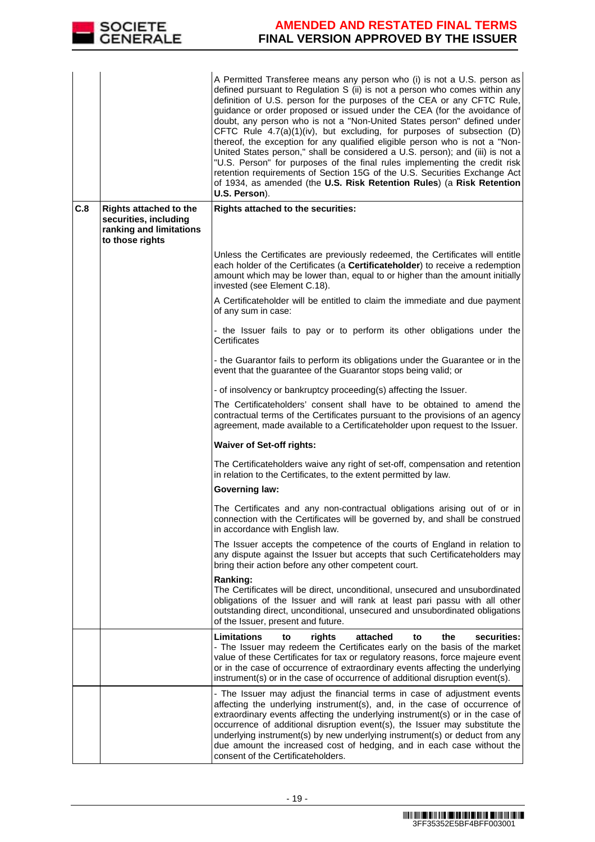

|     |                                                                                                      | A Permitted Transferee means any person who (i) is not a U.S. person as<br>defined pursuant to Regulation S (ii) is not a person who comes within any<br>definition of U.S. person for the purposes of the CEA or any CFTC Rule,<br>guidance or order proposed or issued under the CEA (for the avoidance of<br>doubt, any person who is not a "Non-United States person" defined under<br>CFTC Rule 4.7(a)(1)(iv), but excluding, for purposes of subsection (D)<br>thereof, the exception for any qualified eligible person who is not a "Non-<br>United States person," shall be considered a U.S. person); and (iii) is not a<br>"U.S. Person" for purposes of the final rules implementing the credit risk<br>retention requirements of Section 15G of the U.S. Securities Exchange Act<br>of 1934, as amended (the U.S. Risk Retention Rules) (a Risk Retention<br>U.S. Person). |
|-----|------------------------------------------------------------------------------------------------------|----------------------------------------------------------------------------------------------------------------------------------------------------------------------------------------------------------------------------------------------------------------------------------------------------------------------------------------------------------------------------------------------------------------------------------------------------------------------------------------------------------------------------------------------------------------------------------------------------------------------------------------------------------------------------------------------------------------------------------------------------------------------------------------------------------------------------------------------------------------------------------------|
| C.8 | <b>Rights attached to the</b><br>securities, including<br>ranking and limitations<br>to those rights | <b>Rights attached to the securities:</b>                                                                                                                                                                                                                                                                                                                                                                                                                                                                                                                                                                                                                                                                                                                                                                                                                                              |
|     |                                                                                                      | Unless the Certificates are previously redeemed, the Certificates will entitle<br>each holder of the Certificates (a Certificateholder) to receive a redemption<br>amount which may be lower than, equal to or higher than the amount initially<br>invested (see Element C.18).                                                                                                                                                                                                                                                                                                                                                                                                                                                                                                                                                                                                        |
|     |                                                                                                      | A Certificateholder will be entitled to claim the immediate and due payment<br>of any sum in case:                                                                                                                                                                                                                                                                                                                                                                                                                                                                                                                                                                                                                                                                                                                                                                                     |
|     |                                                                                                      | - the Issuer fails to pay or to perform its other obligations under the<br>Certificates                                                                                                                                                                                                                                                                                                                                                                                                                                                                                                                                                                                                                                                                                                                                                                                                |
|     |                                                                                                      | - the Guarantor fails to perform its obligations under the Guarantee or in the<br>event that the guarantee of the Guarantor stops being valid; or                                                                                                                                                                                                                                                                                                                                                                                                                                                                                                                                                                                                                                                                                                                                      |
|     |                                                                                                      | - of insolvency or bankruptcy proceeding(s) affecting the Issuer.                                                                                                                                                                                                                                                                                                                                                                                                                                                                                                                                                                                                                                                                                                                                                                                                                      |
|     |                                                                                                      | The Certificateholders' consent shall have to be obtained to amend the<br>contractual terms of the Certificates pursuant to the provisions of an agency<br>agreement, made available to a Certificateholder upon request to the Issuer.                                                                                                                                                                                                                                                                                                                                                                                                                                                                                                                                                                                                                                                |
|     |                                                                                                      | <b>Waiver of Set-off rights:</b>                                                                                                                                                                                                                                                                                                                                                                                                                                                                                                                                                                                                                                                                                                                                                                                                                                                       |
|     |                                                                                                      | The Certificateholders waive any right of set-off, compensation and retention<br>in relation to the Certificates, to the extent permitted by law.                                                                                                                                                                                                                                                                                                                                                                                                                                                                                                                                                                                                                                                                                                                                      |
|     |                                                                                                      | <b>Governing law:</b>                                                                                                                                                                                                                                                                                                                                                                                                                                                                                                                                                                                                                                                                                                                                                                                                                                                                  |
|     |                                                                                                      | The Certificates and any non-contractual obligations arising out of or in<br>connection with the Certificates will be governed by, and shall be construed<br>in accordance with English law.                                                                                                                                                                                                                                                                                                                                                                                                                                                                                                                                                                                                                                                                                           |
|     |                                                                                                      | The Issuer accepts the competence of the courts of England in relation to<br>any dispute against the Issuer but accepts that such Certificateholders may<br>bring their action before any other competent court.                                                                                                                                                                                                                                                                                                                                                                                                                                                                                                                                                                                                                                                                       |
|     |                                                                                                      | Ranking:<br>The Certificates will be direct, unconditional, unsecured and unsubordinated<br>obligations of the Issuer and will rank at least pari passu with all other<br>outstanding direct, unconditional, unsecured and unsubordinated obligations<br>of the Issuer, present and future.                                                                                                                                                                                                                                                                                                                                                                                                                                                                                                                                                                                            |
|     |                                                                                                      | Limitations<br>rights<br>the<br>securities:<br>to<br>attached<br>to<br>- The Issuer may redeem the Certificates early on the basis of the market<br>value of these Certificates for tax or regulatory reasons, force majeure event<br>or in the case of occurrence of extraordinary events affecting the underlying<br>instrument(s) or in the case of occurrence of additional disruption event(s).                                                                                                                                                                                                                                                                                                                                                                                                                                                                                   |
|     |                                                                                                      | - The Issuer may adjust the financial terms in case of adjustment events<br>affecting the underlying instrument(s), and, in the case of occurrence of<br>extraordinary events affecting the underlying instrument(s) or in the case of<br>occurrence of additional disruption event(s), the Issuer may substitute the<br>underlying instrument(s) by new underlying instrument(s) or deduct from any<br>due amount the increased cost of hedging, and in each case without the<br>consent of the Certificateholders.                                                                                                                                                                                                                                                                                                                                                                   |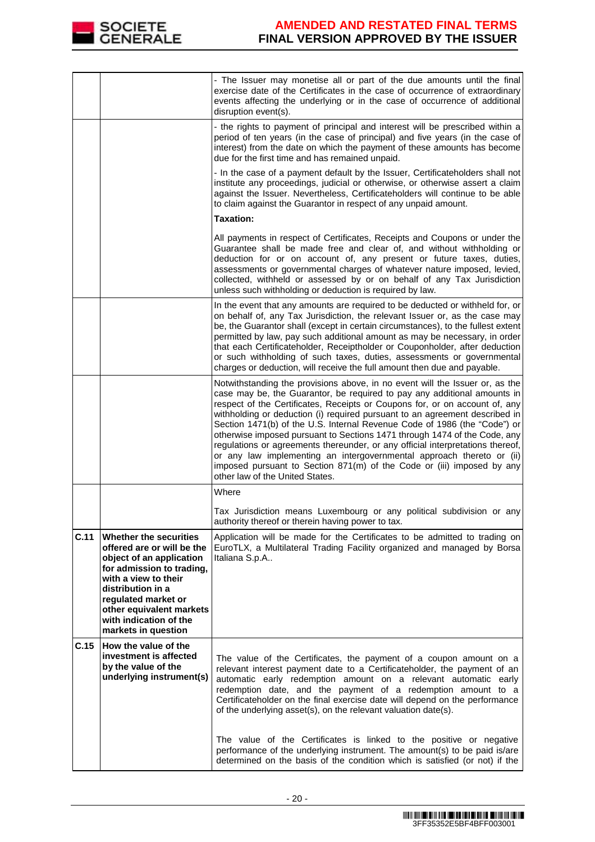

|      |                                                                                                                                                                                                                                                                | - The Issuer may monetise all or part of the due amounts until the final<br>exercise date of the Certificates in the case of occurrence of extraordinary<br>events affecting the underlying or in the case of occurrence of additional<br>disruption event(s).                                                                                                                                                                                                                                                                                                                                                                                                                                                                                           |
|------|----------------------------------------------------------------------------------------------------------------------------------------------------------------------------------------------------------------------------------------------------------------|----------------------------------------------------------------------------------------------------------------------------------------------------------------------------------------------------------------------------------------------------------------------------------------------------------------------------------------------------------------------------------------------------------------------------------------------------------------------------------------------------------------------------------------------------------------------------------------------------------------------------------------------------------------------------------------------------------------------------------------------------------|
|      |                                                                                                                                                                                                                                                                | - the rights to payment of principal and interest will be prescribed within a<br>period of ten years (in the case of principal) and five years (in the case of<br>interest) from the date on which the payment of these amounts has become<br>due for the first time and has remained unpaid.                                                                                                                                                                                                                                                                                                                                                                                                                                                            |
|      |                                                                                                                                                                                                                                                                | - In the case of a payment default by the Issuer, Certificateholders shall not<br>institute any proceedings, judicial or otherwise, or otherwise assert a claim<br>against the Issuer. Nevertheless, Certificateholders will continue to be able<br>to claim against the Guarantor in respect of any unpaid amount.                                                                                                                                                                                                                                                                                                                                                                                                                                      |
|      |                                                                                                                                                                                                                                                                | <b>Taxation:</b>                                                                                                                                                                                                                                                                                                                                                                                                                                                                                                                                                                                                                                                                                                                                         |
|      |                                                                                                                                                                                                                                                                | All payments in respect of Certificates, Receipts and Coupons or under the<br>Guarantee shall be made free and clear of, and without withholding or<br>deduction for or on account of, any present or future taxes, duties,<br>assessments or governmental charges of whatever nature imposed, levied,<br>collected, withheld or assessed by or on behalf of any Tax Jurisdiction<br>unless such withholding or deduction is required by law.                                                                                                                                                                                                                                                                                                            |
|      |                                                                                                                                                                                                                                                                | In the event that any amounts are required to be deducted or withheld for, or<br>on behalf of, any Tax Jurisdiction, the relevant Issuer or, as the case may<br>be, the Guarantor shall (except in certain circumstances), to the fullest extent<br>permitted by law, pay such additional amount as may be necessary, in order<br>that each Certificateholder, Receiptholder or Couponholder, after deduction<br>or such withholding of such taxes, duties, assessments or governmental<br>charges or deduction, will receive the full amount then due and payable.                                                                                                                                                                                      |
|      |                                                                                                                                                                                                                                                                | Notwithstanding the provisions above, in no event will the Issuer or, as the<br>case may be, the Guarantor, be required to pay any additional amounts in<br>respect of the Certificates, Receipts or Coupons for, or on account of, any<br>withholding or deduction (i) required pursuant to an agreement described in<br>Section 1471(b) of the U.S. Internal Revenue Code of 1986 (the "Code") or<br>otherwise imposed pursuant to Sections 1471 through 1474 of the Code, any<br>regulations or agreements thereunder, or any official interpretations thereof,<br>or any law implementing an intergovernmental approach thereto or (ii)<br>imposed pursuant to Section 871(m) of the Code or (iii) imposed by any<br>other law of the United States. |
|      |                                                                                                                                                                                                                                                                | Where                                                                                                                                                                                                                                                                                                                                                                                                                                                                                                                                                                                                                                                                                                                                                    |
|      |                                                                                                                                                                                                                                                                | Tax Jurisdiction means Luxembourg or any political subdivision or any<br>authority thereof or therein having power to tax.                                                                                                                                                                                                                                                                                                                                                                                                                                                                                                                                                                                                                               |
| C.11 | Whether the securities<br>offered are or will be the<br>object of an application<br>for admission to trading,<br>with a view to their<br>distribution in a<br>regulated market or<br>other equivalent markets<br>with indication of the<br>markets in question | Application will be made for the Certificates to be admitted to trading on<br>EuroTLX, a Multilateral Trading Facility organized and managed by Borsa<br>Italiana S.p.A                                                                                                                                                                                                                                                                                                                                                                                                                                                                                                                                                                                  |
| C.15 | How the value of the<br>investment is affected<br>by the value of the<br>underlying instrument(s)                                                                                                                                                              | The value of the Certificates, the payment of a coupon amount on a<br>relevant interest payment date to a Certificateholder, the payment of an<br>automatic early redemption amount on a relevant automatic early<br>redemption date, and the payment of a redemption amount to a<br>Certificateholder on the final exercise date will depend on the performance<br>of the underlying asset(s), on the relevant valuation date(s).                                                                                                                                                                                                                                                                                                                       |
|      |                                                                                                                                                                                                                                                                | The value of the Certificates is linked to the positive or negative<br>performance of the underlying instrument. The amount(s) to be paid is/are<br>determined on the basis of the condition which is satisfied (or not) if the                                                                                                                                                                                                                                                                                                                                                                                                                                                                                                                          |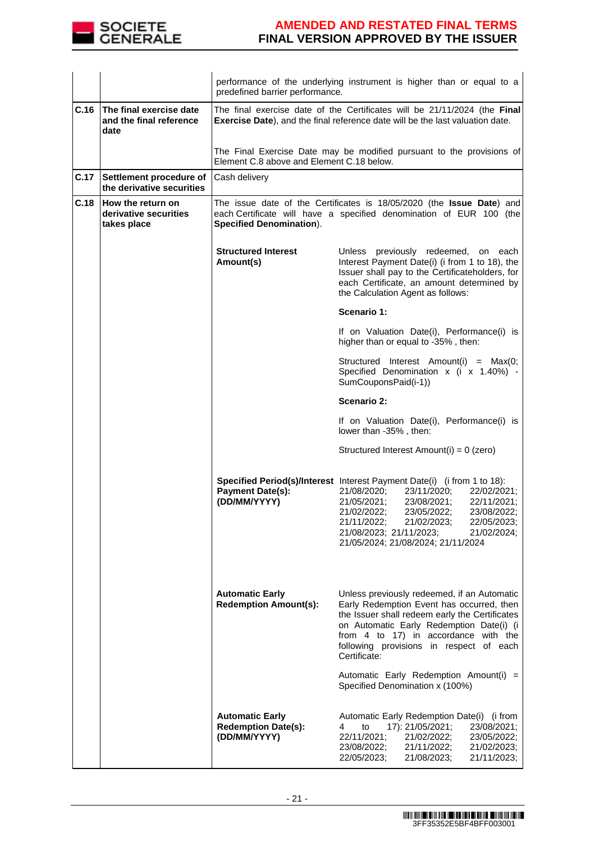

|      |                                                            | predefined barrier performance.                                      | performance of the underlying instrument is higher than or equal to a                                                                                                                                                                                                                                                                       |
|------|------------------------------------------------------------|----------------------------------------------------------------------|---------------------------------------------------------------------------------------------------------------------------------------------------------------------------------------------------------------------------------------------------------------------------------------------------------------------------------------------|
| C.16 | The final exercise date<br>and the final reference<br>date |                                                                      | The final exercise date of the Certificates will be 21/11/2024 (the Final<br>Exercise Date), and the final reference date will be the last valuation date.                                                                                                                                                                                  |
|      |                                                            | Element C.8 above and Element C.18 below.                            | The Final Exercise Date may be modified pursuant to the provisions of                                                                                                                                                                                                                                                                       |
| C.17 | Settlement procedure of<br>the derivative securities       | Cash delivery                                                        |                                                                                                                                                                                                                                                                                                                                             |
| C.18 | How the return on<br>derivative securities<br>takes place  | <b>Specified Denomination).</b>                                      | The issue date of the Certificates is 18/05/2020 (the Issue Date) and<br>each Certificate will have a specified denomination of EUR 100 (the                                                                                                                                                                                                |
|      |                                                            | <b>Structured Interest</b><br>Amount(s)                              | Unless previously redeemed, on each<br>Interest Payment Date(i) (i from 1 to 18), the<br>Issuer shall pay to the Certificateholders, for<br>each Certificate, an amount determined by<br>the Calculation Agent as follows:                                                                                                                  |
|      |                                                            |                                                                      | Scenario 1:                                                                                                                                                                                                                                                                                                                                 |
|      |                                                            |                                                                      | If on Valuation Date(i), Performance(i) is<br>higher than or equal to -35%, then:                                                                                                                                                                                                                                                           |
|      |                                                            |                                                                      | Structured Interest Amount(i) = Max(0;<br>Specified Denomination x (i x 1.40%) -<br>SumCouponsPaid(i-1))                                                                                                                                                                                                                                    |
|      |                                                            |                                                                      | Scenario 2:                                                                                                                                                                                                                                                                                                                                 |
|      |                                                            |                                                                      | If on Valuation Date(i), Performance(i) is<br>lower than -35%, then:                                                                                                                                                                                                                                                                        |
|      |                                                            |                                                                      | Structured Interest Amount(i) = 0 (zero)                                                                                                                                                                                                                                                                                                    |
|      |                                                            | <b>Payment Date(s):</b><br>(DD/MM/YYYY)                              | Specified Period(s)/Interest Interest Payment Date(i) (i from 1 to 18):<br>21/08/2020;<br>23/11/2020;<br>22/02/2021;<br>23/08/2021;<br>21/05/2021;<br>22/11/2021;<br>21/02/2022;<br>23/05/2022;<br>23/08/2022;<br>21/11/2022;<br>21/02/2023;<br>22/05/2023;<br>21/08/2023; 21/11/2023;<br>21/02/2024;<br>21/05/2024; 21/08/2024; 21/11/2024 |
|      |                                                            | <b>Automatic Early</b><br><b>Redemption Amount(s):</b>               | Unless previously redeemed, if an Automatic<br>Early Redemption Event has occurred, then<br>the Issuer shall redeem early the Certificates<br>on Automatic Early Redemption Date(i) (i<br>from 4 to 17) in accordance with the<br>following provisions in respect of each<br>Certificate:<br>Automatic Early Redemption Amount(i) =         |
|      |                                                            |                                                                      | Specified Denomination x (100%)                                                                                                                                                                                                                                                                                                             |
|      |                                                            | <b>Automatic Early</b><br><b>Redemption Date(s):</b><br>(DD/MM/YYYY) | Automatic Early Redemption Date(i) (i from<br>17): 21/05/2021;<br>23/08/2021;<br>4<br>to<br>22/11/2021;<br>21/02/2022;<br>23/05/2022;<br>23/08/2022;<br>21/02/2023;<br>21/11/2022;<br>21/11/2023;<br>22/05/2023;<br>21/08/2023;                                                                                                             |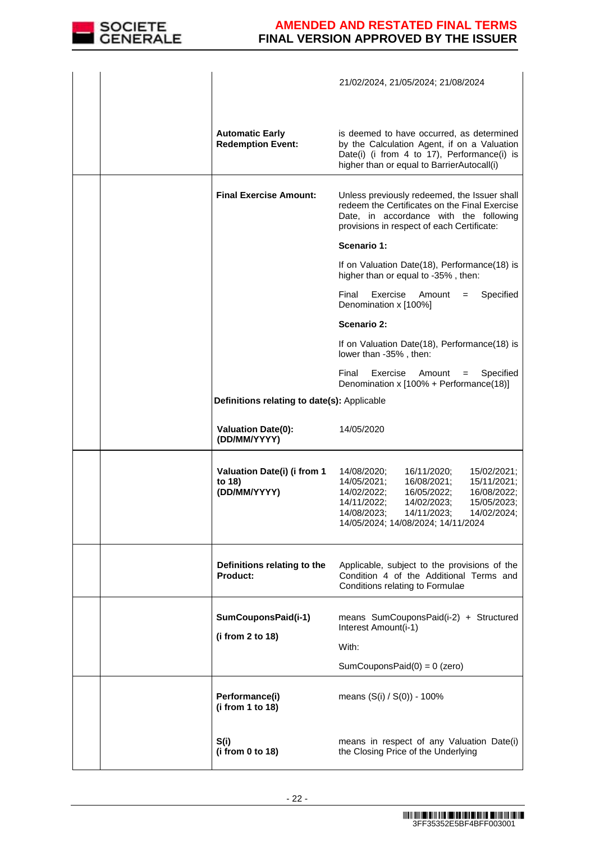

|                                                       | 21/02/2024, 21/05/2024; 21/08/2024                                                                                                                                                                                                                                  |
|-------------------------------------------------------|---------------------------------------------------------------------------------------------------------------------------------------------------------------------------------------------------------------------------------------------------------------------|
| <b>Automatic Early</b><br><b>Redemption Event:</b>    | is deemed to have occurred, as determined<br>by the Calculation Agent, if on a Valuation<br>Date(i) (i from 4 to 17), Performance(i) is<br>higher than or equal to BarrierAutocall(i)                                                                               |
| <b>Final Exercise Amount:</b>                         | Unless previously redeemed, the Issuer shall<br>redeem the Certificates on the Final Exercise<br>Date, in accordance with the following<br>provisions in respect of each Certificate:                                                                               |
|                                                       | Scenario 1:                                                                                                                                                                                                                                                         |
|                                                       | If on Valuation Date(18), Performance(18) is<br>higher than or equal to -35%, then:                                                                                                                                                                                 |
|                                                       | Final<br>Exercise<br>Amount<br>Specified<br>$=$<br>Denomination x [100%]                                                                                                                                                                                            |
|                                                       | Scenario 2:                                                                                                                                                                                                                                                         |
|                                                       | If on Valuation Date(18), Performance(18) is<br>lower than -35%, then:                                                                                                                                                                                              |
|                                                       | Final<br>Exercise<br>Amount<br>Specified<br>$\qquad \qquad =$<br>Denomination x [100% + Performance(18)]                                                                                                                                                            |
| Definitions relating to date(s): Applicable           |                                                                                                                                                                                                                                                                     |
| <b>Valuation Date(0):</b><br>(DD/MM/YYYY)             | 14/05/2020                                                                                                                                                                                                                                                          |
| Valuation Date(i) (i from 1<br>to 18)<br>(DD/MM/YYYY) | 15/02/2021;<br>14/08/2020;<br>16/11/2020;<br>14/05/2021;<br>16/08/2021;<br>15/11/2021;<br>14/02/2022;<br>16/05/2022;<br>16/08/2022;<br>14/11/2022;<br>14/02/2023;<br>15/05/2023;<br>14/08/2023;<br>14/11/2023;<br>14/02/2024;<br>14/05/2024; 14/08/2024; 14/11/2024 |
| Definitions relating to the<br>Product:               | Applicable, subject to the provisions of the<br>Condition 4 of the Additional Terms and<br>Conditions relating to Formulae                                                                                                                                          |
| SumCouponsPaid(i-1)<br>(i from 2 to 18)               | means SumCouponsPaid(i-2) + Structured<br>Interest Amount(i-1)                                                                                                                                                                                                      |
|                                                       | With:                                                                                                                                                                                                                                                               |
|                                                       | SumCouponsPaid $(0) = 0$ (zero)                                                                                                                                                                                                                                     |
| Performance(i)<br>(i from 1 to 18)                    | means $(S(i) / S(0)) - 100\%$                                                                                                                                                                                                                                       |
| S(i)<br>(i from 0 to 18)                              | means in respect of any Valuation Date(i)<br>the Closing Price of the Underlying                                                                                                                                                                                    |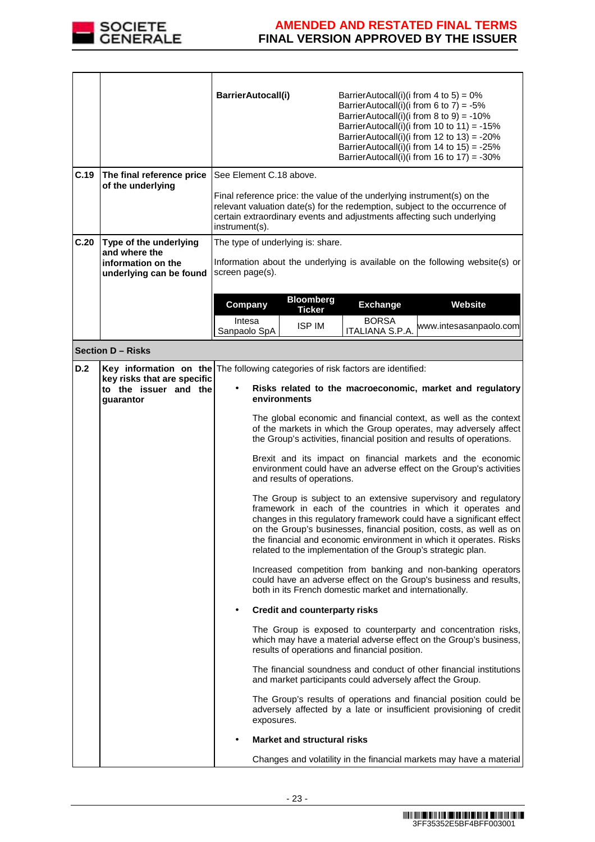

|      |                                                                   | BarrierAutocall(i)                         | BarrierAutocall(i)(i from 4 to 5) = $0\%$<br>BarrierAutocall(i)(i from 6 to 7) = $-5\%$<br>BarrierAutocall(i)(i from 8 to 9) = -10%<br>BarrierAutocall(i)(i from 10 to 11) = -15%<br>BarrierAutocall(i)(i from 12 to 13) = $-20\%$<br>BarrierAutocall(i)(i from 14 to $15$ ) = -25%<br>BarrierAutocall(i)(i from 16 to 17) = $-30\%$                                                                                                                                                                       |
|------|-------------------------------------------------------------------|--------------------------------------------|------------------------------------------------------------------------------------------------------------------------------------------------------------------------------------------------------------------------------------------------------------------------------------------------------------------------------------------------------------------------------------------------------------------------------------------------------------------------------------------------------------|
| C.19 | The final reference price                                         | See Element C.18 above.                    |                                                                                                                                                                                                                                                                                                                                                                                                                                                                                                            |
|      | of the underlying                                                 | instrument(s).                             | Final reference price: the value of the underlying instrument(s) on the<br>relevant valuation date(s) for the redemption, subject to the occurrence of<br>certain extraordinary events and adjustments affecting such underlying                                                                                                                                                                                                                                                                           |
| C.20 | Type of the underlying<br>and where the                           | The type of underlying is: share.          |                                                                                                                                                                                                                                                                                                                                                                                                                                                                                                            |
|      | information on the<br>underlying can be found                     | screen page(s).                            | Information about the underlying is available on the following website(s) or                                                                                                                                                                                                                                                                                                                                                                                                                               |
|      |                                                                   |                                            | <b>Bloomberg</b>                                                                                                                                                                                                                                                                                                                                                                                                                                                                                           |
|      |                                                                   | Company<br>Intesa                          | Website<br><b>Exchange</b><br><b>Ticker</b><br><b>BORSA</b>                                                                                                                                                                                                                                                                                                                                                                                                                                                |
|      |                                                                   | Sanpaolo SpA                               | <b>ISP IM</b><br>www.intesasanpaolo.com<br>ITALIANA S.P.A.                                                                                                                                                                                                                                                                                                                                                                                                                                                 |
|      | <b>Section D - Risks</b>                                          |                                            |                                                                                                                                                                                                                                                                                                                                                                                                                                                                                                            |
| D.2  | key risks that are specific<br>to the issuer and the<br>guarantor | environments<br>and results of operations. | <b>Key information on the</b> The following categories of risk factors are identified:<br>Risks related to the macroeconomic, market and regulatory<br>The global economic and financial context, as well as the context<br>of the markets in which the Group operates, may adversely affect<br>the Group's activities, financial position and results of operations.<br>Brexit and its impact on financial markets and the economic<br>environment could have an adverse effect on the Group's activities |
|      |                                                                   |                                            | The Group is subject to an extensive supervisory and regulatory<br>framework in each of the countries in which it operates and<br>changes in this regulatory framework could have a significant effect<br>on the Group's businesses, financial position, costs, as well as on<br>the financial and economic environment in which it operates. Risks<br>related to the implementation of the Group's strategic plan.<br>Increased competition from banking and non-banking operators                        |
|      |                                                                   |                                            | could have an adverse effect on the Group's business and results,<br>both in its French domestic market and internationally.                                                                                                                                                                                                                                                                                                                                                                               |
|      |                                                                   | $\bullet$                                  | <b>Credit and counterparty risks</b>                                                                                                                                                                                                                                                                                                                                                                                                                                                                       |
|      |                                                                   |                                            | The Group is exposed to counterparty and concentration risks,<br>which may have a material adverse effect on the Group's business,<br>results of operations and financial position.                                                                                                                                                                                                                                                                                                                        |
|      |                                                                   |                                            | The financial soundness and conduct of other financial institutions<br>and market participants could adversely affect the Group.                                                                                                                                                                                                                                                                                                                                                                           |
|      |                                                                   | exposures.                                 | The Group's results of operations and financial position could be<br>adversely affected by a late or insufficient provisioning of credit                                                                                                                                                                                                                                                                                                                                                                   |
|      |                                                                   |                                            | <b>Market and structural risks</b>                                                                                                                                                                                                                                                                                                                                                                                                                                                                         |
|      |                                                                   |                                            | Changes and volatility in the financial markets may have a material                                                                                                                                                                                                                                                                                                                                                                                                                                        |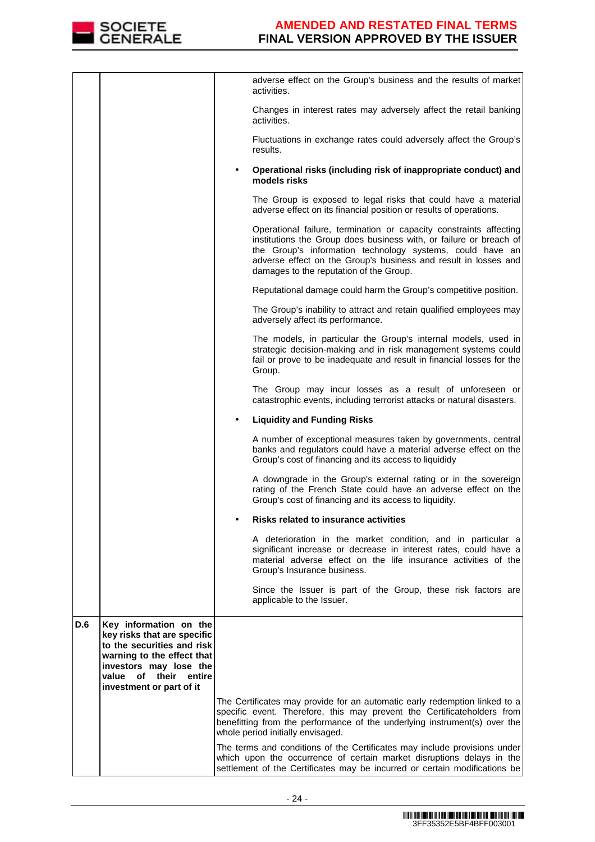

|     |                                                                                                                                                                                                     |   | adverse effect on the Group's business and the results of market<br>activities.                                                                                                                                                                                                                                     |
|-----|-----------------------------------------------------------------------------------------------------------------------------------------------------------------------------------------------------|---|---------------------------------------------------------------------------------------------------------------------------------------------------------------------------------------------------------------------------------------------------------------------------------------------------------------------|
|     |                                                                                                                                                                                                     |   | Changes in interest rates may adversely affect the retail banking<br>activities.                                                                                                                                                                                                                                    |
|     |                                                                                                                                                                                                     |   | Fluctuations in exchange rates could adversely affect the Group's<br>results.                                                                                                                                                                                                                                       |
|     |                                                                                                                                                                                                     | ٠ | Operational risks (including risk of inappropriate conduct) and<br>models risks                                                                                                                                                                                                                                     |
|     |                                                                                                                                                                                                     |   | The Group is exposed to legal risks that could have a material<br>adverse effect on its financial position or results of operations.                                                                                                                                                                                |
|     |                                                                                                                                                                                                     |   | Operational failure, termination or capacity constraints affecting<br>institutions the Group does business with, or failure or breach of<br>the Group's information technology systems, could have an<br>adverse effect on the Group's business and result in losses and<br>damages to the reputation of the Group. |
|     |                                                                                                                                                                                                     |   | Reputational damage could harm the Group's competitive position.                                                                                                                                                                                                                                                    |
|     |                                                                                                                                                                                                     |   | The Group's inability to attract and retain qualified employees may<br>adversely affect its performance.                                                                                                                                                                                                            |
|     |                                                                                                                                                                                                     |   | The models, in particular the Group's internal models, used in<br>strategic decision-making and in risk management systems could<br>fail or prove to be inadequate and result in financial losses for the<br>Group.                                                                                                 |
|     |                                                                                                                                                                                                     |   | The Group may incur losses as a result of unforeseen or<br>catastrophic events, including terrorist attacks or natural disasters.                                                                                                                                                                                   |
|     |                                                                                                                                                                                                     |   | <b>Liquidity and Funding Risks</b>                                                                                                                                                                                                                                                                                  |
|     |                                                                                                                                                                                                     |   | A number of exceptional measures taken by governments, central<br>banks and regulators could have a material adverse effect on the<br>Group's cost of financing and its access to liquididy                                                                                                                         |
|     |                                                                                                                                                                                                     |   | A downgrade in the Group's external rating or in the sovereign<br>rating of the French State could have an adverse effect on the<br>Group's cost of financing and its access to liquidity.                                                                                                                          |
|     |                                                                                                                                                                                                     |   | Risks related to insurance activities                                                                                                                                                                                                                                                                               |
|     |                                                                                                                                                                                                     |   | A deterioration in the market condition, and in particular a<br>significant increase or decrease in interest rates, could have a<br>material adverse effect on the life insurance activities of the<br>Group's Insurance business.                                                                                  |
|     |                                                                                                                                                                                                     |   | Since the Issuer is part of the Group, these risk factors are<br>applicable to the Issuer.                                                                                                                                                                                                                          |
| D.6 | Key information on the<br>key risks that are specific<br>to the securities and risk<br>warning to the effect that<br>investors may lose the<br>value of their<br>entire<br>investment or part of it |   |                                                                                                                                                                                                                                                                                                                     |
|     |                                                                                                                                                                                                     |   | The Certificates may provide for an automatic early redemption linked to a<br>specific event. Therefore, this may prevent the Certificateholders from<br>benefitting from the performance of the underlying instrument(s) over the<br>whole period initially envisaged.                                             |
|     |                                                                                                                                                                                                     |   | The terms and conditions of the Certificates may include provisions under<br>which upon the occurrence of certain market disruptions delays in the<br>settlement of the Certificates may be incurred or certain modifications be                                                                                    |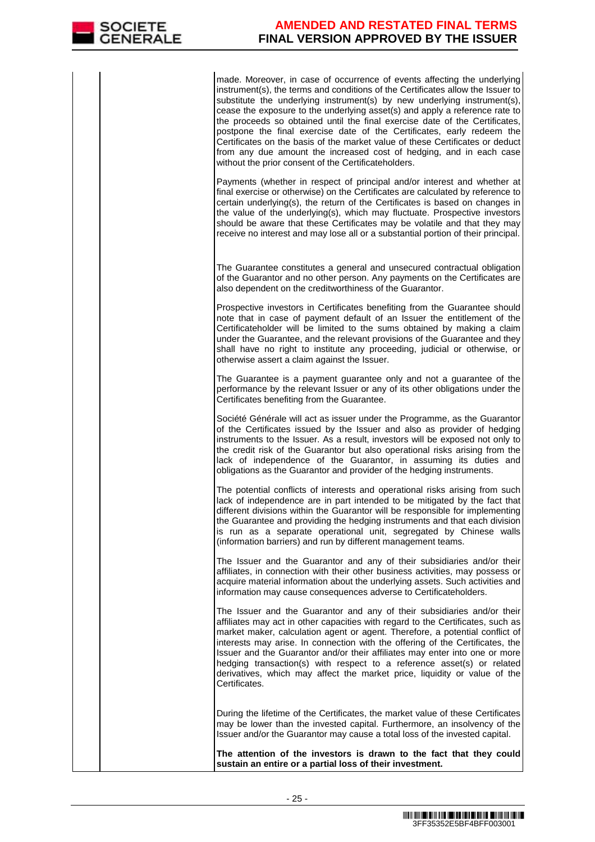made. Moreover, in case of occurrence of events affecting the underlying instrument(s), the terms and conditions of the Certificates allow the Issuer to substitute the underlying instrument(s) by new underlying instrument(s), cease the exposure to the underlying asset(s) and apply a reference rate to the proceeds so obtained until the final exercise date of the Certificates, postpone the final exercise date of the Certificates, early redeem the Certificates on the basis of the market value of these Certificates or deduct from any due amount the increased cost of hedging, and in each case without the prior consent of the Certificateholders.

Payments (whether in respect of principal and/or interest and whether at final exercise or otherwise) on the Certificates are calculated by reference to certain underlying(s), the return of the Certificates is based on changes in the value of the underlying(s), which may fluctuate. Prospective investors should be aware that these Certificates may be volatile and that they may receive no interest and may lose all or a substantial portion of their principal.

 The Guarantee constitutes a general and unsecured contractual obligation of the Guarantor and no other person. Any payments on the Certificates are also dependent on the creditworthiness of the Guarantor.

Prospective investors in Certificates benefiting from the Guarantee should note that in case of payment default of an Issuer the entitlement of the Certificateholder will be limited to the sums obtained by making a claim under the Guarantee, and the relevant provisions of the Guarantee and they shall have no right to institute any proceeding, judicial or otherwise, or otherwise assert a claim against the Issuer.

The Guarantee is a payment guarantee only and not a guarantee of the performance by the relevant Issuer or any of its other obligations under the Certificates benefiting from the Guarantee.

Société Générale will act as issuer under the Programme, as the Guarantor of the Certificates issued by the Issuer and also as provider of hedging instruments to the Issuer. As a result, investors will be exposed not only to the credit risk of the Guarantor but also operational risks arising from the lack of independence of the Guarantor, in assuming its duties and obligations as the Guarantor and provider of the hedging instruments.

The potential conflicts of interests and operational risks arising from such lack of independence are in part intended to be mitigated by the fact that different divisions within the Guarantor will be responsible for implementing the Guarantee and providing the hedging instruments and that each division is run as a separate operational unit, segregated by Chinese walls (information barriers) and run by different management teams.

The Issuer and the Guarantor and any of their subsidiaries and/or their affiliates, in connection with their other business activities, may possess or acquire material information about the underlying assets. Such activities and information may cause consequences adverse to Certificateholders.

The Issuer and the Guarantor and any of their subsidiaries and/or their affiliates may act in other capacities with regard to the Certificates, such as market maker, calculation agent or agent. Therefore, a potential conflict of interests may arise. In connection with the offering of the Certificates, the Issuer and the Guarantor and/or their affiliates may enter into one or more hedging transaction(s) with respect to a reference asset(s) or related derivatives, which may affect the market price, liquidity or value of the Certificates.

 During the lifetime of the Certificates, the market value of these Certificates may be lower than the invested capital. Furthermore, an insolvency of the Issuer and/or the Guarantor may cause a total loss of the invested capital.

**The attention of the investors is drawn to the fact that they could sustain an entire or a partial loss of their investment.**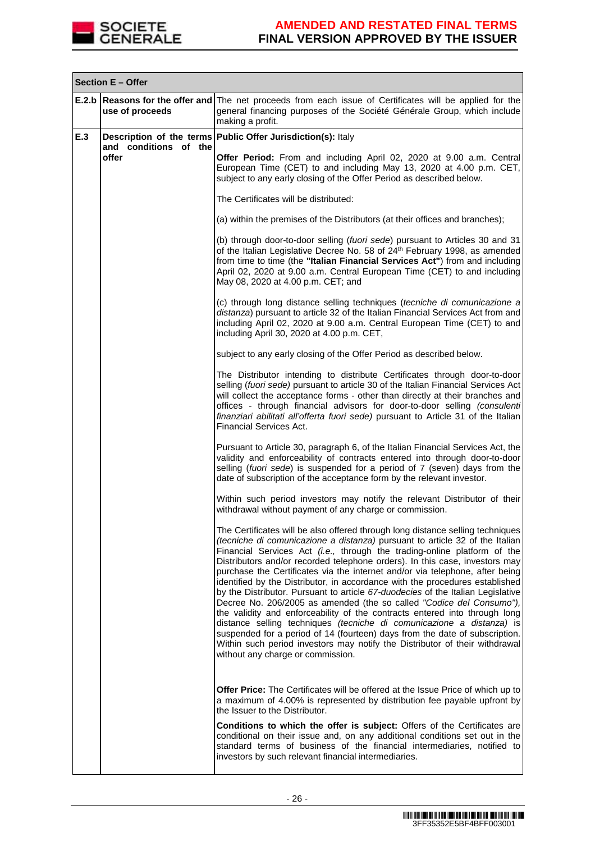

|     | Section E - Offer              |                                                                                                                                                                                                                                                                                                                                                                                                                                                                                                                                                                                                                                                                                                                                                                                                                                                                                                                                                                                                                |  |  |
|-----|--------------------------------|----------------------------------------------------------------------------------------------------------------------------------------------------------------------------------------------------------------------------------------------------------------------------------------------------------------------------------------------------------------------------------------------------------------------------------------------------------------------------------------------------------------------------------------------------------------------------------------------------------------------------------------------------------------------------------------------------------------------------------------------------------------------------------------------------------------------------------------------------------------------------------------------------------------------------------------------------------------------------------------------------------------|--|--|
|     | use of proceeds                | <b>E.2.b Reasons for the offer and The net proceeds from each issue of Certificates will be applied for the</b><br>general financing purposes of the Société Générale Group, which include<br>making a profit.                                                                                                                                                                                                                                                                                                                                                                                                                                                                                                                                                                                                                                                                                                                                                                                                 |  |  |
| E.3 | and conditions of the<br>offer | Description of the terms Public Offer Jurisdiction(s): Italy                                                                                                                                                                                                                                                                                                                                                                                                                                                                                                                                                                                                                                                                                                                                                                                                                                                                                                                                                   |  |  |
|     |                                | Offer Period: From and including April 02, 2020 at 9.00 a.m. Central<br>European Time (CET) to and including May 13, 2020 at 4.00 p.m. CET,<br>subject to any early closing of the Offer Period as described below.                                                                                                                                                                                                                                                                                                                                                                                                                                                                                                                                                                                                                                                                                                                                                                                            |  |  |
|     |                                | The Certificates will be distributed:                                                                                                                                                                                                                                                                                                                                                                                                                                                                                                                                                                                                                                                                                                                                                                                                                                                                                                                                                                          |  |  |
|     |                                | (a) within the premises of the Distributors (at their offices and branches);                                                                                                                                                                                                                                                                                                                                                                                                                                                                                                                                                                                                                                                                                                                                                                                                                                                                                                                                   |  |  |
|     |                                | (b) through door-to-door selling (fuori sede) pursuant to Articles 30 and 31<br>of the Italian Legislative Decree No. 58 of 24 <sup>th</sup> February 1998, as amended<br>from time to time (the "Italian Financial Services Act") from and including<br>April 02, 2020 at 9.00 a.m. Central European Time (CET) to and including<br>May 08, 2020 at 4.00 p.m. CET; and                                                                                                                                                                                                                                                                                                                                                                                                                                                                                                                                                                                                                                        |  |  |
|     |                                | (c) through long distance selling techniques (tecniche di comunicazione a<br>distanza) pursuant to article 32 of the Italian Financial Services Act from and<br>including April 02, 2020 at 9.00 a.m. Central European Time (CET) to and<br>including April 30, 2020 at 4.00 p.m. CET,                                                                                                                                                                                                                                                                                                                                                                                                                                                                                                                                                                                                                                                                                                                         |  |  |
|     |                                | subject to any early closing of the Offer Period as described below.                                                                                                                                                                                                                                                                                                                                                                                                                                                                                                                                                                                                                                                                                                                                                                                                                                                                                                                                           |  |  |
|     |                                | The Distributor intending to distribute Certificates through door-to-door<br>selling (fuori sede) pursuant to article 30 of the Italian Financial Services Act<br>will collect the acceptance forms - other than directly at their branches and<br>offices - through financial advisors for door-to-door selling (consulenti<br>finanziari abilitati all'offerta fuori sede) pursuant to Article 31 of the Italian<br><b>Financial Services Act.</b>                                                                                                                                                                                                                                                                                                                                                                                                                                                                                                                                                           |  |  |
|     |                                | Pursuant to Article 30, paragraph 6, of the Italian Financial Services Act, the<br>validity and enforceability of contracts entered into through door-to-door<br>selling (fuori sede) is suspended for a period of 7 (seven) days from the<br>date of subscription of the acceptance form by the relevant investor.                                                                                                                                                                                                                                                                                                                                                                                                                                                                                                                                                                                                                                                                                            |  |  |
|     |                                | Within such period investors may notify the relevant Distributor of their<br>withdrawal without payment of any charge or commission.                                                                                                                                                                                                                                                                                                                                                                                                                                                                                                                                                                                                                                                                                                                                                                                                                                                                           |  |  |
|     |                                | The Certificates will be also offered through long distance selling techniques<br>(tecniche di comunicazione a distanza) pursuant to article 32 of the Italian<br>Financial Services Act (i.e., through the trading-online platform of the<br>Distributors and/or recorded telephone orders). In this case, investors may<br>purchase the Certificates via the internet and/or via telephone, after being<br>identified by the Distributor, in accordance with the procedures established<br>by the Distributor. Pursuant to article 67-duodecies of the Italian Legislative<br>Decree No. 206/2005 as amended (the so called "Codice del Consumo"),<br>the validity and enforceability of the contracts entered into through long<br>distance selling techniques (tecniche di comunicazione a distanza) is<br>suspended for a period of 14 (fourteen) days from the date of subscription.<br>Within such period investors may notify the Distributor of their withdrawal<br>without any charge or commission. |  |  |
|     |                                | <b>Offer Price:</b> The Certificates will be offered at the Issue Price of which up to<br>a maximum of 4.00% is represented by distribution fee payable upfront by<br>the Issuer to the Distributor.                                                                                                                                                                                                                                                                                                                                                                                                                                                                                                                                                                                                                                                                                                                                                                                                           |  |  |
|     |                                | Conditions to which the offer is subject: Offers of the Certificates are<br>conditional on their issue and, on any additional conditions set out in the<br>standard terms of business of the financial intermediaries, notified to<br>investors by such relevant financial intermediaries.                                                                                                                                                                                                                                                                                                                                                                                                                                                                                                                                                                                                                                                                                                                     |  |  |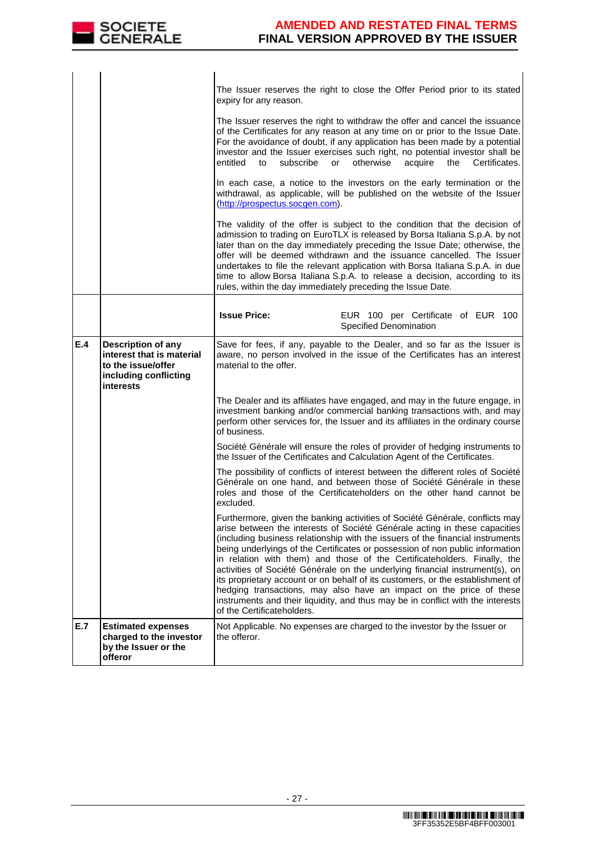

|     |                                                                                                                    | The Issuer reserves the right to close the Offer Period prior to its stated<br>expiry for any reason.<br>The Issuer reserves the right to withdraw the offer and cancel the issuance<br>of the Certificates for any reason at any time on or prior to the Issue Date.<br>For the avoidance of doubt, if any application has been made by a potential<br>investor and the Issuer exercises such right, no potential investor shall be<br>subscribe<br>otherwise<br>acquire<br>entitled<br>or<br>the<br>Certificates.<br>to<br>In each case, a notice to the investors on the early termination or the<br>withdrawal, as applicable, will be published on the website of the Issuer<br>(http://prospectus.socgen.com).<br>The validity of the offer is subject to the condition that the decision of<br>admission to trading on EuroTLX is released by Borsa Italiana S.p.A. by not<br>later than on the day immediately preceding the Issue Date; otherwise, the<br>offer will be deemed withdrawn and the issuance cancelled. The Issuer<br>undertakes to file the relevant application with Borsa Italiana S.p.A. in due |
|-----|--------------------------------------------------------------------------------------------------------------------|---------------------------------------------------------------------------------------------------------------------------------------------------------------------------------------------------------------------------------------------------------------------------------------------------------------------------------------------------------------------------------------------------------------------------------------------------------------------------------------------------------------------------------------------------------------------------------------------------------------------------------------------------------------------------------------------------------------------------------------------------------------------------------------------------------------------------------------------------------------------------------------------------------------------------------------------------------------------------------------------------------------------------------------------------------------------------------------------------------------------------|
|     |                                                                                                                    | time to allow Borsa Italiana S.p.A. to release a decision, according to its<br>rules, within the day immediately preceding the Issue Date.                                                                                                                                                                                                                                                                                                                                                                                                                                                                                                                                                                                                                                                                                                                                                                                                                                                                                                                                                                                |
|     |                                                                                                                    | <b>Issue Price:</b><br>EUR 100 per Certificate of EUR 100<br>Specified Denomination                                                                                                                                                                                                                                                                                                                                                                                                                                                                                                                                                                                                                                                                                                                                                                                                                                                                                                                                                                                                                                       |
| E.4 | <b>Description of any</b><br>interest that is material<br>to the issue/offer<br>including conflicting<br>interests | Save for fees, if any, payable to the Dealer, and so far as the Issuer is<br>aware, no person involved in the issue of the Certificates has an interest<br>material to the offer.                                                                                                                                                                                                                                                                                                                                                                                                                                                                                                                                                                                                                                                                                                                                                                                                                                                                                                                                         |
|     |                                                                                                                    | The Dealer and its affiliates have engaged, and may in the future engage, in<br>investment banking and/or commercial banking transactions with, and may<br>perform other services for, the Issuer and its affiliates in the ordinary course<br>of business.                                                                                                                                                                                                                                                                                                                                                                                                                                                                                                                                                                                                                                                                                                                                                                                                                                                               |
|     |                                                                                                                    | Société Générale will ensure the roles of provider of hedging instruments to<br>the Issuer of the Certificates and Calculation Agent of the Certificates.                                                                                                                                                                                                                                                                                                                                                                                                                                                                                                                                                                                                                                                                                                                                                                                                                                                                                                                                                                 |
|     |                                                                                                                    | The possibility of conflicts of interest between the different roles of Société<br>Générale on one hand, and between those of Société Générale in these<br>roles and those of the Certificateholders on the other hand cannot be<br>excluded.                                                                                                                                                                                                                                                                                                                                                                                                                                                                                                                                                                                                                                                                                                                                                                                                                                                                             |
|     |                                                                                                                    | Furthermore, given the banking activities of Société Générale, conflicts may<br>arise between the interests of Société Générale acting in these capacities<br>(including business relationship with the issuers of the financial instruments<br>being underlyings of the Certificates or possession of non public information<br>in relation with them) and those of the Certificateholders. Finally, the<br>activities of Société Générale on the underlying financial instrument(s), on<br>its proprietary account or on behalf of its customers, or the establishment of<br>hedging transactions, may also have an impact on the price of these<br>instruments and their liquidity, and thus may be in conflict with the interests<br>of the Certificateholders.                                                                                                                                                                                                                                                                                                                                                       |
| E.7 | <b>Estimated expenses</b><br>charged to the investor<br>by the Issuer or the<br>offeror                            | Not Applicable. No expenses are charged to the investor by the Issuer or<br>the offeror.                                                                                                                                                                                                                                                                                                                                                                                                                                                                                                                                                                                                                                                                                                                                                                                                                                                                                                                                                                                                                                  |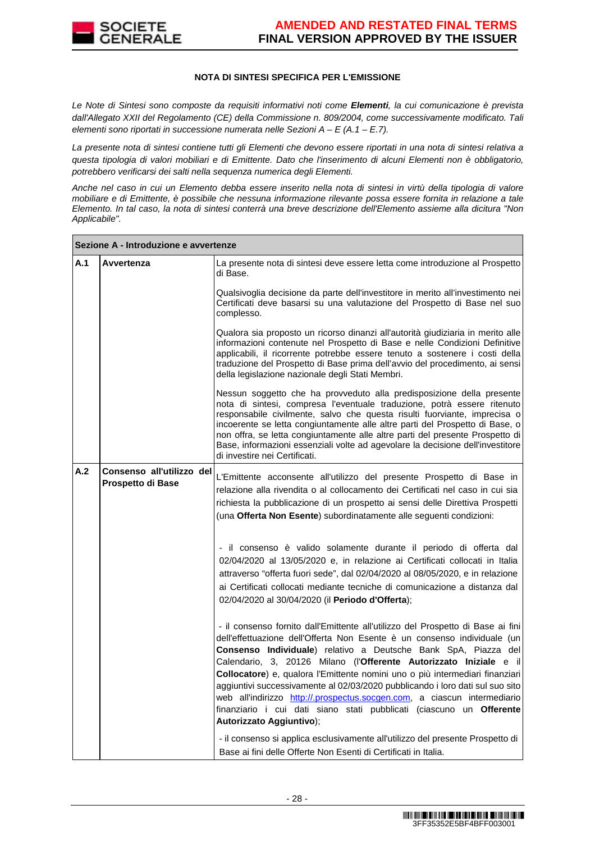

#### **NOTA DI SINTESI SPECIFICA PER L'EMISSIONE**

Le Note di Sintesi sono composte da requisiti informativi noti come **Elementi**, la cui comunicazione è prevista dall'Allegato XXII del Regolamento (CE) della Commissione n. 809/2004, come successivamente modificato. Tali elementi sono riportati in successione numerata nelle Sezioni  $A - E(A.1 - E.7)$ .

La presente nota di sintesi contiene tutti gli Elementi che devono essere riportati in una nota di sintesi relativa a questa tipologia di valori mobiliari e di Emittente. Dato che l'inserimento di alcuni Elementi non è obbligatorio, potrebbero verificarsi dei salti nella sequenza numerica degli Elementi.

Anche nel caso in cui un Elemento debba essere inserito nella nota di sintesi in virtù della tipologia di valore mobiliare e di Emittente, è possibile che nessuna informazione rilevante possa essere fornita in relazione a tale Elemento. In tal caso, la nota di sintesi conterrà una breve descrizione dell'Elemento assieme alla dicitura "Non Applicabile".

|     | Sezione A - Introduzione e avvertenze          |                                                                                                                                                                                                                                                                                                                                                                                                                                                                                                                                                                                                                                                      |
|-----|------------------------------------------------|------------------------------------------------------------------------------------------------------------------------------------------------------------------------------------------------------------------------------------------------------------------------------------------------------------------------------------------------------------------------------------------------------------------------------------------------------------------------------------------------------------------------------------------------------------------------------------------------------------------------------------------------------|
| A.1 | Avvertenza                                     | La presente nota di sintesi deve essere letta come introduzione al Prospetto<br>di Base.                                                                                                                                                                                                                                                                                                                                                                                                                                                                                                                                                             |
|     |                                                | Qualsivoglia decisione da parte dell'investitore in merito all'investimento nei<br>Certificati deve basarsi su una valutazione del Prospetto di Base nel suo<br>complesso.                                                                                                                                                                                                                                                                                                                                                                                                                                                                           |
|     |                                                | Qualora sia proposto un ricorso dinanzi all'autorità giudiziaria in merito alle<br>informazioni contenute nel Prospetto di Base e nelle Condizioni Definitive<br>applicabili, il ricorrente potrebbe essere tenuto a sostenere i costi della<br>traduzione del Prospetto di Base prima dell'avvio del procedimento, ai sensi<br>della legislazione nazionale degli Stati Membri.                                                                                                                                                                                                                                                                     |
|     |                                                | Nessun soggetto che ha provveduto alla predisposizione della presente<br>nota di sintesi, compresa l'eventuale traduzione, potrà essere ritenuto<br>responsabile civilmente, salvo che questa risulti fuorviante, imprecisa o<br>incoerente se letta congiuntamente alle altre parti del Prospetto di Base, o<br>non offra, se letta congiuntamente alle altre parti del presente Prospetto di<br>Base, informazioni essenziali volte ad agevolare la decisione dell'investitore<br>di investire nei Certificati.                                                                                                                                    |
| A.2 | Consenso all'utilizzo del<br>Prospetto di Base | L'Emittente acconsente all'utilizzo del presente Prospetto di Base in<br>relazione alla rivendita o al collocamento dei Certificati nel caso in cui sia<br>richiesta la pubblicazione di un prospetto ai sensi delle Direttiva Prospetti<br>(una Offerta Non Esente) subordinatamente alle seguenti condizioni:                                                                                                                                                                                                                                                                                                                                      |
|     |                                                | - il consenso è valido solamente durante il periodo di offerta dal<br>02/04/2020 al 13/05/2020 e, in relazione ai Certificati collocati in Italia<br>attraverso "offerta fuori sede", dal 02/04/2020 al 08/05/2020, e in relazione<br>ai Certificati collocati mediante tecniche di comunicazione a distanza dal<br>02/04/2020 al 30/04/2020 (il Periodo d'Offerta);                                                                                                                                                                                                                                                                                 |
|     |                                                | - il consenso fornito dall'Emittente all'utilizzo del Prospetto di Base ai fini<br>dell'effettuazione dell'Offerta Non Esente è un consenso individuale (un<br>Consenso Individuale) relativo a Deutsche Bank SpA, Piazza del<br>Calendario, 3, 20126 Milano (l'Offerente Autorizzato Iniziale e il<br>Collocatore) e, qualora l'Emittente nomini uno o più intermediari finanziari<br>aggiuntivi successivamente al 02/03/2020 pubblicando i loro dati sul suo sito<br>web all'indirizzo http://.prospectus.socgen.com, a ciascun intermediario<br>finanziario i cui dati siano stati pubblicati (ciascuno un Offerente<br>Autorizzato Aggiuntivo); |
|     |                                                | - il consenso si applica esclusivamente all'utilizzo del presente Prospetto di<br>Base ai fini delle Offerte Non Esenti di Certificati in Italia.                                                                                                                                                                                                                                                                                                                                                                                                                                                                                                    |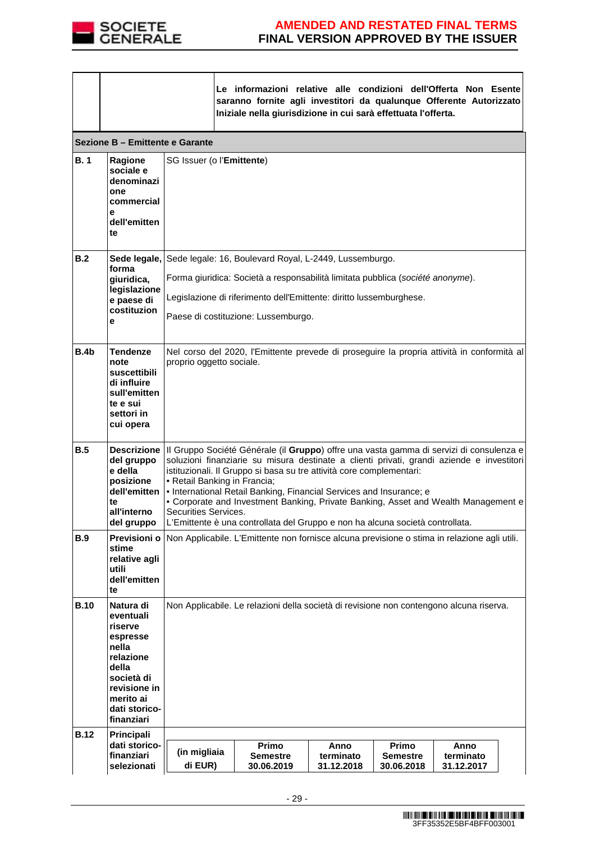

|                  |                                                                                                                                                        |                                                                                                                                                                                                                                                                                                                                                                                                                                                                                                 | Le informazioni relative alle condizioni dell'Offerta Non Esente<br>saranno fornite agli investitori da qualunque Offerente Autorizzato<br>Iniziale nella giurisdizione in cui sarà effettuata l'offerta. |                                 |                                        |                                 |  |
|------------------|--------------------------------------------------------------------------------------------------------------------------------------------------------|-------------------------------------------------------------------------------------------------------------------------------------------------------------------------------------------------------------------------------------------------------------------------------------------------------------------------------------------------------------------------------------------------------------------------------------------------------------------------------------------------|-----------------------------------------------------------------------------------------------------------------------------------------------------------------------------------------------------------|---------------------------------|----------------------------------------|---------------------------------|--|
|                  | Sezione B – Emittente e Garante                                                                                                                        |                                                                                                                                                                                                                                                                                                                                                                                                                                                                                                 |                                                                                                                                                                                                           |                                 |                                        |                                 |  |
| B.1              | Ragione<br>sociale e<br>denominazi<br>one<br>commercial<br>е<br>dell'emitten<br>te                                                                     |                                                                                                                                                                                                                                                                                                                                                                                                                                                                                                 | SG Issuer (o l'Emittente)                                                                                                                                                                                 |                                 |                                        |                                 |  |
| B.2              | forma                                                                                                                                                  |                                                                                                                                                                                                                                                                                                                                                                                                                                                                                                 | Sede legale, Sede legale: 16, Boulevard Royal, L-2449, Lussemburgo.                                                                                                                                       |                                 |                                        |                                 |  |
|                  | giuridica,<br>legislazione                                                                                                                             |                                                                                                                                                                                                                                                                                                                                                                                                                                                                                                 | Forma giuridica: Società a responsabilità limitata pubblica (société anonyme).                                                                                                                            |                                 |                                        |                                 |  |
|                  | e paese di<br>costituzion                                                                                                                              |                                                                                                                                                                                                                                                                                                                                                                                                                                                                                                 | Legislazione di riferimento dell'Emittente: diritto lussemburghese.                                                                                                                                       |                                 |                                        |                                 |  |
|                  | е                                                                                                                                                      |                                                                                                                                                                                                                                                                                                                                                                                                                                                                                                 | Paese di costituzione: Lussemburgo.                                                                                                                                                                       |                                 |                                        |                                 |  |
| B.4 <sub>b</sub> | <b>Tendenze</b><br>note<br>suscettibili<br>di influire<br>sull'emitten<br>te e sui<br>settori in<br>cui opera                                          | Nel corso del 2020, l'Emittente prevede di proseguire la propria attività in conformità al<br>proprio oggetto sociale.                                                                                                                                                                                                                                                                                                                                                                          |                                                                                                                                                                                                           |                                 |                                        |                                 |  |
| B.5              | del gruppo<br>e della<br>posizione<br>dell'emitten<br>te<br>all'interno<br>del gruppo                                                                  | Descrizione   Il Gruppo Société Générale (il Gruppo) offre una vasta gamma di servizi di consulenza e<br>soluzioni finanziarie su misura destinate a clienti privati, grandi aziende e investitori<br>istituzionali. Il Gruppo si basa su tre attività core complementari:<br>• Retail Banking in Francia;<br>. International Retail Banking, Financial Services and Insurance; e<br>• Corporate and Investment Banking, Private Banking, Asset and Wealth Management e<br>Securities Services. |                                                                                                                                                                                                           |                                 |                                        |                                 |  |
| B.9              | Previsioni o<br>stime<br>relative agli<br>utili                                                                                                        | L'Emittente è una controllata del Gruppo e non ha alcuna società controllata.<br>Non Applicabile. L'Emittente non fornisce alcuna previsione o stima in relazione agli utili.                                                                                                                                                                                                                                                                                                                   |                                                                                                                                                                                                           |                                 |                                        |                                 |  |
|                  | dell'emitten<br>te                                                                                                                                     |                                                                                                                                                                                                                                                                                                                                                                                                                                                                                                 |                                                                                                                                                                                                           |                                 |                                        |                                 |  |
| <b>B.10</b>      | Natura di<br>eventuali<br>riserve<br>espresse<br>nella<br>relazione<br>della<br>società di<br>revisione in<br>merito ai<br>dati storico-<br>finanziari |                                                                                                                                                                                                                                                                                                                                                                                                                                                                                                 | Non Applicabile. Le relazioni della società di revisione non contengono alcuna riserva.                                                                                                                   |                                 |                                        |                                 |  |
| <b>B.12</b>      | Principali<br>dati storico-<br>finanziari<br>selezionati                                                                                               | (in migliaia<br>di EUR)                                                                                                                                                                                                                                                                                                                                                                                                                                                                         | Primo<br><b>Semestre</b><br>30.06.2019                                                                                                                                                                    | Anno<br>terminato<br>31.12.2018 | Primo<br><b>Semestre</b><br>30.06.2018 | Anno<br>terminato<br>31.12.2017 |  |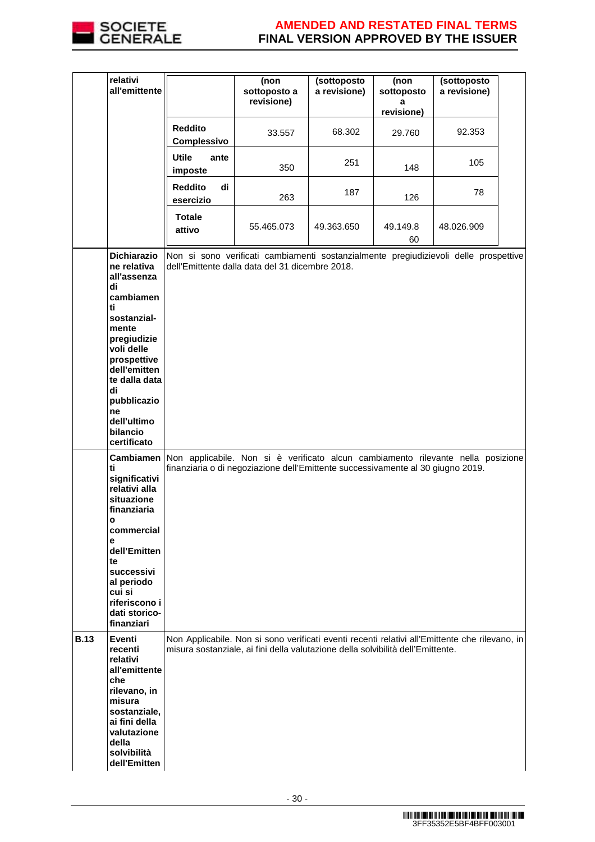

|             | relativi<br>all'emittente                                                                                                                                                                                                                                                     |                                   | (non<br>sottoposto a<br>revisione)                                                                                                                                                                                                                                                                             | (sottoposto<br>a revisione) | (non<br>sottoposto<br>а<br>revisione) | (sottoposto<br>a revisione) |  |
|-------------|-------------------------------------------------------------------------------------------------------------------------------------------------------------------------------------------------------------------------------------------------------------------------------|-----------------------------------|----------------------------------------------------------------------------------------------------------------------------------------------------------------------------------------------------------------------------------------------------------------------------------------------------------------|-----------------------------|---------------------------------------|-----------------------------|--|
|             |                                                                                                                                                                                                                                                                               | <b>Reddito</b><br>Complessivo     | 33.557                                                                                                                                                                                                                                                                                                         | 68.302                      | 29.760                                | 92.353                      |  |
|             |                                                                                                                                                                                                                                                                               | <b>Utile</b><br>ante<br>imposte   | 350                                                                                                                                                                                                                                                                                                            | 251                         | 148                                   | 105                         |  |
|             |                                                                                                                                                                                                                                                                               | <b>Reddito</b><br>di<br>esercizio | 263                                                                                                                                                                                                                                                                                                            | 187                         | 126                                   | 78                          |  |
|             |                                                                                                                                                                                                                                                                               | <b>Totale</b><br>attivo           | 55.465.073                                                                                                                                                                                                                                                                                                     | 49.363.650                  | 49.149.8<br>60                        | 48.026.909                  |  |
|             | <b>Dichiarazio</b><br>ne relativa<br>all'assenza<br>di<br>cambiamen<br>ti<br>sostanzial-<br>mente<br>pregiudizie<br>voli delle<br>prospettive<br>dell'emitten<br>te dalla data<br>di<br>pubblicazio<br>ne<br>dell'ultimo<br>bilancio<br>certificato<br><b>Cambiamen</b><br>ti |                                   | Non si sono verificati cambiamenti sostanzialmente pregiudizievoli delle prospettive<br>dell'Emittente dalla data del 31 dicembre 2018.<br>Non applicabile. Non si è verificato alcun cambiamento rilevante nella posizione<br>finanziaria o di negoziazione dell'Emittente successivamente al 30 giugno 2019. |                             |                                       |                             |  |
|             | significativi<br>relativi alla<br>situazione<br>finanziaria<br>o<br>commercial<br>е<br>dell'Emitten<br>te<br>successivi<br>al periodo<br>cui si<br>riferiscono i<br>dati storico-<br>finanziari                                                                               |                                   |                                                                                                                                                                                                                                                                                                                |                             |                                       |                             |  |
| <b>B.13</b> | Eventi<br>recenti<br>relativi<br>all'emittente<br>che<br>rilevano, in<br>misura<br>sostanziale,<br>ai fini della<br>valutazione<br>della<br>solvibilità<br>dell'Emitten                                                                                                       |                                   | Non Applicabile. Non si sono verificati eventi recenti relativi all'Emittente che rilevano, in<br>misura sostanziale, ai fini della valutazione della solvibilità dell'Emittente.                                                                                                                              |                             |                                       |                             |  |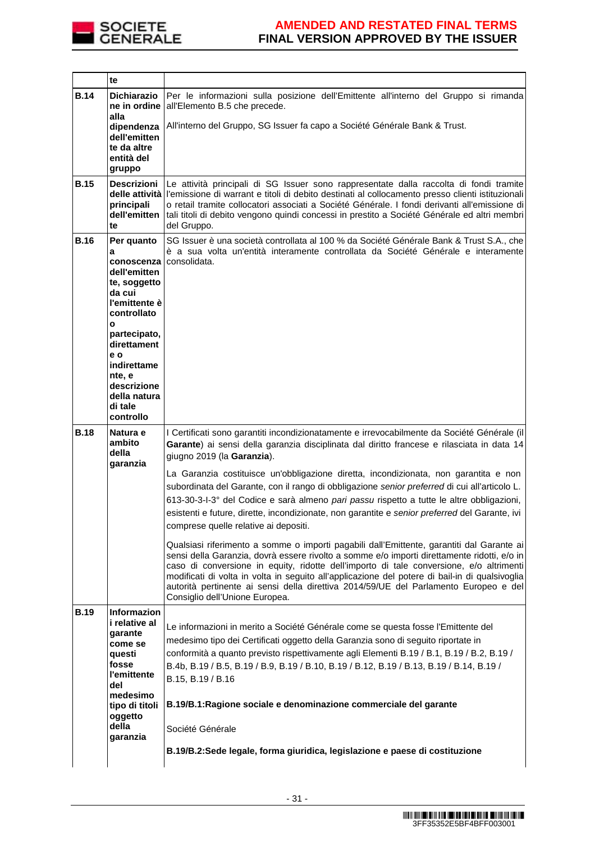

|             | te                                                                                                                                                                                                                                 |                                                                                                                                                                                                                                                                                                                                                                                                                                                                                                                                                              |
|-------------|------------------------------------------------------------------------------------------------------------------------------------------------------------------------------------------------------------------------------------|--------------------------------------------------------------------------------------------------------------------------------------------------------------------------------------------------------------------------------------------------------------------------------------------------------------------------------------------------------------------------------------------------------------------------------------------------------------------------------------------------------------------------------------------------------------|
| <b>B.14</b> | <b>Dichiarazio</b><br>ne in ordine<br>alla                                                                                                                                                                                         | Per le informazioni sulla posizione dell'Emittente all'interno del Gruppo si rimanda<br>all'Elemento B.5 che precede.                                                                                                                                                                                                                                                                                                                                                                                                                                        |
|             | dipendenza<br>dell'emitten<br>te da altre<br>entità del<br>gruppo                                                                                                                                                                  | All'interno del Gruppo, SG Issuer fa capo a Société Générale Bank & Trust.                                                                                                                                                                                                                                                                                                                                                                                                                                                                                   |
| <b>B.15</b> | Descrizioni<br>principali<br>dell'emitten<br>te                                                                                                                                                                                    | Le attività principali di SG Issuer sono rappresentate dalla raccolta di fondi tramite<br>delle attività l'emissione di warrant e titoli di debito destinati al collocamento presso clienti istituzionali<br>o retail tramite collocatori associati a Société Générale. I fondi derivanti all'emissione di<br>tali titoli di debito vengono quindi concessi in prestito a Société Générale ed altri membri<br>del Gruppo.                                                                                                                                    |
| <b>B.16</b> | Per quanto<br>a<br>conoscenza<br>dell'emitten<br>te, soggetto<br>da cui<br>l'emittente è<br>controllato<br>O<br>partecipato,<br>direttament<br>e o<br>indirettame<br>nte, e<br>descrizione<br>della natura<br>di tale<br>controllo | SG Issuer è una società controllata al 100 % da Société Générale Bank & Trust S.A., che<br>è a sua volta un'entità interamente controllata da Société Générale e interamente<br>consolidata.                                                                                                                                                                                                                                                                                                                                                                 |
| <b>B.18</b> | Natura e<br>ambito<br>della<br>garanzia                                                                                                                                                                                            | I Certificati sono garantiti incondizionatamente e irrevocabilmente da Société Générale (il<br>Garante) ai sensi della garanzia disciplinata dal diritto francese e rilasciata in data 14<br>giugno 2019 (la Garanzia).                                                                                                                                                                                                                                                                                                                                      |
|             |                                                                                                                                                                                                                                    | La Garanzia costituisce un'obbligazione diretta, incondizionata, non garantita e non<br>subordinata del Garante, con il rango di obbligazione senior preferred di cui all'articolo L.<br>613-30-3-I-3° del Codice e sarà almeno pari passu rispetto a tutte le altre obbligazioni,<br>esistenti e future, dirette, incondizionate, non garantite e senior preferred del Garante, ivi<br>comprese quelle relative ai depositi.                                                                                                                                |
|             |                                                                                                                                                                                                                                    | Qualsiasi riferimento a somme o importi pagabili dall'Emittente, garantiti dal Garante ai<br>sensi della Garanzia, dovrà essere rivolto a somme e/o importi direttamente ridotti, e/o in<br>caso di conversione in equity, ridotte dell'importo di tale conversione, e/o altrimenti<br>modificati di volta in volta in seguito all'applicazione del potere di bail-in di qualsivoglia<br>autorità pertinente ai sensi della direttiva 2014/59/UE del Parlamento Europeo e del<br>Consiglio dell'Unione Europea.                                              |
| <b>B.19</b> | Informazion<br>i relative al<br>garante<br>come se<br>questi<br>fosse<br>l'emittente<br>del<br>medesimo<br>tipo di titoli<br>oggetto<br>della<br>garanzia                                                                          | Le informazioni in merito a Société Générale come se questa fosse l'Emittente del<br>medesimo tipo dei Certificati oggetto della Garanzia sono di seguito riportate in<br>conformità a quanto previsto rispettivamente agli Elementi B.19 / B.1, B.19 / B.2, B.19 /<br>B.4b, B.19 / B.5, B.19 / B.9, B.19 / B.10, B.19 / B.12, B.19 / B.13, B.19 / B.14, B.19 /<br>B.15, B.19 / B.16<br>B.19/B.1: Ragione sociale e denominazione commerciale del garante<br>Société Générale<br>B.19/B.2:Sede legale, forma giuridica, legislazione e paese di costituzione |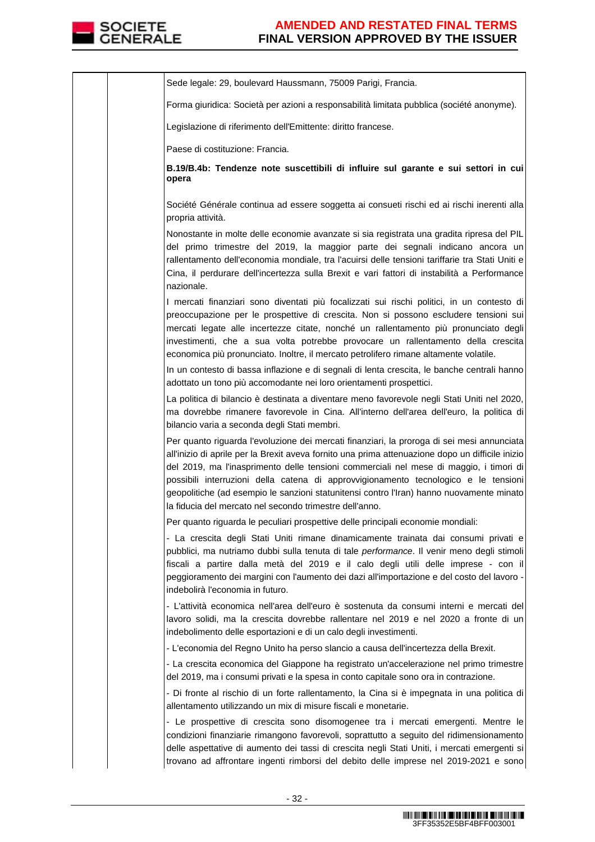

|  | Sede legale: 29, boulevard Haussmann, 75009 Parigi, Francia.                                                                                                                                                                                                                                                                                                                                                                                                                                                                           |
|--|----------------------------------------------------------------------------------------------------------------------------------------------------------------------------------------------------------------------------------------------------------------------------------------------------------------------------------------------------------------------------------------------------------------------------------------------------------------------------------------------------------------------------------------|
|  | Forma giuridica: Società per azioni a responsabilità limitata pubblica (société anonyme).                                                                                                                                                                                                                                                                                                                                                                                                                                              |
|  | Legislazione di riferimento dell'Emittente: diritto francese.                                                                                                                                                                                                                                                                                                                                                                                                                                                                          |
|  | Paese di costituzione: Francia.                                                                                                                                                                                                                                                                                                                                                                                                                                                                                                        |
|  | B.19/B.4b: Tendenze note suscettibili di influire sul garante e sui settori in cui<br>opera                                                                                                                                                                                                                                                                                                                                                                                                                                            |
|  | Société Générale continua ad essere soggetta ai consueti rischi ed ai rischi inerenti alla<br>propria attività.                                                                                                                                                                                                                                                                                                                                                                                                                        |
|  | Nonostante in molte delle economie avanzate si sia registrata una gradita ripresa del PIL<br>del primo trimestre del 2019, la maggior parte dei segnali indicano ancora un<br>rallentamento dell'economia mondiale, tra l'acuirsi delle tensioni tariffarie tra Stati Uniti e<br>Cina, il perdurare dell'incertezza sulla Brexit e vari fattori di instabilità a Performance<br>nazionale.                                                                                                                                             |
|  | I mercati finanziari sono diventati più focalizzati sui rischi politici, in un contesto di<br>preoccupazione per le prospettive di crescita. Non si possono escludere tensioni sui<br>mercati legate alle incertezze citate, nonché un rallentamento più pronunciato degli<br>investimenti, che a sua volta potrebbe provocare un rallentamento della crescita<br>economica più pronunciato. Inoltre, il mercato petrolifero rimane altamente volatile.                                                                                |
|  | In un contesto di bassa inflazione e di segnali di lenta crescita, le banche centrali hanno<br>adottato un tono più accomodante nei loro orientamenti prospettici.                                                                                                                                                                                                                                                                                                                                                                     |
|  | La politica di bilancio è destinata a diventare meno favorevole negli Stati Uniti nel 2020,<br>ma dovrebbe rimanere favorevole in Cina. All'interno dell'area dell'euro, la politica di<br>bilancio varia a seconda degli Stati membri.                                                                                                                                                                                                                                                                                                |
|  | Per quanto riguarda l'evoluzione dei mercati finanziari, la proroga di sei mesi annunciata<br>all'inizio di aprile per la Brexit aveva fornito una prima attenuazione dopo un difficile inizio<br>del 2019, ma l'inasprimento delle tensioni commerciali nel mese di maggio, i timori di<br>possibili interruzioni della catena di approvvigionamento tecnologico e le tensioni<br>geopolitiche (ad esempio le sanzioni statunitensi contro l'Iran) hanno nuovamente minato<br>la fiducia del mercato nel secondo trimestre dell'anno. |
|  | Per quanto riguarda le peculiari prospettive delle principali economie mondiali:                                                                                                                                                                                                                                                                                                                                                                                                                                                       |
|  | - La crescita degli Stati Uniti rimane dinamicamente trainata dai consumi privati e<br>pubblici, ma nutriamo dubbi sulla tenuta di tale performance. Il venir meno degli stimoli<br>fiscali a partire dalla metà del 2019 e il calo degli utili delle imprese - con il<br>peggioramento dei margini con l'aumento dei dazi all'importazione e del costo del lavoro -<br>indebolirà l'economia in futuro.                                                                                                                               |
|  | - L'attività economica nell'area dell'euro è sostenuta da consumi interni e mercati del<br>lavoro solidi, ma la crescita dovrebbe rallentare nel 2019 e nel 2020 a fronte di un<br>indebolimento delle esportazioni e di un calo degli investimenti.                                                                                                                                                                                                                                                                                   |
|  | - L'economia del Regno Unito ha perso slancio a causa dell'incertezza della Brexit.                                                                                                                                                                                                                                                                                                                                                                                                                                                    |
|  | - La crescita economica del Giappone ha registrato un'accelerazione nel primo trimestre<br>del 2019, ma i consumi privati e la spesa in conto capitale sono ora in contrazione.                                                                                                                                                                                                                                                                                                                                                        |
|  | - Di fronte al rischio di un forte rallentamento, la Cina si è impegnata in una politica di<br>allentamento utilizzando un mix di misure fiscali e monetarie.                                                                                                                                                                                                                                                                                                                                                                          |
|  | - Le prospettive di crescita sono disomogenee tra i mercati emergenti. Mentre le<br>condizioni finanziarie rimangono favorevoli, soprattutto a seguito del ridimensionamento<br>delle aspettative di aumento dei tassi di crescita negli Stati Uniti, i mercati emergenti si<br>trovano ad affrontare ingenti rimborsi del debito delle imprese nel 2019-2021 e sono                                                                                                                                                                   |
|  |                                                                                                                                                                                                                                                                                                                                                                                                                                                                                                                                        |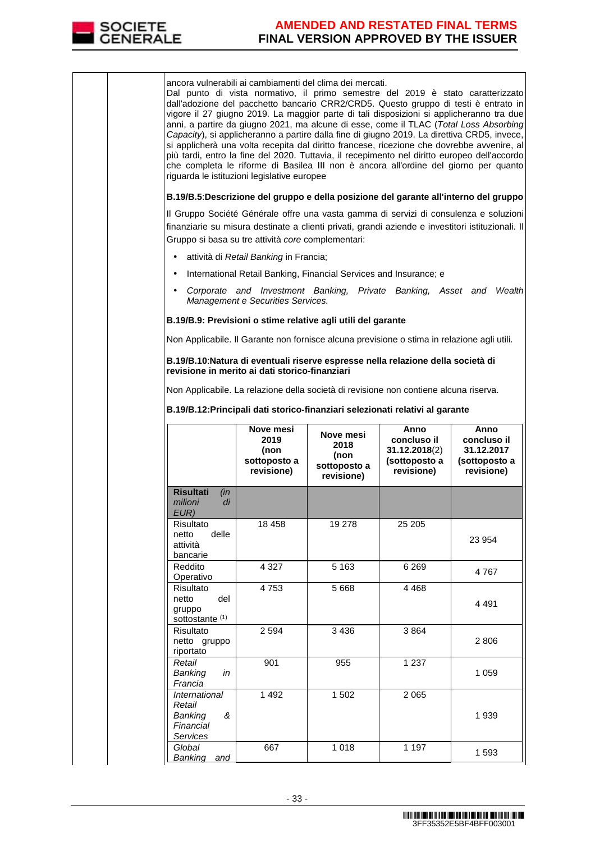

|  | ancora vulnerabili ai cambiamenti del clima dei mercati.<br>Dal punto di vista normativo, il primo semestre del 2019 è stato caratterizzato<br>dall'adozione del pacchetto bancario CRR2/CRD5. Questo gruppo di testi è entrato in<br>vigore il 27 giugno 2019. La maggior parte di tali disposizioni si applicheranno tra due<br>anni, a partire da giugno 2021, ma alcune di esse, come il TLAC (Total Loss Absorbing<br>Capacity), si applicheranno a partire dalla fine di giugno 2019. La direttiva CRD5, invece,<br>si applicherà una volta recepita dal diritto francese, ricezione che dovrebbe avvenire, al<br>più tardi, entro la fine del 2020. Tuttavia, il recepimento nel diritto europeo dell'accordo<br>che completa le riforme di Basilea III non è ancora all'ordine del giorno per quanto<br>riguarda le istituzioni legislative europee |                                                    |                                                                   |                                                                                             |                                                                                                                                                                                            |
|--|-------------------------------------------------------------------------------------------------------------------------------------------------------------------------------------------------------------------------------------------------------------------------------------------------------------------------------------------------------------------------------------------------------------------------------------------------------------------------------------------------------------------------------------------------------------------------------------------------------------------------------------------------------------------------------------------------------------------------------------------------------------------------------------------------------------------------------------------------------------|----------------------------------------------------|-------------------------------------------------------------------|---------------------------------------------------------------------------------------------|--------------------------------------------------------------------------------------------------------------------------------------------------------------------------------------------|
|  |                                                                                                                                                                                                                                                                                                                                                                                                                                                                                                                                                                                                                                                                                                                                                                                                                                                             |                                                    |                                                                   |                                                                                             | B.19/B.5:Descrizione del gruppo e della posizione del garante all'interno del gruppo                                                                                                       |
|  |                                                                                                                                                                                                                                                                                                                                                                                                                                                                                                                                                                                                                                                                                                                                                                                                                                                             | Gruppo si basa su tre attività core complementari: |                                                                   |                                                                                             | Il Gruppo Société Générale offre una vasta gamma di servizi di consulenza e soluzioni<br>finanziarie su misura destinate a clienti privati, grandi aziende e investitori istituzionali. Il |
|  |                                                                                                                                                                                                                                                                                                                                                                                                                                                                                                                                                                                                                                                                                                                                                                                                                                                             | attività di Retail Banking in Francia;             |                                                                   |                                                                                             |                                                                                                                                                                                            |
|  |                                                                                                                                                                                                                                                                                                                                                                                                                                                                                                                                                                                                                                                                                                                                                                                                                                                             |                                                    | International Retail Banking, Financial Services and Insurance; e |                                                                                             |                                                                                                                                                                                            |
|  | $\bullet$                                                                                                                                                                                                                                                                                                                                                                                                                                                                                                                                                                                                                                                                                                                                                                                                                                                   | Management e Securities Services.                  |                                                                   |                                                                                             | Corporate and Investment Banking, Private Banking, Asset and Wealth                                                                                                                        |
|  |                                                                                                                                                                                                                                                                                                                                                                                                                                                                                                                                                                                                                                                                                                                                                                                                                                                             |                                                    | B.19/B.9: Previsioni o stime relative agli utili del garante      |                                                                                             |                                                                                                                                                                                            |
|  |                                                                                                                                                                                                                                                                                                                                                                                                                                                                                                                                                                                                                                                                                                                                                                                                                                                             |                                                    |                                                                   | Non Applicabile. Il Garante non fornisce alcuna previsione o stima in relazione agli utili. |                                                                                                                                                                                            |
|  | revisione in merito ai dati storico-finanziari                                                                                                                                                                                                                                                                                                                                                                                                                                                                                                                                                                                                                                                                                                                                                                                                              |                                                    |                                                                   | B.19/B.10: Natura di eventuali riserve espresse nella relazione della società di            |                                                                                                                                                                                            |
|  |                                                                                                                                                                                                                                                                                                                                                                                                                                                                                                                                                                                                                                                                                                                                                                                                                                                             |                                                    |                                                                   | Non Applicabile. La relazione della società di revisione non contiene alcuna riserva.       |                                                                                                                                                                                            |
|  |                                                                                                                                                                                                                                                                                                                                                                                                                                                                                                                                                                                                                                                                                                                                                                                                                                                             |                                                    |                                                                   | B.19/B.12: Principali dati storico-finanziari selezionati relativi al garante               |                                                                                                                                                                                            |
|  |                                                                                                                                                                                                                                                                                                                                                                                                                                                                                                                                                                                                                                                                                                                                                                                                                                                             | Nove mesi                                          |                                                                   |                                                                                             |                                                                                                                                                                                            |
|  |                                                                                                                                                                                                                                                                                                                                                                                                                                                                                                                                                                                                                                                                                                                                                                                                                                                             | 2019<br>(non<br>sottoposto a<br>revisione)         | Nove mesi<br>2018<br>(non<br>sottoposto a<br>revisione)           | Anno<br>concluso il<br>31.12.2018(2)<br>(sottoposto a<br>revisione)                         | Anno<br>concluso il<br>31.12.2017<br>(sottoposto a<br>revisione)                                                                                                                           |
|  | <b>Risultati</b><br>(in<br>di<br>milioni<br>EUR)                                                                                                                                                                                                                                                                                                                                                                                                                                                                                                                                                                                                                                                                                                                                                                                                            |                                                    |                                                                   |                                                                                             |                                                                                                                                                                                            |
|  | Risultato<br>delle<br>netto<br>attività<br>bancarie                                                                                                                                                                                                                                                                                                                                                                                                                                                                                                                                                                                                                                                                                                                                                                                                         | 18 458                                             | 19 278                                                            | 25 205                                                                                      | 23 954                                                                                                                                                                                     |
|  | Reddito                                                                                                                                                                                                                                                                                                                                                                                                                                                                                                                                                                                                                                                                                                                                                                                                                                                     | 4 3 2 7                                            | 5 1 6 3                                                           | 6 2 6 9                                                                                     | 4767                                                                                                                                                                                       |
|  | Operativo<br>Risultato<br>netto<br>del<br>gruppo                                                                                                                                                                                                                                                                                                                                                                                                                                                                                                                                                                                                                                                                                                                                                                                                            | 4753                                               | 5 6 6 8                                                           | 4 4 6 8                                                                                     | 4 4 9 1                                                                                                                                                                                    |
|  | sottostante <sup>(1)</sup><br>Risultato<br>netto gruppo<br>riportato                                                                                                                                                                                                                                                                                                                                                                                                                                                                                                                                                                                                                                                                                                                                                                                        | 2 5 9 4                                            | 3 4 3 6                                                           | 3864                                                                                        | 2806                                                                                                                                                                                       |
|  | Retail<br>Banking<br>in<br>Francia                                                                                                                                                                                                                                                                                                                                                                                                                                                                                                                                                                                                                                                                                                                                                                                                                          | 901                                                | 955                                                               | 1 2 3 7                                                                                     | 1 0 5 9                                                                                                                                                                                    |
|  | International<br>Retail<br>Banking<br>&<br>Financial<br>Services                                                                                                                                                                                                                                                                                                                                                                                                                                                                                                                                                                                                                                                                                                                                                                                            | 1 4 9 2                                            | 1 502                                                             | 2 0 6 5                                                                                     | 1939                                                                                                                                                                                       |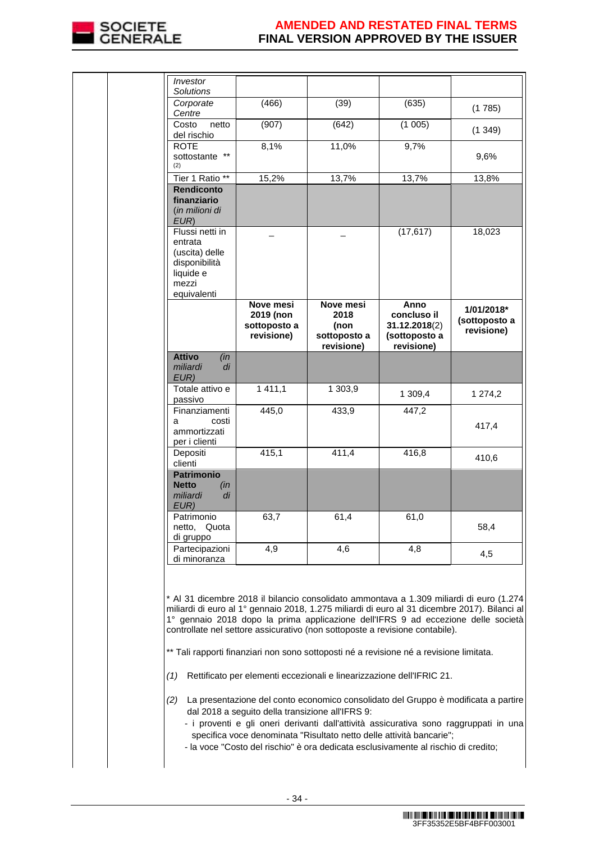

|  | Investor<br><b>Solutions</b>                                                                       |                                                      |                                                         |                                                                                                                                                                                                                                                                                                                                                                                                                |                                                                                                                                                                                                                                                                                                                                                                                                                                                                  |
|--|----------------------------------------------------------------------------------------------------|------------------------------------------------------|---------------------------------------------------------|----------------------------------------------------------------------------------------------------------------------------------------------------------------------------------------------------------------------------------------------------------------------------------------------------------------------------------------------------------------------------------------------------------------|------------------------------------------------------------------------------------------------------------------------------------------------------------------------------------------------------------------------------------------------------------------------------------------------------------------------------------------------------------------------------------------------------------------------------------------------------------------|
|  | Corporate<br>Centre                                                                                | (466)                                                | (39)                                                    | (635)                                                                                                                                                                                                                                                                                                                                                                                                          | (1785)                                                                                                                                                                                                                                                                                                                                                                                                                                                           |
|  | Costo<br>netto<br>del rischio                                                                      | (907)                                                | (642)                                                   | (1005)                                                                                                                                                                                                                                                                                                                                                                                                         | (1349)                                                                                                                                                                                                                                                                                                                                                                                                                                                           |
|  | <b>ROTE</b><br>$***$<br>sottostante<br>(2)                                                         | 8,1%                                                 | 11,0%                                                   | 9,7%                                                                                                                                                                                                                                                                                                                                                                                                           | 9,6%                                                                                                                                                                                                                                                                                                                                                                                                                                                             |
|  | Tier 1 Ratio **                                                                                    | 15,2%                                                | 13,7%                                                   | 13,7%                                                                                                                                                                                                                                                                                                                                                                                                          | 13,8%                                                                                                                                                                                                                                                                                                                                                                                                                                                            |
|  | <b>Rendiconto</b><br>finanziario<br>(in milioni di<br>EUR)                                         |                                                      |                                                         |                                                                                                                                                                                                                                                                                                                                                                                                                |                                                                                                                                                                                                                                                                                                                                                                                                                                                                  |
|  | Flussi netti in<br>entrata<br>(uscita) delle<br>disponibilità<br>liquide e<br>mezzi<br>equivalenti |                                                      |                                                         | (17, 617)                                                                                                                                                                                                                                                                                                                                                                                                      | 18,023                                                                                                                                                                                                                                                                                                                                                                                                                                                           |
|  |                                                                                                    | Nove mesi<br>2019 (non<br>sottoposto a<br>revisione) | Nove mesi<br>2018<br>(non<br>sottoposto a<br>revisione) | Anno<br>concluso il<br>31.12.2018(2)<br>(sottoposto a<br>revisione)                                                                                                                                                                                                                                                                                                                                            | 1/01/2018*<br>(sottoposto a<br>revisione)                                                                                                                                                                                                                                                                                                                                                                                                                        |
|  | <b>Attivo</b><br>(in<br>miliardi<br>di<br>EUR)                                                     |                                                      |                                                         |                                                                                                                                                                                                                                                                                                                                                                                                                |                                                                                                                                                                                                                                                                                                                                                                                                                                                                  |
|  | Totale attivo e<br>passivo                                                                         | 1 4 1 1 , 1                                          | 1 303,9                                                 | 1 309,4                                                                                                                                                                                                                                                                                                                                                                                                        | 1 274,2                                                                                                                                                                                                                                                                                                                                                                                                                                                          |
|  | Finanziamenti                                                                                      | 445,0                                                | 433,9                                                   | 447,2                                                                                                                                                                                                                                                                                                                                                                                                          |                                                                                                                                                                                                                                                                                                                                                                                                                                                                  |
|  | costi<br>а<br>ammortizzati<br>per i clienti                                                        |                                                      |                                                         |                                                                                                                                                                                                                                                                                                                                                                                                                | 417,4                                                                                                                                                                                                                                                                                                                                                                                                                                                            |
|  | Depositi<br>clienti                                                                                | 415,1                                                | 411,4                                                   | 416,8                                                                                                                                                                                                                                                                                                                                                                                                          | 410,6                                                                                                                                                                                                                                                                                                                                                                                                                                                            |
|  | <b>Patrimonio</b><br><b>Netto</b><br>(in<br>miliardi<br>di<br>EUR)                                 |                                                      |                                                         |                                                                                                                                                                                                                                                                                                                                                                                                                |                                                                                                                                                                                                                                                                                                                                                                                                                                                                  |
|  | Patrimonio<br>netto, Quota<br>di gruppo                                                            | 63,7                                                 | 61,4                                                    | 61,0                                                                                                                                                                                                                                                                                                                                                                                                           | 58,4                                                                                                                                                                                                                                                                                                                                                                                                                                                             |
|  | Partecipazioni<br>di minoranza                                                                     | 4,9                                                  | 4,6                                                     | 4.8                                                                                                                                                                                                                                                                                                                                                                                                            | 4,5                                                                                                                                                                                                                                                                                                                                                                                                                                                              |
|  | (1)                                                                                                | dal 2018 a seguito della transizione all'IFRS 9:     |                                                         | controllate nel settore assicurativo (non sottoposte a revisione contabile).<br>** Tali rapporti finanziari non sono sottoposti né a revisione né a revisione limitata.<br>Rettificato per elementi eccezionali e linearizzazione dell'IFRIC 21.<br>specifica voce denominata "Risultato netto delle attività bancarie";<br>- la voce "Costo del rischio" è ora dedicata esclusivamente al rischio di credito; | * Al 31 dicembre 2018 il bilancio consolidato ammontava a 1.309 miliardi di euro (1.274)<br>miliardi di euro al 1º gennaio 2018, 1.275 miliardi di euro al 31 dicembre 2017). Bilanci al<br>1° gennaio 2018 dopo la prima applicazione dell'IFRS 9 ad eccezione delle società<br>(2) La presentazione del conto economico consolidato del Gruppo è modificata a partire<br>- i proventi e gli oneri derivanti dall'attività assicurativa sono raggruppati in una |
|  |                                                                                                    |                                                      |                                                         |                                                                                                                                                                                                                                                                                                                                                                                                                |                                                                                                                                                                                                                                                                                                                                                                                                                                                                  |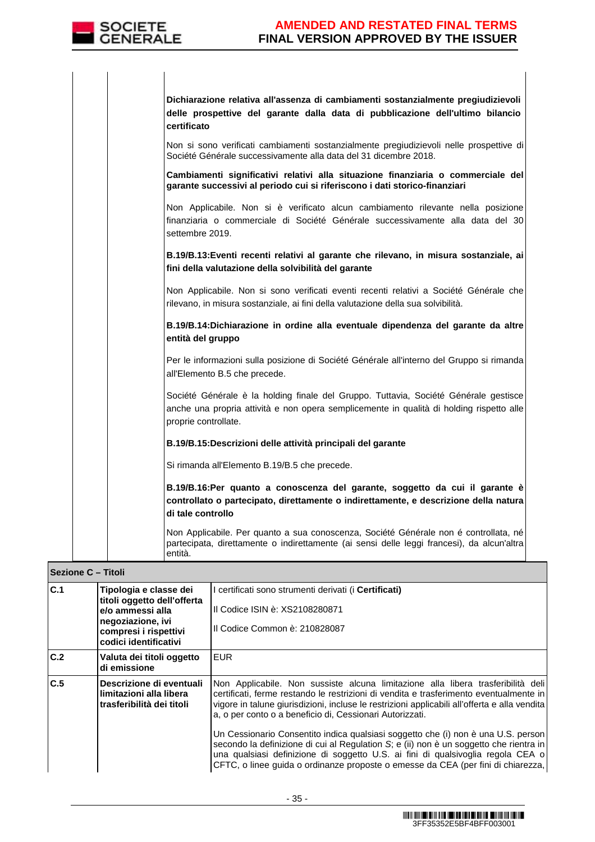

| Dichiarazione relativa all'assenza di cambiamenti sostanzialmente pregiudizievoli<br>delle prospettive del garante dalla data di pubblicazione dell'ultimo bilancio<br>certificato                       |
|----------------------------------------------------------------------------------------------------------------------------------------------------------------------------------------------------------|
| Non si sono verificati cambiamenti sostanzialmente pregiudizievoli nelle prospettive di<br>Société Générale successivamente alla data del 31 dicembre 2018.                                              |
| Cambiamenti significativi relativi alla situazione finanziaria o commerciale del<br>garante successivi al periodo cui si riferiscono i dati storico-finanziari                                           |
| Non Applicabile. Non si è verificato alcun cambiamento rilevante nella posizione<br>finanziaria o commerciale di Société Générale successivamente alla data del 30<br>settembre 2019.                    |
| B.19/B.13: Eventi recenti relativi al garante che rilevano, in misura sostanziale, ai<br>fini della valutazione della solvibilità del garante                                                            |
| Non Applicabile. Non si sono verificati eventi recenti relativi a Société Générale che<br>rilevano, in misura sostanziale, ai fini della valutazione della sua solvibilità.                              |
| B.19/B.14:Dichiarazione in ordine alla eventuale dipendenza del garante da altre<br>entità del gruppo                                                                                                    |
| Per le informazioni sulla posizione di Société Générale all'interno del Gruppo si rimanda<br>all'Elemento B.5 che precede.                                                                               |
| Société Générale è la holding finale del Gruppo. Tuttavia, Société Générale gestisce<br>anche una propria attività e non opera semplicemente in qualità di holding rispetto alle<br>proprie controllate. |
| B.19/B.15:Descrizioni delle attività principali del garante                                                                                                                                              |
| Si rimanda all'Elemento B.19/B.5 che precede.                                                                                                                                                            |
| B.19/B.16:Per quanto a conoscenza del garante, soggetto da cui il garante è<br>controllato o partecipato, direttamente o indirettamente, e descrizione della natura<br>di tale controllo                 |
| Non Applicabile. Per quanto a sua conoscenza, Société Générale non é controllata, né<br>partecipata, direttamente o indirettamente (ai sensi delle leggi francesi), da alcun'altra<br>entità.            |

#### **Sezione C – Titoli**

| C.1 | Tipologia e classe dei<br>titoli oggetto dell'offerta<br>e/o ammessi alla<br>negoziazione, ivi<br>compresi i rispettivi<br>codici identificativi | I certificati sono strumenti derivati (i Certificati)<br>Il Codice ISIN è: XS2108280871<br>Il Codice Common è: 210828087                                                                                                                                                                                                                                                                                                                                                                                                                                                                                                                                                                      |
|-----|--------------------------------------------------------------------------------------------------------------------------------------------------|-----------------------------------------------------------------------------------------------------------------------------------------------------------------------------------------------------------------------------------------------------------------------------------------------------------------------------------------------------------------------------------------------------------------------------------------------------------------------------------------------------------------------------------------------------------------------------------------------------------------------------------------------------------------------------------------------|
| C.2 | Valuta dei titoli oggetto<br>di emissione                                                                                                        | <b>EUR</b>                                                                                                                                                                                                                                                                                                                                                                                                                                                                                                                                                                                                                                                                                    |
| C.5 | Descrizione di eventuali<br>limitazioni alla libera<br>trasferibilità dei titoli                                                                 | Non Applicabile. Non sussiste alcuna limitazione alla libera trasferibilità dell<br>certificati, ferme restando le restrizioni di vendita e trasferimento eventualmente in<br>vigore in talune giurisdizioni, incluse le restrizioni applicabili all'offerta e alla vendita<br>a, o per conto o a beneficio di, Cessionari Autorizzati.<br>Un Cessionario Consentito indica qualsiasi soggetto che (i) non è una U.S. person<br>secondo la definizione di cui al Regulation S; e (ii) non è un soggetto che rientra in<br>una qualsiasi definizione di soggetto U.S. ai fini di qualsivoglia regola CEA o<br>CFTC, o linee guida o ordinanze proposte o emesse da CEA (per fini di chiarezza, |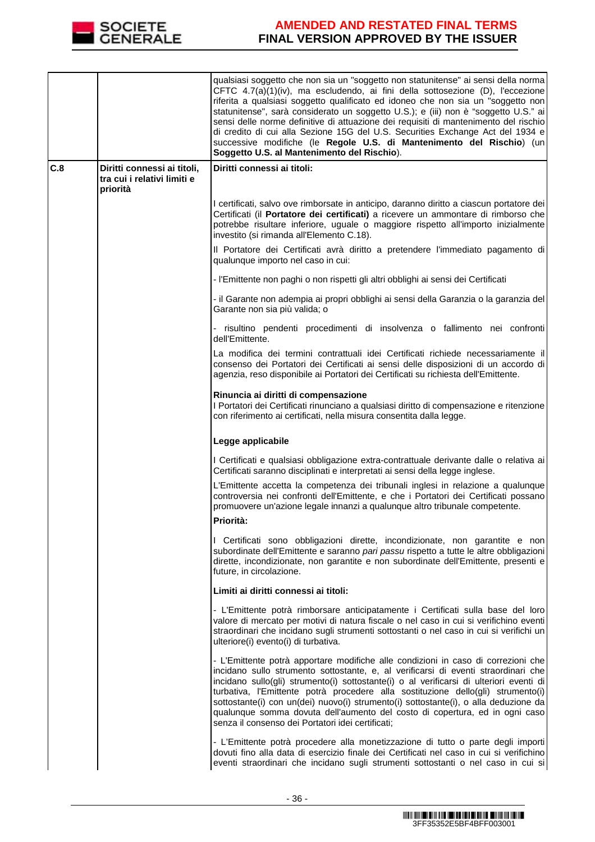

|     |                                                                        | qualsiasi soggetto che non sia un "soggetto non statunitense" ai sensi della norma<br>CFTC 4.7(a)(1)(iv), ma escludendo, ai fini della sottosezione (D), l'eccezione<br>riferita a qualsiasi soggetto qualificato ed idoneo che non sia un "soggetto non<br>statunitense", sarà considerato un soggetto U.S.); e (iii) non è "soggetto U.S." ai<br>sensi delle norme definitive di attuazione dei requisiti di mantenimento del rischio<br>di credito di cui alla Sezione 15G del U.S. Securities Exchange Act del 1934 e<br>successive modifiche (le Regole U.S. di Mantenimento del Rischio) (un<br>Soggetto U.S. al Mantenimento del Rischio). |
|-----|------------------------------------------------------------------------|---------------------------------------------------------------------------------------------------------------------------------------------------------------------------------------------------------------------------------------------------------------------------------------------------------------------------------------------------------------------------------------------------------------------------------------------------------------------------------------------------------------------------------------------------------------------------------------------------------------------------------------------------|
| C.8 | Diritti connessi ai titoli,<br>tra cui i relativi limiti e<br>priorità | Diritti connessi ai titoli:                                                                                                                                                                                                                                                                                                                                                                                                                                                                                                                                                                                                                       |
|     |                                                                        | I certificati, salvo ove rimborsate in anticipo, daranno diritto a ciascun portatore dei<br>Certificati (il Portatore dei certificati) a ricevere un ammontare di rimborso che<br>potrebbe risultare inferiore, uguale o maggiore rispetto all'importo inizialmente<br>investito (si rimanda all'Elemento C.18).                                                                                                                                                                                                                                                                                                                                  |
|     |                                                                        | Il Portatore dei Certificati avrà diritto a pretendere l'immediato pagamento di<br>qualunque importo nel caso in cui:                                                                                                                                                                                                                                                                                                                                                                                                                                                                                                                             |
|     |                                                                        | - l'Emittente non paghi o non rispetti gli altri obblighi ai sensi dei Certificati                                                                                                                                                                                                                                                                                                                                                                                                                                                                                                                                                                |
|     |                                                                        | - il Garante non adempia ai propri obblighi ai sensi della Garanzia o la garanzia del<br>Garante non sia più valida; o                                                                                                                                                                                                                                                                                                                                                                                                                                                                                                                            |
|     |                                                                        | risultino pendenti procedimenti di insolvenza o fallimento nei confronti<br>dell'Emittente.                                                                                                                                                                                                                                                                                                                                                                                                                                                                                                                                                       |
|     |                                                                        | La modifica dei termini contrattuali idei Certificati richiede necessariamente il<br>consenso dei Portatori dei Certificati ai sensi delle disposizioni di un accordo di<br>agenzia, reso disponibile ai Portatori dei Certificati su richiesta dell'Emittente.                                                                                                                                                                                                                                                                                                                                                                                   |
|     |                                                                        | Rinuncia ai diritti di compensazione<br>I Portatori dei Certificati rinunciano a qualsiasi diritto di compensazione e ritenzione<br>con riferimento ai certificati, nella misura consentita dalla legge.                                                                                                                                                                                                                                                                                                                                                                                                                                          |
|     |                                                                        | Legge applicabile                                                                                                                                                                                                                                                                                                                                                                                                                                                                                                                                                                                                                                 |
|     |                                                                        | I Certificati e qualsiasi obbligazione extra-contrattuale derivante dalle o relativa ai<br>Certificati saranno disciplinati e interpretati ai sensi della legge inglese.                                                                                                                                                                                                                                                                                                                                                                                                                                                                          |
|     |                                                                        | L'Emittente accetta la competenza dei tribunali inglesi in relazione a qualunque<br>controversia nei confronti dell'Emittente, e che i Portatori dei Certificati possano<br>promuovere un'azione legale innanzi a qualunque altro tribunale competente.                                                                                                                                                                                                                                                                                                                                                                                           |
|     |                                                                        | Priorità:                                                                                                                                                                                                                                                                                                                                                                                                                                                                                                                                                                                                                                         |
|     |                                                                        | I Certificati sono obbligazioni dirette, incondizionate, non garantite e non<br>subordinate dell'Emittente e saranno pari passu rispetto a tutte le altre obbligazioni<br>dirette, incondizionate, non garantite e non subordinate dell'Emittente, presenti e<br>future, in circolazione.                                                                                                                                                                                                                                                                                                                                                         |
|     |                                                                        | Limiti ai diritti connessi ai titoli:                                                                                                                                                                                                                                                                                                                                                                                                                                                                                                                                                                                                             |
|     |                                                                        | - L'Emittente potrà rimborsare anticipatamente i Certificati sulla base del loro<br>valore di mercato per motivi di natura fiscale o nel caso in cui si verifichino eventi<br>straordinari che incidano sugli strumenti sottostanti o nel caso in cui si verifichi un<br>ulteriore(i) evento(i) di turbativa.                                                                                                                                                                                                                                                                                                                                     |
|     |                                                                        | - L'Emittente potrà apportare modifiche alle condizioni in caso di correzioni che<br>incidano sullo strumento sottostante, e, al verificarsi di eventi straordinari che<br>incidano sullo(gli) strumento(i) sottostante(i) o al verificarsi di ulteriori eventi di<br>turbativa, l'Emittente potrà procedere alla sostituzione dello(gli) strumento(i)<br>sottostante(i) con un(dei) nuovo(i) strumento(i) sottostante(i), o alla deduzione da<br>qualunque somma dovuta dell'aumento del costo di copertura, ed in ogni caso<br>senza il consenso dei Portatori idei certificati;                                                                |
|     |                                                                        | - L'Emittente potrà procedere alla monetizzazione di tutto o parte degli importi<br>dovuti fino alla data di esercizio finale dei Certificati nel caso in cui si verifichino<br>eventi straordinari che incidano sugli strumenti sottostanti o nel caso in cui si                                                                                                                                                                                                                                                                                                                                                                                 |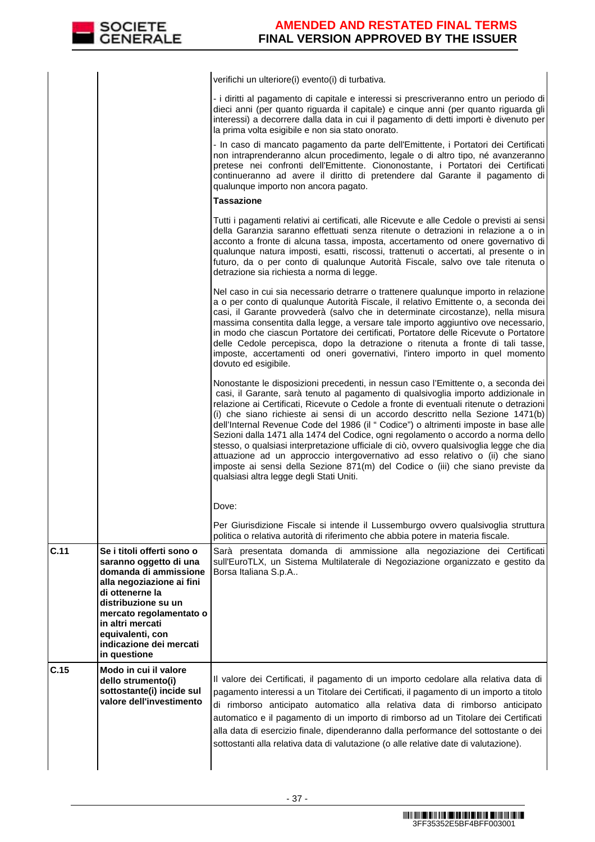

|      |                                                                                                                                                      | verifichi un ulteriore(i) evento(i) di turbativa.                                                                                                                                                                                                                                                                                                                                                                                                                                                                                                                                                                                                                                                                                                                                                                                          |
|------|------------------------------------------------------------------------------------------------------------------------------------------------------|--------------------------------------------------------------------------------------------------------------------------------------------------------------------------------------------------------------------------------------------------------------------------------------------------------------------------------------------------------------------------------------------------------------------------------------------------------------------------------------------------------------------------------------------------------------------------------------------------------------------------------------------------------------------------------------------------------------------------------------------------------------------------------------------------------------------------------------------|
|      |                                                                                                                                                      | - i diritti al pagamento di capitale e interessi si prescriveranno entro un periodo di<br>dieci anni (per quanto riguarda il capitale) e cinque anni (per quanto riguarda gli<br>interessi) a decorrere dalla data in cui il pagamento di detti importi è divenuto per<br>la prima volta esigibile e non sia stato onorato.                                                                                                                                                                                                                                                                                                                                                                                                                                                                                                                |
|      |                                                                                                                                                      | - In caso di mancato pagamento da parte dell'Emittente, i Portatori dei Certificati<br>non intraprenderanno alcun procedimento, legale o di altro tipo, né avanzeranno<br>pretese nei confronti dell'Emittente. Ciononostante, i Portatori dei Certificati<br>continueranno ad avere il diritto di pretendere dal Garante il pagamento di<br>qualunque importo non ancora pagato.                                                                                                                                                                                                                                                                                                                                                                                                                                                          |
|      |                                                                                                                                                      | Tassazione                                                                                                                                                                                                                                                                                                                                                                                                                                                                                                                                                                                                                                                                                                                                                                                                                                 |
|      |                                                                                                                                                      | Tutti i pagamenti relativi ai certificati, alle Ricevute e alle Cedole o previsti ai sensi<br>della Garanzia saranno effettuati senza ritenute o detrazioni in relazione a o in<br>acconto a fronte di alcuna tassa, imposta, accertamento od onere governativo di<br>qualunque natura imposti, esatti, riscossi, trattenuti o accertati, al presente o in<br>futuro, da o per conto di qualunque Autorità Fiscale, salvo ove tale ritenuta o<br>detrazione sia richiesta a norma di legge.                                                                                                                                                                                                                                                                                                                                                |
|      |                                                                                                                                                      | Nel caso in cui sia necessario detrarre o trattenere qualunque importo in relazione<br>a o per conto di qualunque Autorità Fiscale, il relativo Emittente o, a seconda dei<br>casi, il Garante provvederà (salvo che in determinate circostanze), nella misura<br>massima consentita dalla legge, a versare tale importo aggiuntivo ove necessario,<br>in modo che ciascun Portatore dei certificati, Portatore delle Ricevute o Portatore<br>delle Cedole percepisca, dopo la detrazione o ritenuta a fronte di tali tasse,<br>imposte, accertamenti od oneri governativi, l'intero importo in quel momento<br>dovuto ed esigibile.                                                                                                                                                                                                       |
|      |                                                                                                                                                      | Nonostante le disposizioni precedenti, in nessun caso l'Emittente o, a seconda dei<br>casi, il Garante, sarà tenuto al pagamento di qualsivoglia importo addizionale in<br>relazione ai Certificati, Ricevute o Cedole a fronte di eventuali ritenute o detrazioni<br>(i) che siano richieste ai sensi di un accordo descritto nella Sezione 1471(b)<br>dell'Internal Revenue Code del 1986 (il "Codice") o altrimenti imposte in base alle<br>Sezioni dalla 1471 alla 1474 del Codice, ogni regolamento o accordo a norma dello<br>stesso, o qualsiasi interpretazione ufficiale di ciò, ovvero qualsivoglia legge che dia<br>attuazione ad un approccio intergovernativo ad esso relativo o (ii) che siano<br>imposte ai sensi della Sezione 871(m) del Codice o (iii) che siano previste da<br>qualsiasi altra legge degli Stati Uniti. |
|      |                                                                                                                                                      | Dove:                                                                                                                                                                                                                                                                                                                                                                                                                                                                                                                                                                                                                                                                                                                                                                                                                                      |
|      |                                                                                                                                                      | Per Giurisdizione Fiscale si intende il Lussemburgo ovvero qualsivoglia struttura<br>politica o relativa autorità di riferimento che abbia potere in materia fiscale.                                                                                                                                                                                                                                                                                                                                                                                                                                                                                                                                                                                                                                                                      |
| C.11 | Se i titoli offerti sono o<br>saranno oggetto di una<br>domanda di ammissione<br>alla negoziazione ai fini<br>di ottenerne la<br>distribuzione su un | Sarà presentata domanda di ammissione alla negoziazione dei Certificati<br>sull'EuroTLX, un Sistema Multilaterale di Negoziazione organizzato e gestito da<br>Borsa Italiana S.p.A                                                                                                                                                                                                                                                                                                                                                                                                                                                                                                                                                                                                                                                         |
|      | mercato regolamentato o<br>in altri mercati<br>equivalenti, con<br>indicazione dei mercati<br>in questione                                           |                                                                                                                                                                                                                                                                                                                                                                                                                                                                                                                                                                                                                                                                                                                                                                                                                                            |
| C.15 | Modo in cui il valore<br>dello strumento(i)<br>sottostante(i) incide sul<br>valore dell'investimento                                                 | Il valore dei Certificati, il pagamento di un importo cedolare alla relativa data di<br>pagamento interessi a un Titolare dei Certificati, il pagamento di un importo a titolo<br>di rimborso anticipato automatico alla relativa data di rimborso anticipato<br>automatico e il pagamento di un importo di rimborso ad un Titolare dei Certificati<br>alla data di esercizio finale, dipenderanno dalla performance del sottostante o dei<br>sottostanti alla relativa data di valutazione (o alle relative date di valutazione).                                                                                                                                                                                                                                                                                                         |
|      |                                                                                                                                                      |                                                                                                                                                                                                                                                                                                                                                                                                                                                                                                                                                                                                                                                                                                                                                                                                                                            |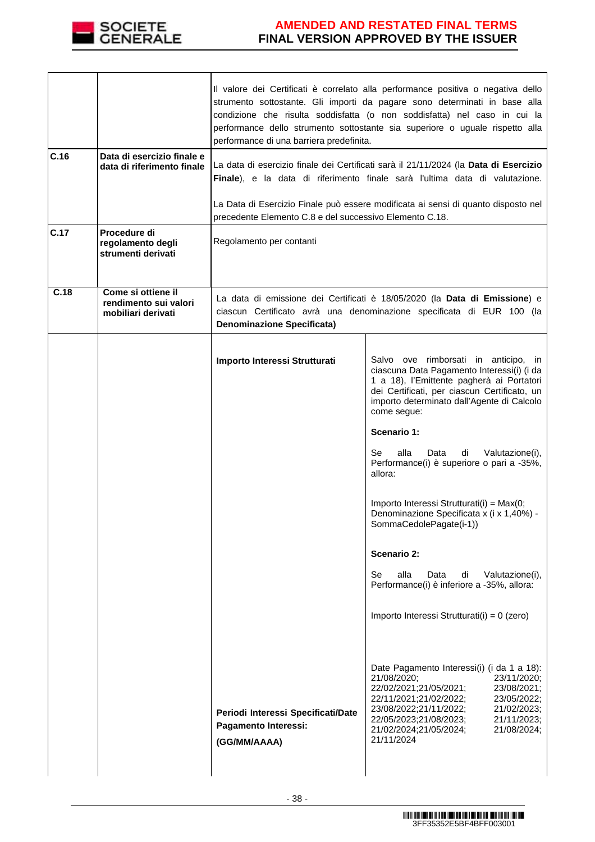

|      |                                                                   | Il valore dei Certificati è correlato alla performance positiva o negativa dello<br>strumento sottostante. Gli importi da pagare sono determinati in base alla<br>condizione che risulta soddisfatta (o non soddisfatta) nel caso in cui la<br>performance dello strumento sottostante sia superiore o uguale rispetto alla<br>performance di una barriera predefinita. |                                                                                                                                                                                                                                                                                                                                                                                                                                                                                         |  |  |  |  |
|------|-------------------------------------------------------------------|-------------------------------------------------------------------------------------------------------------------------------------------------------------------------------------------------------------------------------------------------------------------------------------------------------------------------------------------------------------------------|-----------------------------------------------------------------------------------------------------------------------------------------------------------------------------------------------------------------------------------------------------------------------------------------------------------------------------------------------------------------------------------------------------------------------------------------------------------------------------------------|--|--|--|--|
| C.16 | Data di esercizio finale e<br>data di riferimento finale          | La data di esercizio finale dei Certificati sarà il 21/11/2024 (la Data di Esercizio<br>Finale), e la data di riferimento finale sarà l'ultima data di valutazione.                                                                                                                                                                                                     |                                                                                                                                                                                                                                                                                                                                                                                                                                                                                         |  |  |  |  |
|      |                                                                   | La Data di Esercizio Finale può essere modificata ai sensi di quanto disposto nel<br>precedente Elemento C.8 e del successivo Elemento C.18.                                                                                                                                                                                                                            |                                                                                                                                                                                                                                                                                                                                                                                                                                                                                         |  |  |  |  |
| C.17 | Procedure di<br>regolamento degli<br>strumenti derivati           | Regolamento per contanti                                                                                                                                                                                                                                                                                                                                                |                                                                                                                                                                                                                                                                                                                                                                                                                                                                                         |  |  |  |  |
| C.18 | Come si ottiene il<br>rendimento sui valori<br>mobiliari derivati | La data di emissione dei Certificati è 18/05/2020 (la <b>Data di Emissione</b> ) e<br>ciascun Certificato avrà una denominazione specificata di EUR 100 (la<br><b>Denominazione Specificata)</b>                                                                                                                                                                        |                                                                                                                                                                                                                                                                                                                                                                                                                                                                                         |  |  |  |  |
|      |                                                                   | Importo Interessi Strutturati                                                                                                                                                                                                                                                                                                                                           | Salvo ove rimborsati in anticipo, in<br>ciascuna Data Pagamento Interessi(i) (i da<br>1 a 18), l'Emittente pagherà ai Portatori<br>dei Certificati, per ciascun Certificato, un<br>importo determinato dall'Agente di Calcolo<br>come segue:<br>Scenario 1:<br>alla<br>Se<br>Data<br>di<br>Valutazione(i),<br>Performance(i) è superiore o pari a -35%,<br>allora:<br>Importo Interessi Strutturati(i) = Max(0;<br>Denominazione Specificata x (i x 1,40%) -<br>SommaCedolePagate(i-1)) |  |  |  |  |
|      |                                                                   |                                                                                                                                                                                                                                                                                                                                                                         | Scenario 2:<br>alla<br>Se<br>Data<br>di<br>Valutazione(i),<br>Performance(i) è inferiore a -35%, allora:<br>Importo Interessi Strutturati(i) = 0 (zero)                                                                                                                                                                                                                                                                                                                                 |  |  |  |  |
|      |                                                                   | Periodi Interessi Specificati/Date<br>Pagamento Interessi:<br>(GG/MM/AAAA)                                                                                                                                                                                                                                                                                              | Date Pagamento Interessi(i) (i da 1 a 18):<br>21/08/2020;<br>23/11/2020;<br>22/02/2021;21/05/2021;<br>23/08/2021;<br>22/11/2021;21/02/2022;<br>23/05/2022;<br>23/08/2022;21/11/2022;<br>21/02/2023;<br>22/05/2023;21/08/2023;<br>21/11/2023;<br>21/02/2024;21/05/2024;<br>21/08/2024;<br>21/11/2024                                                                                                                                                                                     |  |  |  |  |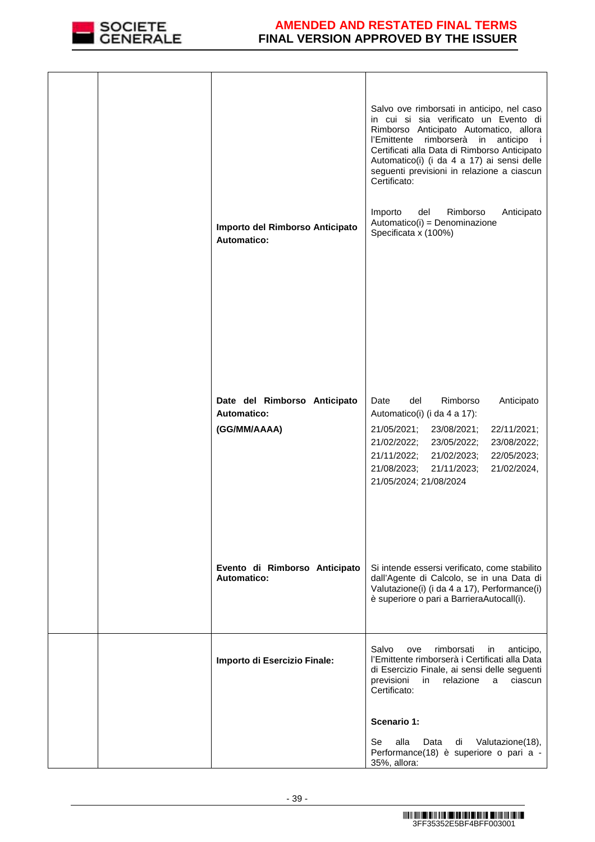

| Importo del Rimborso Anticipato<br><b>Automatico:</b>       | Salvo ove rimborsati in anticipo, nel caso<br>in cui si sia verificato un Evento di<br>Rimborso Anticipato Automatico, allora<br>rimborserà in<br>l'Emittente<br>anticipo<br>- i<br>Certificati alla Data di Rimborso Anticipato<br>Automatico(i) (i da 4 a 17) ai sensi delle<br>seguenti previsioni in relazione a ciascun<br>Certificato:<br>Importo<br>Rimborso<br>Anticipato<br>del<br>Automatico(i) = Denominazione<br>Specificata x (100%) |
|-------------------------------------------------------------|---------------------------------------------------------------------------------------------------------------------------------------------------------------------------------------------------------------------------------------------------------------------------------------------------------------------------------------------------------------------------------------------------------------------------------------------------|
| Date del Rimborso Anticipato<br>Automatico:<br>(GG/MM/AAAA) | Rimborso<br>Date<br>del<br>Anticipato<br>Automatico(i) (i da 4 a 17):<br>21/05/2021;<br>23/08/2021;<br>22/11/2021;<br>21/02/2022;<br>23/05/2022;<br>23/08/2022;<br>21/11/2022;<br>21/02/2023;<br>22/05/2023;<br>21/08/2023;<br>21/11/2023;<br>21/02/2024,<br>21/05/2024; 21/08/2024                                                                                                                                                               |
| Evento di Rimborso Anticipato<br><b>Automatico:</b>         | Si intende essersi verificato, come stabilito<br>dall'Agente di Calcolo, se in una Data di<br>Valutazione(i) (i da 4 a 17), Performance(i)<br>è superiore o pari a BarrieraAutocall(i).                                                                                                                                                                                                                                                           |
| Importo di Esercizio Finale:                                | Salvo<br>rimborsati<br>anticipo,<br>ove<br>in<br>l'Emittente rimborserà i Certificati alla Data<br>di Esercizio Finale, ai sensi delle seguenti<br>previsioni<br>relazione<br>ciascun<br>in<br>a<br>Certificato:                                                                                                                                                                                                                                  |
|                                                             | <b>Scenario 1:</b><br>Se<br>alla<br>Data<br>Valutazione(18),<br>di<br>Performance(18) è superiore o pari a -<br>35%, allora:                                                                                                                                                                                                                                                                                                                      |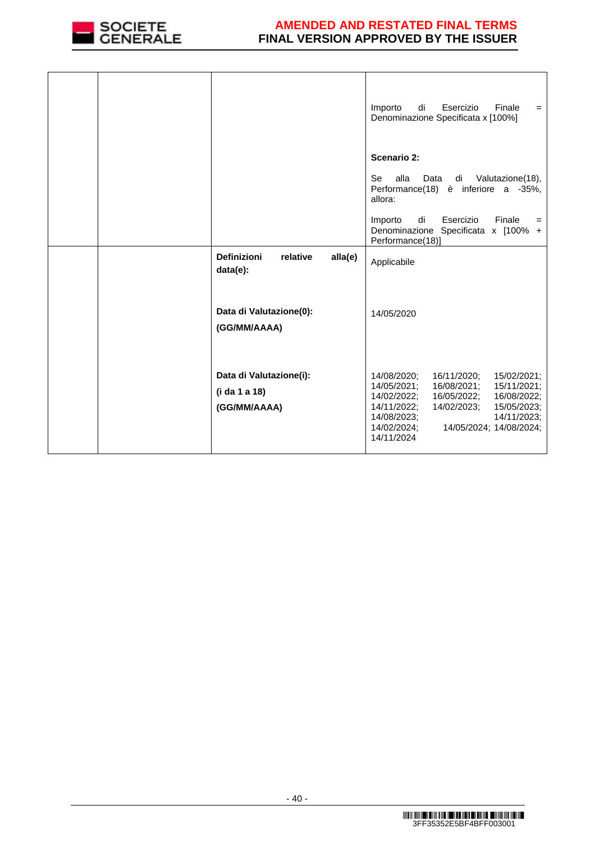

|  |                                                          |         | Esercizio<br>Importo<br>di<br>Finale<br>$=$<br>Denominazione Specificata x [100%]                                                                                                                                                                                      |
|--|----------------------------------------------------------|---------|------------------------------------------------------------------------------------------------------------------------------------------------------------------------------------------------------------------------------------------------------------------------|
|  |                                                          |         | Scenario 2:<br><b>Se</b><br>alla<br>Data<br>di Valutazione(18),<br>Performance(18) è inferiore a -35%,<br>allora:                                                                                                                                                      |
|  |                                                          |         | di<br>Esercizio<br>Finale<br>Importo<br>$=$<br>Denominazione Specificata x [100% +<br>Performance(18)]                                                                                                                                                                 |
|  | <b>Definizioni</b><br>relative<br>$data(e)$ :            | alla(e) | Applicabile                                                                                                                                                                                                                                                            |
|  | Data di Valutazione(0):<br>(GG/MM/AAAA)                  |         | 14/05/2020                                                                                                                                                                                                                                                             |
|  | Data di Valutazione(i):<br>(i da 1 a 18)<br>(GG/MM/AAAA) |         | 14/08/2020;<br>16/11/2020;<br>15/02/2021;<br>16/08/2021;<br>14/05/2021;<br>15/11/2021;<br>16/05/2022;<br>14/02/2022;<br>16/08/2022;<br>14/11/2022;<br>14/02/2023;<br>15/05/2023;<br>14/08/2023;<br>14/11/2023;<br>14/02/2024;<br>14/05/2024; 14/08/2024;<br>14/11/2024 |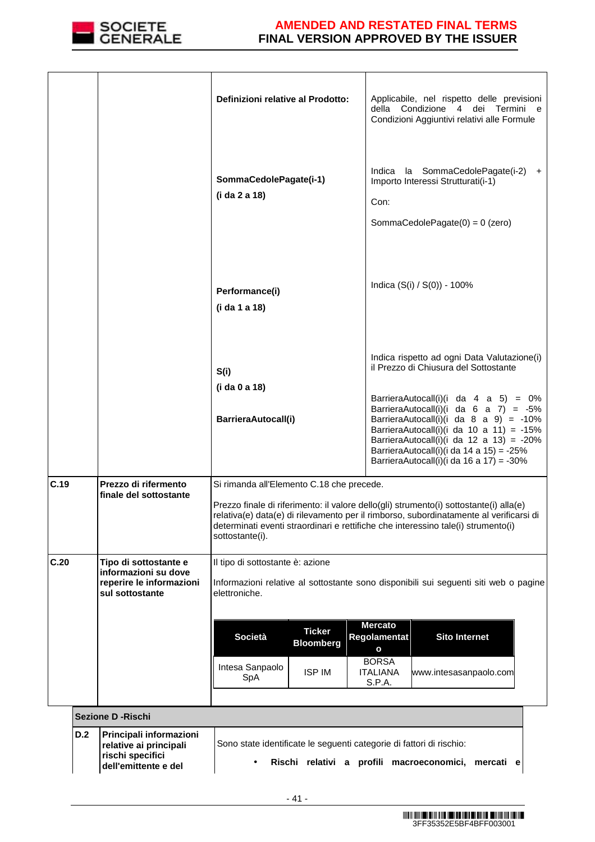

**rischi specifici dell'emittente e del** 

### **AMENDED AND RESTATED FINAL TERMS FINAL VERSION APPROVED BY THE ISSUER**

|      |     |                                                                                              | Definizioni relative al Prodotto:                                                                                                                                                                                                                                                                                                     |                                                    |                                                                                             | Applicabile, nel rispetto delle previsioni<br>della Condizione 4 dei Termini e<br>Condizioni Aggiuntivi relativi alle Formule                                                                                                                                                                                                                                                                                      |  |
|------|-----|----------------------------------------------------------------------------------------------|---------------------------------------------------------------------------------------------------------------------------------------------------------------------------------------------------------------------------------------------------------------------------------------------------------------------------------------|----------------------------------------------------|---------------------------------------------------------------------------------------------|--------------------------------------------------------------------------------------------------------------------------------------------------------------------------------------------------------------------------------------------------------------------------------------------------------------------------------------------------------------------------------------------------------------------|--|
|      |     |                                                                                              | SommaCedolePagate(i-1)<br>(i da 2 a 18)                                                                                                                                                                                                                                                                                               |                                                    | Con:                                                                                        | Indica la SommaCedolePagate(i-2) +<br>Importo Interessi Strutturati(i-1)<br>SommaCedolePagate $(0) = 0$ (zero)                                                                                                                                                                                                                                                                                                     |  |
|      |     |                                                                                              | Performance(i)<br>(i da 1 a 18)                                                                                                                                                                                                                                                                                                       |                                                    |                                                                                             | Indica (S(i) / S(0)) - 100%                                                                                                                                                                                                                                                                                                                                                                                        |  |
|      |     |                                                                                              | S(i)<br>(i da 0 a 18)<br>BarrieraAutocall(i)                                                                                                                                                                                                                                                                                          |                                                    |                                                                                             | Indica rispetto ad ogni Data Valutazione(i)<br>il Prezzo di Chiusura del Sottostante<br>BarrieraAutocall(i)(i da 4 a 5) = $0\%$<br>BarrieraAutocall(i)(i da $6$ a $7$ ) = -5%<br>BarrieraAutocall(i)(i da $8$ a $9$ ) = -10%<br>BarrieraAutocall(i)(i da 10 a 11) = $-15\%$<br>BarrieraAutocall(i)(i da 12 a 13) = $-20\%$<br>BarrieraAutocall(i)(i da 14 a 15) = -25%<br>BarrieraAutocall(i)(i da 16 a 17) = -30% |  |
| C.19 |     | Prezzo di rifermento<br>finale del sottostante                                               | Si rimanda all'Elemento C.18 che precede.<br>Prezzo finale di riferimento: il valore dello(gli) strumento(i) sottostante(i) alla(e)<br>relativa(e) data(e) di rilevamento per il rimborso, subordinatamente al verificarsi di<br>determinati eventi straordinari e rettifiche che interessino tale(i) strumento(i)<br>sottostante(i). |                                                    |                                                                                             |                                                                                                                                                                                                                                                                                                                                                                                                                    |  |
| C.20 |     | Tipo di sottostante e<br>informazioni su dove<br>reperire le informazioni<br>sul sottostante | Il tipo di sottostante è: azione<br>elettroniche.<br><b>Società</b><br>Intesa Sanpaolo<br>SpA                                                                                                                                                                                                                                         | <b>Ticker</b><br><b>Bloomberg</b><br><b>ISP IM</b> | <b>Mercato</b><br>Regolamentat<br>$\mathbf{o}$<br><b>BORSA</b><br><b>ITALIANA</b><br>S.P.A. | Informazioni relative al sottostante sono disponibili sui seguenti siti web o pagine<br><b>Sito Internet</b><br>www.intesasanpaolo.com                                                                                                                                                                                                                                                                             |  |
|      |     | <b>Sezione D - Rischi</b>                                                                    |                                                                                                                                                                                                                                                                                                                                       |                                                    |                                                                                             |                                                                                                                                                                                                                                                                                                                                                                                                                    |  |
|      | D.2 | Principali informazioni<br>relative ai principali                                            | Sono state identificate le seguenti categorie di fattori di rischio:                                                                                                                                                                                                                                                                  |                                                    |                                                                                             |                                                                                                                                                                                                                                                                                                                                                                                                                    |  |

• **Rischi relativi a profili macroeconomici, mercati e**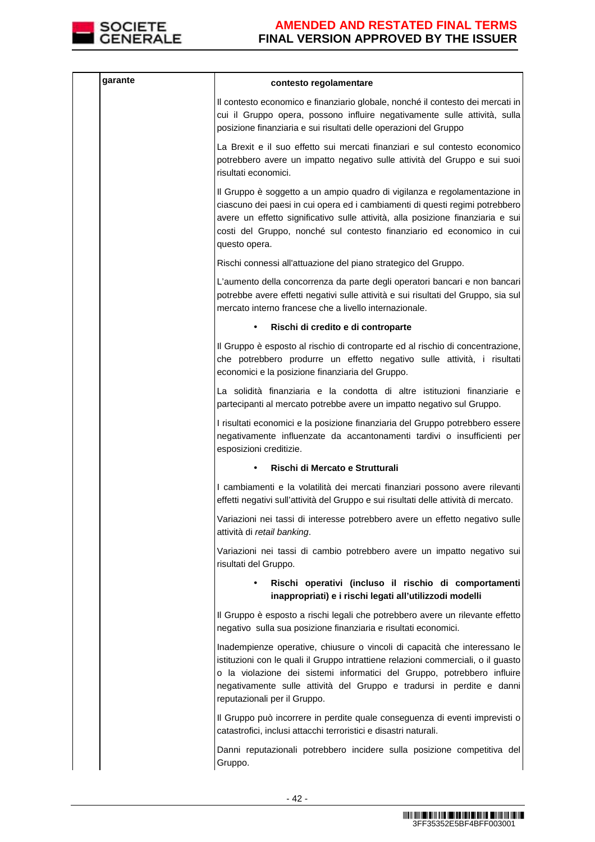

| garante | contesto regolamentare                                                                                                                                                                                                                                                                                                                             |
|---------|----------------------------------------------------------------------------------------------------------------------------------------------------------------------------------------------------------------------------------------------------------------------------------------------------------------------------------------------------|
|         | Il contesto economico e finanziario globale, nonché il contesto dei mercati in<br>cui il Gruppo opera, possono influire negativamente sulle attività, sulla<br>posizione finanziaria e sui risultati delle operazioni del Gruppo                                                                                                                   |
|         | La Brexit e il suo effetto sui mercati finanziari e sul contesto economico<br>potrebbero avere un impatto negativo sulle attività del Gruppo e sui suoi<br>risultati economici.                                                                                                                                                                    |
|         | Il Gruppo è soggetto a un ampio quadro di vigilanza e regolamentazione in<br>ciascuno dei paesi in cui opera ed i cambiamenti di questi regimi potrebbero<br>avere un effetto significativo sulle attività, alla posizione finanziaria e sui<br>costi del Gruppo, nonché sul contesto finanziario ed economico in cui<br>questo opera.             |
|         | Rischi connessi all'attuazione del piano strategico del Gruppo.                                                                                                                                                                                                                                                                                    |
|         | L'aumento della concorrenza da parte degli operatori bancari e non bancari<br>potrebbe avere effetti negativi sulle attività e sui risultati del Gruppo, sia sul<br>mercato interno francese che a livello internazionale.                                                                                                                         |
|         | Rischi di credito e di controparte<br>$\bullet$                                                                                                                                                                                                                                                                                                    |
|         | Il Gruppo è esposto al rischio di controparte ed al rischio di concentrazione,<br>che potrebbero produrre un effetto negativo sulle attività, i risultati<br>economici e la posizione finanziaria del Gruppo.                                                                                                                                      |
|         | La solidità finanziaria e la condotta di altre istituzioni finanziarie e<br>partecipanti al mercato potrebbe avere un impatto negativo sul Gruppo.                                                                                                                                                                                                 |
|         | I risultati economici e la posizione finanziaria del Gruppo potrebbero essere<br>negativamente influenzate da accantonamenti tardivi o insufficienti per<br>esposizioni creditizie.                                                                                                                                                                |
|         | Rischi di Mercato e Strutturali                                                                                                                                                                                                                                                                                                                    |
|         | I cambiamenti e la volatilità dei mercati finanziari possono avere rilevanti<br>effetti negativi sull'attività del Gruppo e sui risultati delle attività di mercato.                                                                                                                                                                               |
|         | Variazioni nei tassi di interesse potrebbero avere un effetto negativo sulle<br>attività di retail banking.                                                                                                                                                                                                                                        |
|         | Variazioni nei tassi di cambio potrebbero avere un impatto negativo sui<br>risultati del Gruppo.                                                                                                                                                                                                                                                   |
|         | Rischi operativi (incluso il rischio di comportamenti<br>inappropriati) e i rischi legati all'utilizzodi modelli                                                                                                                                                                                                                                   |
|         | Il Gruppo è esposto a rischi legali che potrebbero avere un rilevante effetto<br>negativo sulla sua posizione finanziaria e risultati economici.                                                                                                                                                                                                   |
|         | Inadempienze operative, chiusure o vincoli di capacità che interessano le<br>istituzioni con le quali il Gruppo intrattiene relazioni commerciali, o il guasto<br>o la violazione dei sistemi informatici del Gruppo, potrebbero influire<br>negativamente sulle attività del Gruppo e tradursi in perdite e danni<br>reputazionali per il Gruppo. |
|         | Il Gruppo può incorrere in perdite quale conseguenza di eventi imprevisti o<br>catastrofici, inclusi attacchi terroristici e disastri naturali.                                                                                                                                                                                                    |
|         | Danni reputazionali potrebbero incidere sulla posizione competitiva del<br>Gruppo.                                                                                                                                                                                                                                                                 |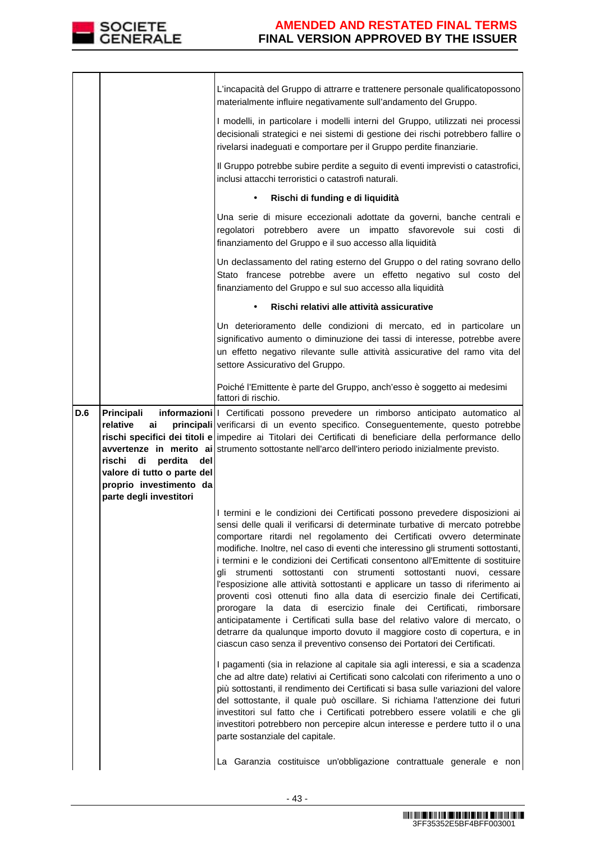

|                                                                                                                                                            | I modelli, in particolare i modelli interni del Gruppo, utilizzati nei processi<br>decisionali strategici e nei sistemi di gestione dei rischi potrebbero fallire o<br>rivelarsi inadeguati e comportare per il Gruppo perdite finanziarie.<br>Il Gruppo potrebbe subire perdite a seguito di eventi imprevisti o catastrofici,                                                                                                                                                                                                                                                                                                                                                                                                                                                                                                                                                                                                                                                                                                                                                                                                                                                                                                                                                                                                                                                                                                                                                         |
|------------------------------------------------------------------------------------------------------------------------------------------------------------|-----------------------------------------------------------------------------------------------------------------------------------------------------------------------------------------------------------------------------------------------------------------------------------------------------------------------------------------------------------------------------------------------------------------------------------------------------------------------------------------------------------------------------------------------------------------------------------------------------------------------------------------------------------------------------------------------------------------------------------------------------------------------------------------------------------------------------------------------------------------------------------------------------------------------------------------------------------------------------------------------------------------------------------------------------------------------------------------------------------------------------------------------------------------------------------------------------------------------------------------------------------------------------------------------------------------------------------------------------------------------------------------------------------------------------------------------------------------------------------------|
|                                                                                                                                                            | inclusi attacchi terroristici o catastrofi naturali.                                                                                                                                                                                                                                                                                                                                                                                                                                                                                                                                                                                                                                                                                                                                                                                                                                                                                                                                                                                                                                                                                                                                                                                                                                                                                                                                                                                                                                    |
|                                                                                                                                                            | Rischi di funding e di liquidità<br>$\bullet$                                                                                                                                                                                                                                                                                                                                                                                                                                                                                                                                                                                                                                                                                                                                                                                                                                                                                                                                                                                                                                                                                                                                                                                                                                                                                                                                                                                                                                           |
|                                                                                                                                                            | Una serie di misure eccezionali adottate da governi, banche centrali e<br>regolatori potrebbero avere un impatto sfavorevole sui costi di<br>finanziamento del Gruppo e il suo accesso alla liquidità                                                                                                                                                                                                                                                                                                                                                                                                                                                                                                                                                                                                                                                                                                                                                                                                                                                                                                                                                                                                                                                                                                                                                                                                                                                                                   |
|                                                                                                                                                            | Un declassamento del rating esterno del Gruppo o del rating sovrano dello<br>Stato francese potrebbe avere un effetto negativo sul costo del<br>finanziamento del Gruppo e sul suo accesso alla liquidità                                                                                                                                                                                                                                                                                                                                                                                                                                                                                                                                                                                                                                                                                                                                                                                                                                                                                                                                                                                                                                                                                                                                                                                                                                                                               |
|                                                                                                                                                            | Rischi relativi alle attività assicurative                                                                                                                                                                                                                                                                                                                                                                                                                                                                                                                                                                                                                                                                                                                                                                                                                                                                                                                                                                                                                                                                                                                                                                                                                                                                                                                                                                                                                                              |
|                                                                                                                                                            | Un deterioramento delle condizioni di mercato, ed in particolare un<br>significativo aumento o diminuzione dei tassi di interesse, potrebbe avere<br>un effetto negativo rilevante sulle attività assicurative del ramo vita del<br>settore Assicurativo del Gruppo.                                                                                                                                                                                                                                                                                                                                                                                                                                                                                                                                                                                                                                                                                                                                                                                                                                                                                                                                                                                                                                                                                                                                                                                                                    |
|                                                                                                                                                            | Poiché l'Emittente è parte del Gruppo, anch'esso è soggetto ai medesimi<br>fattori di rischio.                                                                                                                                                                                                                                                                                                                                                                                                                                                                                                                                                                                                                                                                                                                                                                                                                                                                                                                                                                                                                                                                                                                                                                                                                                                                                                                                                                                          |
| Principali<br>D.6<br>relative<br>ai<br>di<br>rischi<br>perdita<br>del<br>valore di tutto o parte del<br>proprio investimento da<br>parte degli investitori | informazioni   Certificati possono prevedere un rimborso anticipato automatico al<br>principali verificarsi di un evento specifico. Conseguentemente, questo potrebbe<br>rischi specifici dei titoli e impedire ai Titolari dei Certificati di beneficiare della performance dello<br>avvertenze in merito ai strumento sottostante nell'arco dell'intero periodo inizialmente previsto.                                                                                                                                                                                                                                                                                                                                                                                                                                                                                                                                                                                                                                                                                                                                                                                                                                                                                                                                                                                                                                                                                                |
|                                                                                                                                                            | I termini e le condizioni dei Certificati possono prevedere disposizioni ai<br>sensi delle quali il verificarsi di determinate turbative di mercato potrebbe<br>comportare ritardi nel regolamento dei Certificati ovvero determinate<br>modifiche. Inoltre, nel caso di eventi che interessino gli strumenti sottostanti,<br>i termini e le condizioni dei Certificati consentono all'Emittente di sostituire<br>gli strumenti sottostanti con strumenti sottostanti nuovi, cessare<br>l'esposizione alle attività sottostanti e applicare un tasso di riferimento ai<br>proventi così ottenuti fino alla data di esercizio finale dei Certificati,<br>data di esercizio finale dei Certificati,<br>prorogare<br>rimborsare<br>la<br>anticipatamente i Certificati sulla base del relativo valore di mercato, o<br>detrarre da qualunque importo dovuto il maggiore costo di copertura, e in<br>ciascun caso senza il preventivo consenso dei Portatori dei Certificati.<br>I pagamenti (sia in relazione al capitale sia agli interessi, e sia a scadenza<br>che ad altre date) relativi ai Certificati sono calcolati con riferimento a uno o<br>più sottostanti, il rendimento dei Certificati si basa sulle variazioni del valore<br>del sottostante, il quale può oscillare. Si richiama l'attenzione dei futuri<br>investitori sul fatto che i Certificati potrebbero essere volatili e che gli<br>investitori potrebbero non percepire alcun interesse e perdere tutto il o una |
|                                                                                                                                                            |                                                                                                                                                                                                                                                                                                                                                                                                                                                                                                                                                                                                                                                                                                                                                                                                                                                                                                                                                                                                                                                                                                                                                                                                                                                                                                                                                                                                                                                                                         |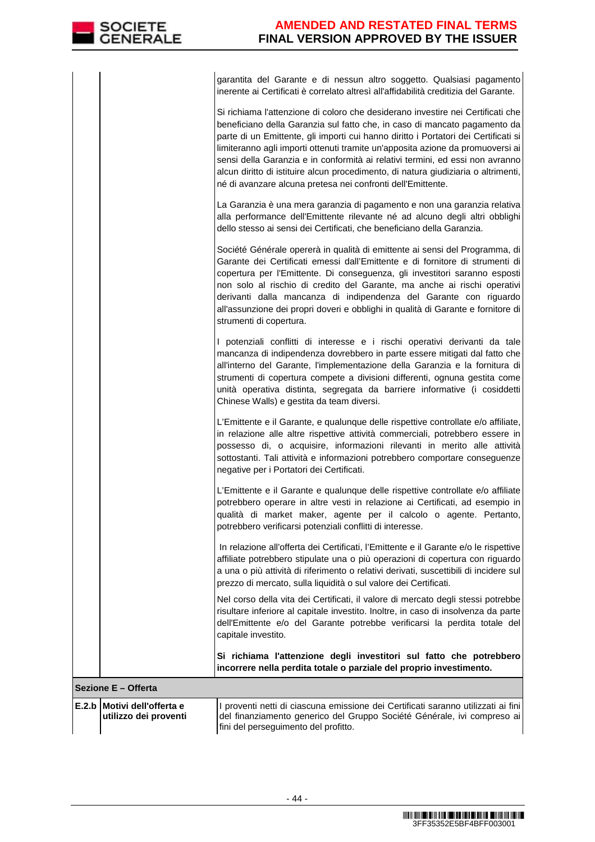garantita del Garante e di nessun altro soggetto. Qualsiasi pagamento inerente ai Certificati è correlato altresì all'affidabilità creditizia del Garante.

|       |                                                | Si richiama l'attenzione di coloro che desiderano investire nei Certificati che<br>beneficiano della Garanzia sul fatto che, in caso di mancato pagamento da<br>parte di un Emittente, gli importi cui hanno diritto i Portatori dei Certificati si<br>limiteranno agli importi ottenuti tramite un'apposita azione da promuoversi ai<br>sensi della Garanzia e in conformità ai relativi termini, ed essi non avranno<br>alcun diritto di istituire alcun procedimento, di natura giudiziaria o altrimenti,<br>né di avanzare alcuna pretesa nei confronti dell'Emittente.<br>La Garanzia è una mera garanzia di pagamento e non una garanzia relativa<br>alla performance dell'Emittente rilevante né ad alcuno degli altri obblighi<br>dello stesso ai sensi dei Certificati, che beneficiano della Garanzia.<br>Société Générale opererà in qualità di emittente ai sensi del Programma, di<br>Garante dei Certificati emessi dall'Emittente e di fornitore di strumenti di<br>copertura per l'Emittente. Di conseguenza, gli investitori saranno esposti<br>non solo al rischio di credito del Garante, ma anche ai rischi operativi<br>derivanti dalla mancanza di indipendenza del Garante con riguardo<br>all'assunzione dei propri doveri e obblighi in qualità di Garante e fornitore di<br>strumenti di copertura. |
|-------|------------------------------------------------|-------------------------------------------------------------------------------------------------------------------------------------------------------------------------------------------------------------------------------------------------------------------------------------------------------------------------------------------------------------------------------------------------------------------------------------------------------------------------------------------------------------------------------------------------------------------------------------------------------------------------------------------------------------------------------------------------------------------------------------------------------------------------------------------------------------------------------------------------------------------------------------------------------------------------------------------------------------------------------------------------------------------------------------------------------------------------------------------------------------------------------------------------------------------------------------------------------------------------------------------------------------------------------------------------------------------------------|
|       |                                                | I potenziali conflitti di interesse e i rischi operativi derivanti da tale<br>mancanza di indipendenza dovrebbero in parte essere mitigati dal fatto che<br>all'interno del Garante, l'implementazione della Garanzia e la fornitura di<br>strumenti di copertura compete a divisioni differenti, ognuna gestita come<br>unità operativa distinta, segregata da barriere informative (i cosiddetti<br>Chinese Walls) e gestita da team diversi.                                                                                                                                                                                                                                                                                                                                                                                                                                                                                                                                                                                                                                                                                                                                                                                                                                                                               |
|       |                                                | L'Emittente e il Garante, e qualunque delle rispettive controllate e/o affiliate,<br>in relazione alle altre rispettive attività commerciali, potrebbero essere in<br>possesso di, o acquisire, informazioni rilevanti in merito alle attività<br>sottostanti. Tali attività e informazioni potrebbero comportare conseguenze<br>negative per i Portatori dei Certificati.                                                                                                                                                                                                                                                                                                                                                                                                                                                                                                                                                                                                                                                                                                                                                                                                                                                                                                                                                    |
|       |                                                | L'Emittente e il Garante e qualunque delle rispettive controllate e/o affiliate<br>potrebbero operare in altre vesti in relazione ai Certificati, ad esempio in<br>qualità di market maker, agente per il calcolo o agente. Pertanto,<br>potrebbero verificarsi potenziali conflitti di interesse.                                                                                                                                                                                                                                                                                                                                                                                                                                                                                                                                                                                                                                                                                                                                                                                                                                                                                                                                                                                                                            |
|       |                                                | In relazione all'offerta dei Certificati, l'Emittente e il Garante e/o le rispettive<br>affiliate potrebbero stipulate una o più operazioni di copertura con riguardo<br>a una o più attività di riferimento o relativi derivati, suscettibili di incidere sul<br>prezzo di mercato, sulla liquidità o sul valore dei Certificati.                                                                                                                                                                                                                                                                                                                                                                                                                                                                                                                                                                                                                                                                                                                                                                                                                                                                                                                                                                                            |
|       |                                                | Nel corso della vita dei Certificati, il valore di mercato degli stessi potrebbe<br>risultare inferiore al capitale investito. Inoltre, in caso di insolvenza da parte<br>dell'Emittente e/o del Garante potrebbe verificarsi la perdita totale del<br>capitale investito.                                                                                                                                                                                                                                                                                                                                                                                                                                                                                                                                                                                                                                                                                                                                                                                                                                                                                                                                                                                                                                                    |
|       |                                                | Si richiama l'attenzione degli investitori sul fatto che potrebbero<br>incorrere nella perdita totale o parziale del proprio investimento.                                                                                                                                                                                                                                                                                                                                                                                                                                                                                                                                                                                                                                                                                                                                                                                                                                                                                                                                                                                                                                                                                                                                                                                    |
|       | Sezione E - Offerta                            |                                                                                                                                                                                                                                                                                                                                                                                                                                                                                                                                                                                                                                                                                                                                                                                                                                                                                                                                                                                                                                                                                                                                                                                                                                                                                                                               |
| E.2.b | Motivi dell'offerta e<br>utilizzo dei proventi | I proventi netti di ciascuna emissione dei Certificati saranno utilizzati ai fini<br>del finanziamento generico del Gruppo Société Générale, ivi compreso ai<br>fini del perseguimento del profitto.                                                                                                                                                                                                                                                                                                                                                                                                                                                                                                                                                                                                                                                                                                                                                                                                                                                                                                                                                                                                                                                                                                                          |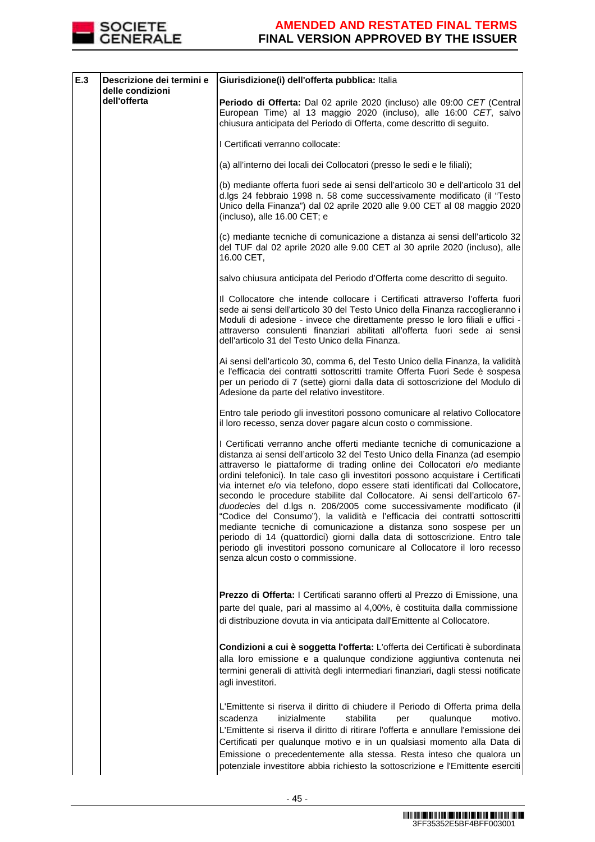

| E.3 | Descrizione dei termini e<br>delle condizioni | Giurisdizione(i) dell'offerta pubblica: Italia                                                                                                                                                                                                                                                                                                                                                                                                                                                                                                                                                                                                                                                                                                                                                                                                                                                                        |
|-----|-----------------------------------------------|-----------------------------------------------------------------------------------------------------------------------------------------------------------------------------------------------------------------------------------------------------------------------------------------------------------------------------------------------------------------------------------------------------------------------------------------------------------------------------------------------------------------------------------------------------------------------------------------------------------------------------------------------------------------------------------------------------------------------------------------------------------------------------------------------------------------------------------------------------------------------------------------------------------------------|
|     | dell'offerta                                  | Periodo di Offerta: Dal 02 aprile 2020 (incluso) alle 09:00 CET (Central<br>European Time) al 13 maggio 2020 (incluso), alle 16:00 CET, salvo<br>chiusura anticipata del Periodo di Offerta, come descritto di seguito.                                                                                                                                                                                                                                                                                                                                                                                                                                                                                                                                                                                                                                                                                               |
|     |                                               | I Certificati verranno collocate:                                                                                                                                                                                                                                                                                                                                                                                                                                                                                                                                                                                                                                                                                                                                                                                                                                                                                     |
|     |                                               | (a) all'interno dei locali dei Collocatori (presso le sedi e le filiali);                                                                                                                                                                                                                                                                                                                                                                                                                                                                                                                                                                                                                                                                                                                                                                                                                                             |
|     |                                               | (b) mediante offerta fuori sede ai sensi dell'articolo 30 e dell'articolo 31 del<br>d.lgs 24 febbraio 1998 n. 58 come successivamente modificato (il "Testo<br>Unico della Finanza") dal 02 aprile 2020 alle 9.00 CET al 08 maggio 2020<br>(incluso), alle 16.00 CET; e                                                                                                                                                                                                                                                                                                                                                                                                                                                                                                                                                                                                                                               |
|     |                                               | (c) mediante tecniche di comunicazione a distanza ai sensi dell'articolo 32<br>del TUF dal 02 aprile 2020 alle 9.00 CET al 30 aprile 2020 (incluso), alle<br>16.00 CET,                                                                                                                                                                                                                                                                                                                                                                                                                                                                                                                                                                                                                                                                                                                                               |
|     |                                               | salvo chiusura anticipata del Periodo d'Offerta come descritto di seguito.                                                                                                                                                                                                                                                                                                                                                                                                                                                                                                                                                                                                                                                                                                                                                                                                                                            |
|     |                                               | Il Collocatore che intende collocare i Certificati attraverso l'offerta fuori<br>sede ai sensi dell'articolo 30 del Testo Unico della Finanza raccoglieranno i<br>Moduli di adesione - invece che direttamente presso le loro filiali e uffici -<br>attraverso consulenti finanziari abilitati all'offerta fuori sede ai sensi<br>dell'articolo 31 del Testo Unico della Finanza.                                                                                                                                                                                                                                                                                                                                                                                                                                                                                                                                     |
|     |                                               | Ai sensi dell'articolo 30, comma 6, del Testo Unico della Finanza, la validità<br>e l'efficacia dei contratti sottoscritti tramite Offerta Fuori Sede è sospesa<br>per un periodo di 7 (sette) giorni dalla data di sottoscrizione del Modulo di<br>Adesione da parte del relativo investitore.                                                                                                                                                                                                                                                                                                                                                                                                                                                                                                                                                                                                                       |
|     |                                               | Entro tale periodo gli investitori possono comunicare al relativo Collocatore<br>il loro recesso, senza dover pagare alcun costo o commissione.                                                                                                                                                                                                                                                                                                                                                                                                                                                                                                                                                                                                                                                                                                                                                                       |
|     |                                               | I Certificati verranno anche offerti mediante tecniche di comunicazione a<br>distanza ai sensi dell'articolo 32 del Testo Unico della Finanza (ad esempio<br>attraverso le piattaforme di trading online dei Collocatori e/o mediante<br>ordini telefonici). In tale caso gli investitori possono acquistare i Certificati<br>via internet e/o via telefono, dopo essere stati identificati dal Collocatore,<br>secondo le procedure stabilite dal Collocatore. Ai sensi dell'articolo 67-<br>duodecies del d.lgs n. 206/2005 come successivamente modificato (il<br>"Codice del Consumo"), la validità e l'efficacia dei contratti sottoscritti<br>mediante tecniche di comunicazione a distanza sono sospese per un<br>periodo di 14 (quattordici) giorni dalla data di sottoscrizione. Entro tale<br>periodo gli investitori possono comunicare al Collocatore il loro recesso<br>senza alcun costo o commissione. |
|     |                                               | Prezzo di Offerta: I Certificati saranno offerti al Prezzo di Emissione, una<br>parte del quale, pari al massimo al 4,00%, è costituita dalla commissione<br>di distribuzione dovuta in via anticipata dall'Emittente al Collocatore.                                                                                                                                                                                                                                                                                                                                                                                                                                                                                                                                                                                                                                                                                 |
|     |                                               | Condizioni a cui è soggetta l'offerta: L'offerta dei Certificati è subordinata<br>alla loro emissione e a qualunque condizione aggiuntiva contenuta nei<br>termini generali di attività degli intermediari finanziari, dagli stessi notificate<br>agli investitori.                                                                                                                                                                                                                                                                                                                                                                                                                                                                                                                                                                                                                                                   |
|     |                                               | L'Emittente si riserva il diritto di chiudere il Periodo di Offerta prima della<br>scadenza<br>inizialmente<br>stabilita<br>qualunque<br>motivo.<br>per<br>L'Emittente si riserva il diritto di ritirare l'offerta e annullare l'emissione dei<br>Certificati per qualunque motivo e in un qualsiasi momento alla Data di<br>Emissione o precedentemente alla stessa. Resta inteso che qualora un<br>potenziale investitore abbia richiesto la sottoscrizione e l'Emittente eserciti                                                                                                                                                                                                                                                                                                                                                                                                                                  |